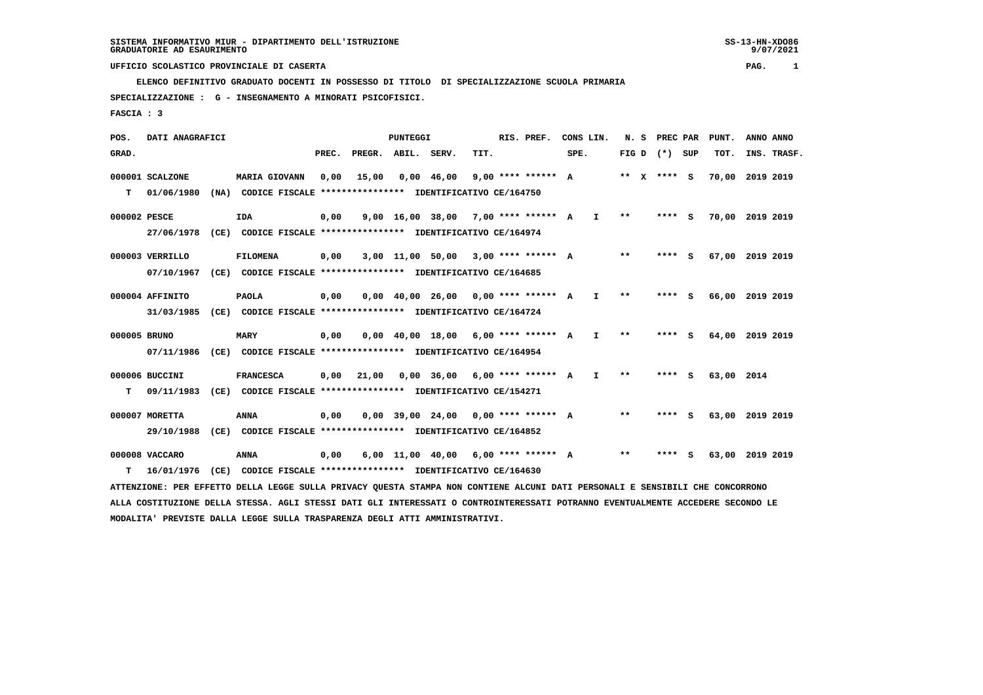**ELENCO DEFINITIVO GRADUATO DOCENTI IN POSSESSO DI TITOLO DI SPECIALIZZAZIONE SCUOLA PRIMARIA**

 **SPECIALIZZAZIONE : G - INSEGNAMENTO A MINORATI PSICOFISICI.**

 **FASCIA : 3**

 **POS. DATI ANAGRAFICI PUNTEGGI RIS. PREF. CONS LIN. N. S PREC PAR PUNT. ANNO ANNO**GRAD. **BRAD. PREC. PREGR. ABIL. SERV. TIT.** SPE. FIG D (\*) SUP TOT. INS. TRASF.  **000001 SCALZONE MARIA GIOVANN 0,00 15,00 0,00 46,00 9,00 \*\*\*\* \*\*\*\*\*\* A \*\* X \*\*\*\* S 70,00 2019 2019 T 01/06/1980 (NA) CODICE FISCALE \*\*\*\*\*\*\*\*\*\*\*\*\*\*\*\* IDENTIFICATIVO CE/164750 000002 PESCE IDA 0,00 9,00 16,00 38,00 7,00 \*\*\*\* \*\*\*\*\*\* A I \*\* \*\*\*\* S 70,00 2019 2019 27/06/1978 (CE) CODICE FISCALE \*\*\*\*\*\*\*\*\*\*\*\*\*\*\*\* IDENTIFICATIVO CE/164974 000003 VERRILLO FILOMENA 0,00 3,00 11,00 50,00 3,00 \*\*\*\* \*\*\*\*\*\* A \*\* \*\*\*\* S 67,00 2019 2019 07/10/1967 (CE) CODICE FISCALE \*\*\*\*\*\*\*\*\*\*\*\*\*\*\*\* IDENTIFICATIVO CE/164685 000004 AFFINITO PAOLA 0,00 0,00 40,00 26,00 0,00 \*\*\*\* \*\*\*\*\*\* A I \*\* \*\*\*\* S 66,00 2019 2019 31/03/1985 (CE) CODICE FISCALE \*\*\*\*\*\*\*\*\*\*\*\*\*\*\*\* IDENTIFICATIVO CE/164724 000005 BRUNO MARY 0,00 0,00 40,00 18,00 6,00 \*\*\*\* \*\*\*\*\*\* A I \*\* \*\*\*\* S 64,00 2019 2019 07/11/1986 (CE) CODICE FISCALE \*\*\*\*\*\*\*\*\*\*\*\*\*\*\*\* IDENTIFICATIVO CE/164954 000006 BUCCINI FRANCESCA 0,00 21,00 0,00 36,00 6,00 \*\*\*\* \*\*\*\*\*\* A I \*\* \*\*\*\* S 63,00 2014 T 09/11/1983 (CE) CODICE FISCALE \*\*\*\*\*\*\*\*\*\*\*\*\*\*\*\* IDENTIFICATIVO CE/154271 000007 MORETTA ANNA 0,00 0,00 39,00 24,00 0,00 \*\*\*\* \*\*\*\*\*\* A \*\* \*\*\*\* S 63,00 2019 2019 29/10/1988 (CE) CODICE FISCALE \*\*\*\*\*\*\*\*\*\*\*\*\*\*\*\* IDENTIFICATIVO CE/164852 000008 VACCARO ANNA 0,00 6,00 11,00 40,00 6,00 \*\*\*\* \*\*\*\*\*\* A \*\* \*\*\*\* S 63,00 2019 2019 T 16/01/1976 (CE) CODICE FISCALE \*\*\*\*\*\*\*\*\*\*\*\*\*\*\*\* IDENTIFICATIVO CE/164630 ATTENZIONE: PER EFFETTO DELLA LEGGE SULLA PRIVACY QUESTA STAMPA NON CONTIENE ALCUNI DATI PERSONALI E SENSIBILI CHE CONCORRONO ALLA COSTITUZIONE DELLA STESSA. AGLI STESSI DATI GLI INTERESSATI O CONTROINTERESSATI POTRANNO EVENTUALMENTE ACCEDERE SECONDO LE**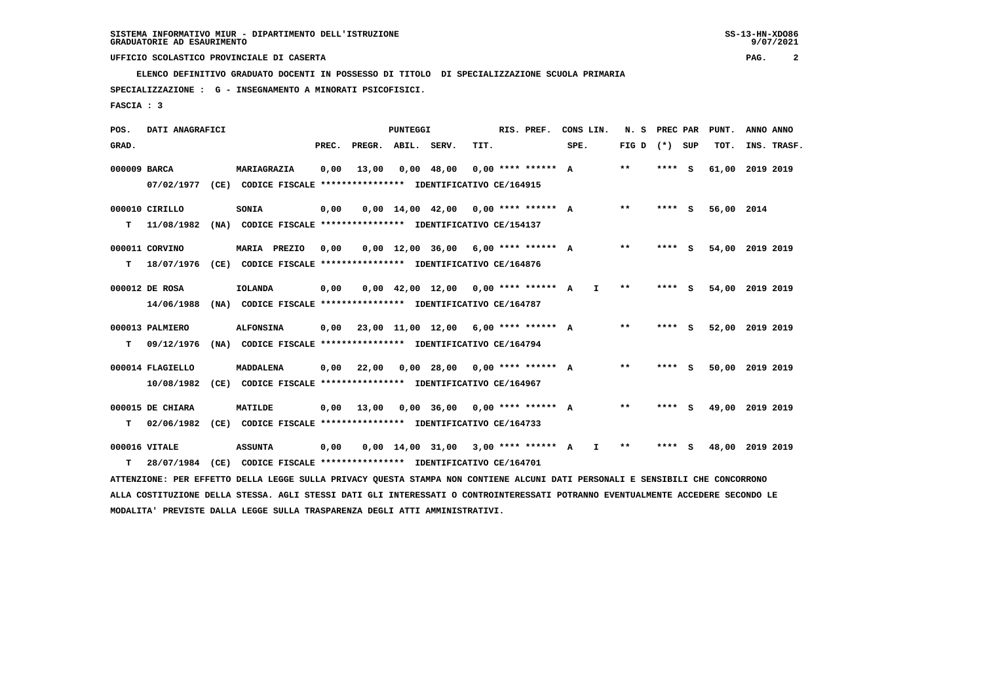**ELENCO DEFINITIVO GRADUATO DOCENTI IN POSSESSO DI TITOLO DI SPECIALIZZAZIONE SCUOLA PRIMARIA**

 **SPECIALIZZAZIONE : G - INSEGNAMENTO A MINORATI PSICOFISICI.**

 **FASCIA : 3**

| POS.         | DATI ANAGRAFICI  |                                                                                                                                 |       |                    | <b>PUNTEGGI</b> |                                        |      | RIS. PREF.           | CONS LIN. |    | N. S            | PREC PAR |     | PUNT.           | ANNO ANNO |             |
|--------------|------------------|---------------------------------------------------------------------------------------------------------------------------------|-------|--------------------|-----------------|----------------------------------------|------|----------------------|-----------|----|-----------------|----------|-----|-----------------|-----------|-------------|
| GRAD.        |                  |                                                                                                                                 | PREC. | PREGR. ABIL. SERV. |                 |                                        | TIT. |                      | SPE.      |    | FIG D $(*)$ SUP |          |     | TOT.            |           | INS. TRASF. |
| 000009 BARCA |                  | MARIAGRAZIA                                                                                                                     | 0,00  | 13,00              |                 | $0,00$ 48,00                           |      | $0.00$ **** ****** A |           |    | $* *$           | ****     | - S | 61,00 2019 2019 |           |             |
|              | 07/02/1977       | (CE) CODICE FISCALE **************** IDENTIFICATIVO CE/164915                                                                   |       |                    |                 |                                        |      |                      |           |    |                 |          |     |                 |           |             |
|              | 000010 CIRILLO   | SONIA                                                                                                                           | 0,00  |                    |                 | $0,00$ 14,00 42,00 0,00 **** ****** A  |      |                      |           |    | $***$           | **** S   |     | 56,00 2014      |           |             |
| т            | 11/08/1982       | (NA) CODICE FISCALE **************** IDENTIFICATIVO CE/154137                                                                   |       |                    |                 |                                        |      |                      |           |    |                 |          |     |                 |           |             |
|              | 000011 CORVINO   | MARIA PREZIO                                                                                                                    | 0,00  |                    |                 | $0,00$ 12,00 36,00 6,00 **** ****** A  |      |                      |           |    | $***$           | **** S   |     | 54,00 2019 2019 |           |             |
| т            | 18/07/1976       | (CE) CODICE FISCALE **************** IDENTIFICATIVO CE/164876                                                                   |       |                    |                 |                                        |      |                      |           |    |                 |          |     |                 |           |             |
|              | 000012 DE ROSA   | <b>IOLANDA</b>                                                                                                                  | 0,00  |                    |                 | $0,00$ 42,00 12,00 0,00 **** ****** A  |      |                      |           | I. | $* *$           | ****     | - S | 54,00           | 2019 2019 |             |
|              | 14/06/1988       | (NA) CODICE FISCALE **************** IDENTIFICATIVO CE/164787                                                                   |       |                    |                 |                                        |      |                      |           |    |                 |          |     |                 |           |             |
|              | 000013 PALMIERO  | <b>ALFONSINA</b>                                                                                                                | 0,00  |                    |                 | $23,00$ 11,00 12,00 6,00 **** ****** A |      |                      |           |    | $**$            | **** S   |     | 52,00 2019 2019 |           |             |
| т            | 09/12/1976       | (NA) CODICE FISCALE **************** IDENTIFICATIVO CE/164794                                                                   |       |                    |                 |                                        |      |                      |           |    |                 |          |     |                 |           |             |
|              | 000014 FLAGIELLO | <b>MADDALENA</b>                                                                                                                | 0,00  | 22,00              |                 | $0,00$ 28,00 0,00 **** ****** A        |      |                      |           |    | $* *$           | **** S   |     | 50,00 2019 2019 |           |             |
|              | 10/08/1982       | (CE) CODICE FISCALE **************** IDENTIFICATIVO CE/164967                                                                   |       |                    |                 |                                        |      |                      |           |    |                 |          |     |                 |           |             |
|              | 000015 DE CHIARA | MATILDE                                                                                                                         | 0,00  | 13,00              |                 | $0.00$ 36.00 0.00 **** ****** A        |      |                      |           |    | $* *$           | **** S   |     | 49,00           | 2019 2019 |             |
| т            | 02/06/1982       | (CE) CODICE FISCALE **************** IDENTIFICATIVO CE/164733                                                                   |       |                    |                 |                                        |      |                      |           |    |                 |          |     |                 |           |             |
|              | 000016 VITALE    | <b>ASSUNTA</b>                                                                                                                  | 0,00  |                    |                 | $0,00$ 14,00 31,00 3,00 **** ****** A  |      |                      |           | I. | $* *$           | **** S   |     | 48,00 2019 2019 |           |             |
|              |                  | (CE) CODICE FISCALE **************** IDENTIFICATIVO CE/164701                                                                   |       |                    |                 |                                        |      |                      |           |    |                 |          |     |                 |           |             |
| т            | 28/07/1984       |                                                                                                                                 |       |                    |                 |                                        |      |                      |           |    |                 |          |     |                 |           |             |
|              |                  | ATTENZIONE: PER EFFETTO DELLA LEGGE SULLA PRIVACY QUESTA STAMPA NON CONTIENE ALCUNI DATI PERSONALI E SENSIBILI CHE CONCORRONO   |       |                    |                 |                                        |      |                      |           |    |                 |          |     |                 |           |             |
|              |                  | ALLA COSTITUZIONE DELLA STESSA. AGLI STESSI DATI GLI INTERESSATI O CONTROINTERESSATI POTRANNO EVENTUALMENTE ACCEDERE SECONDO LE |       |                    |                 |                                        |      |                      |           |    |                 |          |     |                 |           |             |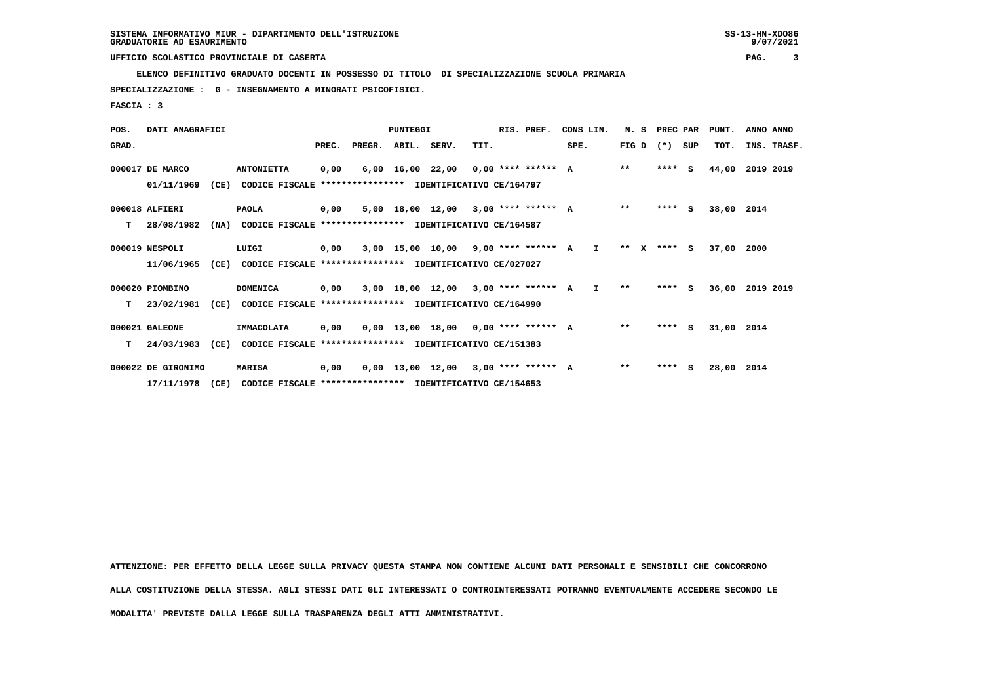**ELENCO DEFINITIVO GRADUATO DOCENTI IN POSSESSO DI TITOLO DI SPECIALIZZAZIONE SCUOLA PRIMARIA**

 **SPECIALIZZAZIONE : G - INSEGNAMENTO A MINORATI PSICOFISICI.**

 **FASCIA : 3**

| POS.  | DATI ANAGRAFICI    |      |                                                          |       |                    | PUNTEGGI |                                          |      | RIS. PREF. | CONS LIN. |              |              | N. S | PREC PAR          | PUNT.      | ANNO ANNO   |  |
|-------|--------------------|------|----------------------------------------------------------|-------|--------------------|----------|------------------------------------------|------|------------|-----------|--------------|--------------|------|-------------------|------------|-------------|--|
| GRAD. |                    |      |                                                          | PREC. | PREGR. ABIL. SERV. |          |                                          | TIT. |            | SPE.      |              |              |      | FIG $D$ $(*)$ SUP | TOT.       | INS. TRASF. |  |
|       | 000017 DE MARCO    |      | <b>ANTONIETTA</b>                                        | 0,00  |                    |          | $6,00$ 16,00 22,00 0,00 **** ****** A    |      |            |           |              | $***$        |      | $***$ S           | 44,00      | 2019 2019   |  |
|       | 01/11/1969         | (CE) | CODICE FISCALE                                           |       |                    |          | *************** IDENTIFICATIVO CE/164797 |      |            |           |              |              |      |                   |            |             |  |
|       | 000018 ALFIERI     |      | <b>PAOLA</b>                                             | 0,00  |                    |          | $5.00$ 18.00 12.00 3.00 **** ****** A    |      |            |           |              | $* *$        |      | $***$ S           | 38,00      | 2014        |  |
| т     | 28/08/1982         | (NA) | CODICE FISCALE **************** IDENTIFICATIVO CE/164587 |       |                    |          |                                          |      |            |           |              |              |      |                   |            |             |  |
|       | 000019 NESPOLI     |      | LUIGI                                                    | 0,00  |                    |          | $3,00$ 15,00 10,00 9,00 **** ****** A    |      |            |           | $\mathbf{I}$ | $***$ X      |      | **** S            | 37,00      | 2000        |  |
|       | 11/06/1965         | (CE) | CODICE FISCALE **************** IDENTIFICATIVO CE/027027 |       |                    |          |                                          |      |            |           |              |              |      |                   |            |             |  |
|       | 000020 PIOMBINO    |      | <b>DOMENICA</b>                                          | 0,00  |                    |          | 3,00 18,00 12,00 3,00 **** ****** A I    |      |            |           |              | $\star\star$ |      | $***$ S           | 36,00      | 2019 2019   |  |
| т     | 23/02/1981         | (CE) | CODICE FISCALE **************** IDENTIFICATIVO CE/164990 |       |                    |          |                                          |      |            |           |              |              |      |                   |            |             |  |
|       | 000021 GALEONE     |      | <b>IMMACOLATA</b>                                        | 0,00  |                    |          | $0,00$ 13,00 18,00 0,00 **** ****** A    |      |            |           |              | $* *$        |      | $***$ S           | 31,00 2014 |             |  |
| т     | 24/03/1983         | (CE) | CODICE FISCALE **************** IDENTIFICATIVO CE/151383 |       |                    |          |                                          |      |            |           |              |              |      |                   |            |             |  |
|       | 000022 DE GIRONIMO |      | <b>MARISA</b>                                            | 0,00  |                    |          | $0,00$ 13,00 12,00 3,00 **** ****** A    |      |            |           |              | $* *$        |      | $***$ S           | 28,00      | 2014        |  |
|       | 17/11/1978         | (CE) | CODICE FISCALE **************** IDENTIFICATIVO CE/154653 |       |                    |          |                                          |      |            |           |              |              |      |                   |            |             |  |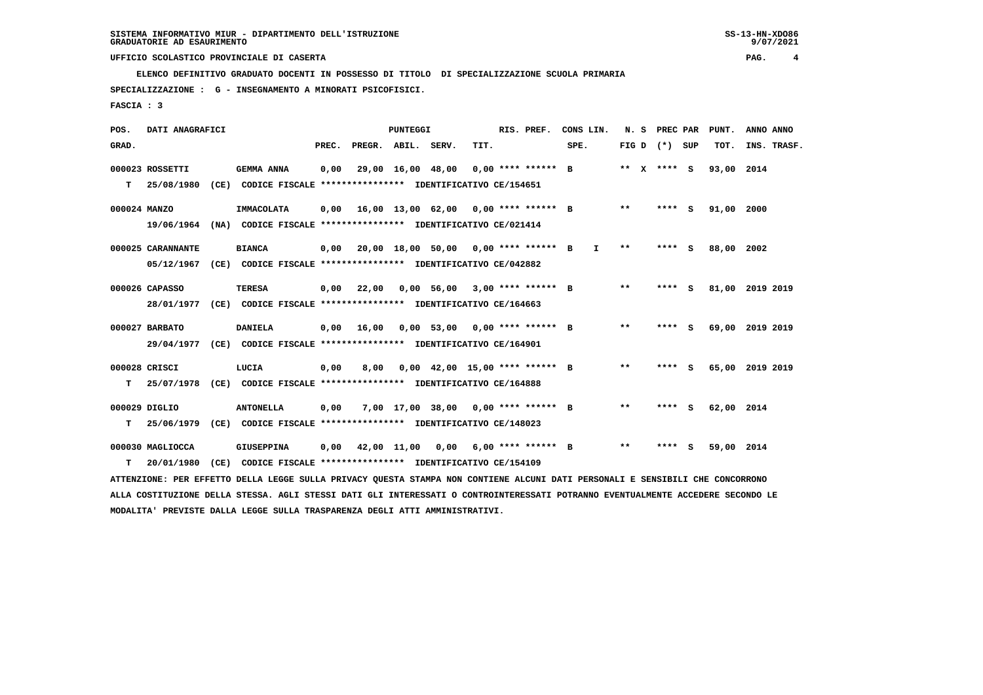**ELENCO DEFINITIVO GRADUATO DOCENTI IN POSSESSO DI TITOLO DI SPECIALIZZAZIONE SCUOLA PRIMARIA**

 **SPECIALIZZAZIONE : G - INSEGNAMENTO A MINORATI PSICOFISICI.**

 **FASCIA : 3**

| POS.         | DATI ANAGRAFICI   |      |                                                                                                                               | PUNTEGGI |                    |                   |                                      |      |  | RIS. PREF.           | CONS LIN.    | N. S         | PREC PAR |          | PUNT. | ANNO ANNO   |
|--------------|-------------------|------|-------------------------------------------------------------------------------------------------------------------------------|----------|--------------------|-------------------|--------------------------------------|------|--|----------------------|--------------|--------------|----------|----------|-------|-------------|
| GRAD.        |                   |      |                                                                                                                               | PREC.    | PREGR. ABIL. SERV. |                   |                                      | TIT. |  |                      | SPE.         | FIG D        | (*) SUP  |          | TOT.  | INS. TRASF. |
|              | 000023 ROSSETTI   |      | <b>GEMMA ANNA</b>                                                                                                             | 0,00     |                    | 29,00 16,00 48,00 |                                      |      |  | $0.00$ **** ****** B |              | ** x **** S  |          |          | 93,00 | 2014        |
| т            | 25/08/1980        | (CE) | CODICE FISCALE **************** IDENTIFICATIVO CE/154651                                                                      |          |                    |                   |                                      |      |  |                      |              |              |          |          |       |             |
| 000024 MANZO |                   |      | IMMACOLATA                                                                                                                    | 0.00     |                    |                   | 16,00 13,00 62,00 0,00 **** ****** B |      |  |                      |              | $***$        | ****     | S        | 91,00 | 2000        |
|              | 19/06/1964        |      | (NA) CODICE FISCALE **************** IDENTIFICATIVO CE/021414                                                                 |          |                    |                   |                                      |      |  |                      |              |              |          |          |       |             |
|              | 000025 CARANNANTE |      | <b>BIANCA</b>                                                                                                                 | 0,00     |                    |                   | 20,00 18,00 50,00 0,00 **** ****** B |      |  |                      | $\mathbf{I}$ | $* *$        | ****     | <b>S</b> | 88,00 | 2002        |
|              | 05/12/1967        |      | (CE) CODICE FISCALE **************** IDENTIFICATIVO CE/042882                                                                 |          |                    |                   |                                      |      |  |                      |              |              |          |          |       |             |
|              | 000026 CAPASSO    |      | <b>TERESA</b>                                                                                                                 | 0,00     | 22,00              |                   | $0,00$ 56,00 3,00 **** ****** B      |      |  |                      |              | $***$        | ****     | S        | 81,00 | 2019 2019   |
|              | 28/01/1977        |      | (CE) CODICE FISCALE **************** IDENTIFICATIVO CE/164663                                                                 |          |                    |                   |                                      |      |  |                      |              |              |          |          |       |             |
|              | 000027 BARBATO    |      | <b>DANIELA</b>                                                                                                                | 0,00     | 16,00              |                   | $0,00$ 53,00 0,00 **** ****** B      |      |  |                      |              | $***$        | ****     | s        | 69,00 | 2019 2019   |
|              | 29/04/1977        |      | (CE) CODICE FISCALE **************** IDENTIFICATIVO CE/164901                                                                 |          |                    |                   |                                      |      |  |                      |              |              |          |          |       |             |
|              | 000028 CRISCI     |      | LUCIA                                                                                                                         | 0.00     | 8,00               |                   | $0.00$ 42.00 15.00 **** ****** B     |      |  |                      |              | $\star\star$ | ****     | s        | 65,00 | 2019 2019   |
| т            | 25/07/1978        |      | (CE) CODICE FISCALE **************** IDENTIFICATIVO CE/164888                                                                 |          |                    |                   |                                      |      |  |                      |              |              |          |          |       |             |
|              | 000029 DIGLIO     |      | <b>ANTONELLA</b>                                                                                                              | 0,00     |                    |                   | 7,00 17,00 38,00 0,00 **** ****** B  |      |  |                      |              | $* *$        | ****     | S.       | 62,00 | 2014        |
| т            | 25/06/1979        |      | (CE) CODICE FISCALE **************** IDENTIFICATIVO CE/148023                                                                 |          |                    |                   |                                      |      |  |                      |              |              |          |          |       |             |
|              | 000030 MAGLIOCCA  |      | <b>GIUSEPPINA</b>                                                                                                             | 0.00     |                    |                   | 42,00 11,00 0,00 6,00 **** ****** B  |      |  |                      |              | $* *$        | ****     | s        | 59,00 | 2014        |
| т            | 20/01/1980        | (CE) | CODICE FISCALE **************** IDENTIFICATIVO CE/154109                                                                      |          |                    |                   |                                      |      |  |                      |              |              |          |          |       |             |
|              |                   |      | ATTENZIONE: PER EFFETTO DELLA LEGGE SULLA PRIVACY QUESTA STAMPA NON CONTIENE ALCUNI DATI PERSONALI E SENSIBILI CHE CONCORRONO |          |                    |                   |                                      |      |  |                      |              |              |          |          |       |             |

 **ALLA COSTITUZIONE DELLA STESSA. AGLI STESSI DATI GLI INTERESSATI O CONTROINTERESSATI POTRANNO EVENTUALMENTE ACCEDERE SECONDO LE MODALITA' PREVISTE DALLA LEGGE SULLA TRASPARENZA DEGLI ATTI AMMINISTRATIVI.**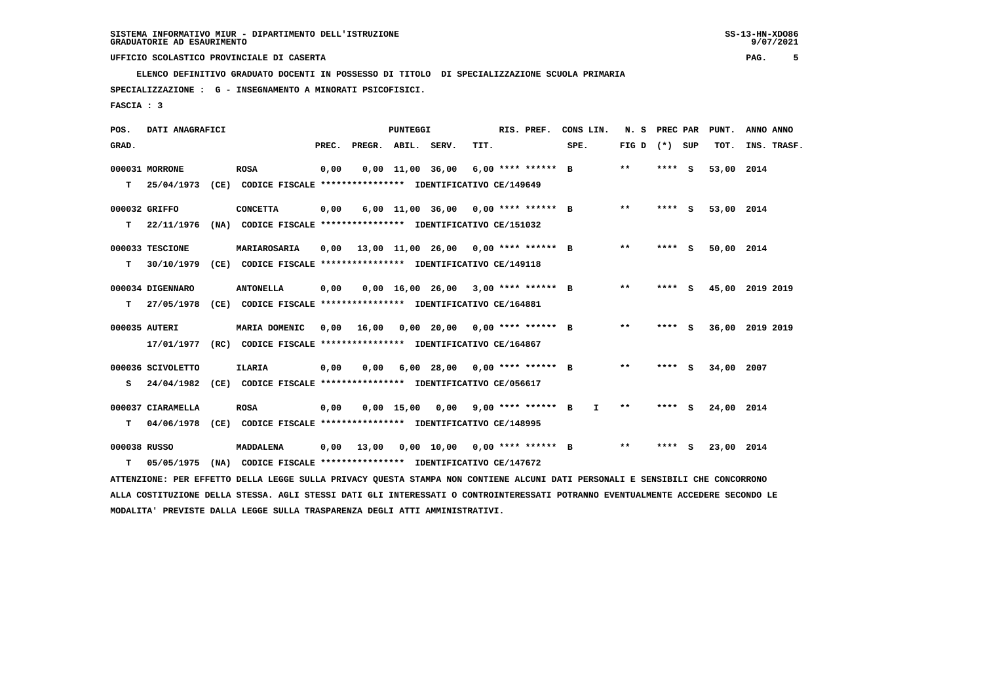**ELENCO DEFINITIVO GRADUATO DOCENTI IN POSSESSO DI TITOLO DI SPECIALIZZAZIONE SCUOLA PRIMARIA**

 **SPECIALIZZAZIONE : G - INSEGNAMENTO A MINORATI PSICOFISICI.**

 **FASCIA : 3**

| POS.         | DATI ANAGRAFICI   |                                                                                                                                 |       |                    | <b>PUNTEGGI</b>    |                                       |      | RIS. PREF.           | CONS LIN.    | N. S            | PREC PAR | PUNT.      | ANNO ANNO       |
|--------------|-------------------|---------------------------------------------------------------------------------------------------------------------------------|-------|--------------------|--------------------|---------------------------------------|------|----------------------|--------------|-----------------|----------|------------|-----------------|
| GRAD.        |                   |                                                                                                                                 | PREC. | PREGR. ABIL. SERV. |                    |                                       | TIT. |                      | SPE.         | FIG D $(*)$ SUP |          | TOT.       | INS. TRASF.     |
|              | 000031 MORRONE    | <b>ROSA</b>                                                                                                                     | 0,00  |                    | $0,00$ 11,00 36,00 |                                       |      | $6.00$ **** ****** B |              | $***$           | **** S   | 53,00 2014 |                 |
| т            | 25/04/1973        | (CE) CODICE FISCALE **************** IDENTIFICATIVO CE/149649                                                                   |       |                    |                    |                                       |      |                      |              |                 |          |            |                 |
|              | 000032 GRIFFO     | <b>CONCETTA</b>                                                                                                                 | 0,00  |                    |                    | 6,00 11,00 36,00 0,00 **** ****** B   |      |                      |              | $***$           | **** S   | 53,00 2014 |                 |
| т            | 22/11/1976        | (NA) CODICE FISCALE **************** IDENTIFICATIVO CE/151032                                                                   |       |                    |                    |                                       |      |                      |              |                 |          |            |                 |
|              | 000033 TESCIONE   | MARIAROSARIA                                                                                                                    | 0,00  |                    |                    | 13,00 11,00 26,00 0,00 **** ****** B  |      |                      |              | $***$           | **** S   | 50,00 2014 |                 |
| т            | 30/10/1979        | (CE) CODICE FISCALE **************** IDENTIFICATIVO CE/149118                                                                   |       |                    |                    |                                       |      |                      |              |                 |          |            |                 |
|              | 000034 DIGENNARO  | <b>ANTONELLA</b>                                                                                                                | 0,00  |                    |                    | $0.00$ 16.00 26.00 3.00 **** ****** B |      |                      |              | $***$           | **** S   |            | 45,00 2019 2019 |
| т            | 27/05/1978        | (CE) CODICE FISCALE **************** IDENTIFICATIVO CE/164881                                                                   |       |                    |                    |                                       |      |                      |              |                 |          |            |                 |
|              | 000035 AUTERI     | MARIA DOMENIC                                                                                                                   | 0,00  | 16,00              |                    | $0,00$ 20,00 0,00 **** ****** B       |      |                      |              | $***$           | **** S   |            | 36,00 2019 2019 |
|              | 17/01/1977        | (RC) CODICE FISCALE **************** IDENTIFICATIVO CE/164867                                                                   |       |                    |                    |                                       |      |                      |              |                 |          |            |                 |
|              | 000036 SCIVOLETTO | ILARIA                                                                                                                          | 0,00  | 0.00               |                    | $6,00$ 28,00 0,00 **** ****** B       |      |                      |              | $***$           | **** S   | 34,00 2007 |                 |
| s            | 24/04/1982        | (CE) CODICE FISCALE **************** IDENTIFICATIVO CE/056617                                                                   |       |                    |                    |                                       |      |                      |              |                 |          |            |                 |
|              | 000037 CIARAMELLA | <b>ROSA</b>                                                                                                                     | 0,00  |                    |                    | $0,00$ 15,00 0,00 9,00 **** ****** B  |      |                      | $\mathbf{I}$ | $* *$           | **** S   | 24,00 2014 |                 |
| т            | 04/06/1978        | (CE) CODICE FISCALE **************** IDENTIFICATIVO CE/148995                                                                   |       |                    |                    |                                       |      |                      |              |                 |          |            |                 |
| 000038 RUSSO |                   | MADDALENA                                                                                                                       | 0,00  | 13,00              |                    | $0.00$ 10.00 0.00 **** ****** B       |      |                      |              | $* *$           | **** S   | 23,00 2014 |                 |
| т            | 05/05/1975        | (NA) CODICE FISCALE **************** IDENTIFICATIVO CE/147672                                                                   |       |                    |                    |                                       |      |                      |              |                 |          |            |                 |
|              |                   | ATTENZIONE: PER EFFETTO DELLA LEGGE SULLA PRIVACY QUESTA STAMPA NON CONTIENE ALCUNI DATI PERSONALI E SENSIBILI CHE CONCORRONO   |       |                    |                    |                                       |      |                      |              |                 |          |            |                 |
|              |                   | ALLA COSTITUZIONE DELLA STESSA. AGLI STESSI DATI GLI INTERESSATI O CONTROINTERESSATI POTRANNO EVENTUALMENTE ACCEDERE SECONDO LE |       |                    |                    |                                       |      |                      |              |                 |          |            |                 |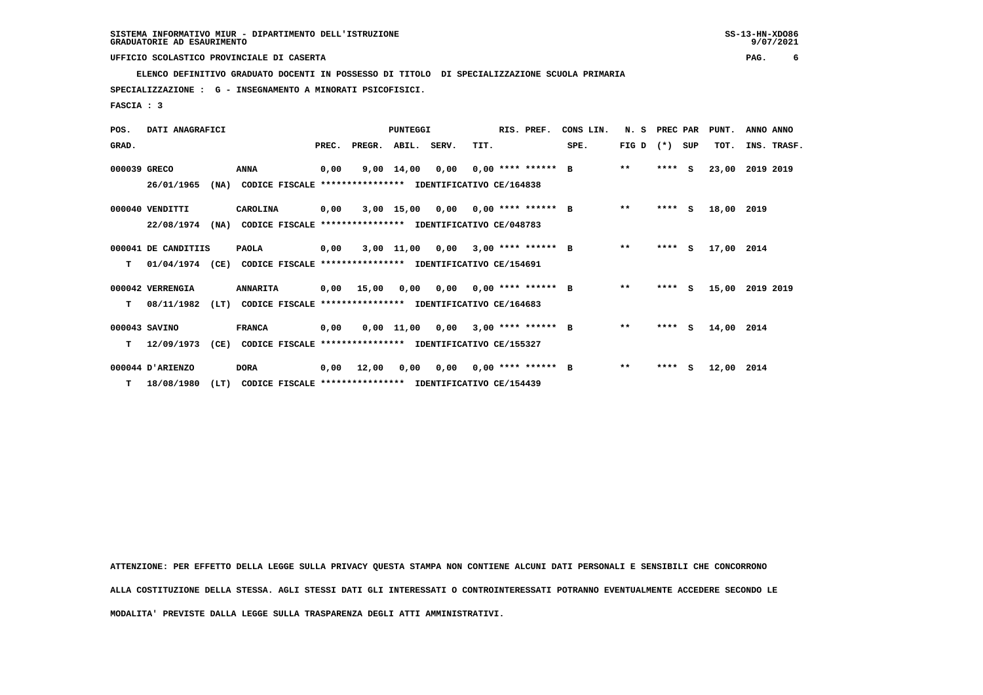**ELENCO DEFINITIVO GRADUATO DOCENTI IN POSSESSO DI TITOLO DI SPECIALIZZAZIONE SCUOLA PRIMARIA**

 **SPECIALIZZAZIONE : G - INSEGNAMENTO A MINORATI PSICOFISICI.**

 **FASCIA : 3**

| POS.         | DATI ANAGRAFICI     |                                                                  |       |                                           | PUNTEGGI           |      |                             | RIS. PREF.           | CONS LIN. | N.S          | PREC PAR |     | PUNT. | ANNO ANNO   |
|--------------|---------------------|------------------------------------------------------------------|-------|-------------------------------------------|--------------------|------|-----------------------------|----------------------|-----------|--------------|----------|-----|-------|-------------|
| GRAD.        |                     |                                                                  | PREC. | PREGR. ABIL. SERV.                        |                    |      | TIT.                        |                      | SPE.      | FIG D        | $(* )$   | SUP | TOT.  | INS. TRASF. |
| 000039 GRECO |                     | <b>ANNA</b>                                                      | 0,00  |                                           | $9,00 \quad 14,00$ |      | $0.00$ $0.00$ **** ****** B |                      |           | $***$        | $***$ S  |     | 23,00 | 2019 2019   |
|              | 26/01/1965          | (NA)<br>CODICE FISCALE                                           |       | **************** IDENTIFICATIVO CE/164838 |                    |      |                             |                      |           |              |          |     |       |             |
|              | 000040 VENDITTI     | CAROLINA                                                         | 0,00  |                                           | 3,00 15,00         |      | $0,00$ $0,00$ **** ****** B |                      |           | $\star\star$ | $***$ S  |     | 18,00 | 2019        |
|              | 22/08/1974          | (NA)<br>CODICE FISCALE **************** IDENTIFICATIVO CE/048783 |       |                                           |                    |      |                             |                      |           |              |          |     |       |             |
|              | 000041 DE CANDITIIS | <b>PAOLA</b>                                                     | 0,00  |                                           | 3,00 11,00         | 0,00 |                             | $3.00$ **** ****** B |           | $***$        | ****     | S.  | 17,00 | 2014        |
| т            | 01/04/1974 (CE)     | CODICE FISCALE **************** IDENTIFICATIVO CE/154691         |       |                                           |                    |      |                             |                      |           |              |          |     |       |             |
|              | 000042 VERRENGIA    | <b>ANNARITA</b>                                                  | 0,00  | 15,00                                     | 0,00               |      | $0.00$ $0.00$ **** ****** B |                      |           | $**$         | ****     | S.  | 15,00 | 2019 2019   |
| т            | 08/11/1982          | (LT)<br>CODICE FISCALE **************** IDENTIFICATIVO CE/164683 |       |                                           |                    |      |                             |                      |           |              |          |     |       |             |
|              | 000043 SAVINO       | <b>FRANCA</b>                                                    | 0,00  |                                           | 0,00 11,00         | 0,00 |                             | $3,00$ **** ****** B |           | $\star\star$ | ****     | - S | 14,00 | 2014        |
| т            | 12/09/1973          | (CE)<br>CODICE FISCALE **************** IDENTIFICATIVO CE/155327 |       |                                           |                    |      |                             |                      |           |              |          |     |       |             |
|              | 000044 D'ARIENZO    | <b>DORA</b>                                                      | 0,00  | 12,00                                     | 0,00               | 0,00 |                             | $0,00$ **** ****** B |           | $***$        | $***5$   |     | 12,00 | 2014        |
| T.           | 18/08/1980          | (LT)<br>CODICE FISCALE **************** IDENTIFICATIVO CE/154439 |       |                                           |                    |      |                             |                      |           |              |          |     |       |             |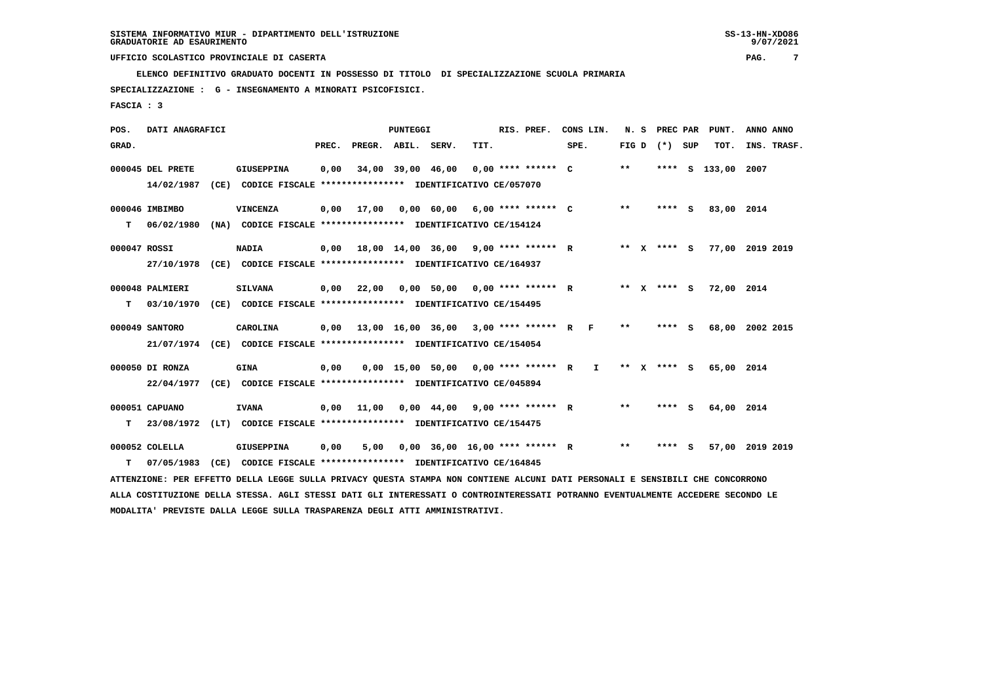**ELENCO DEFINITIVO GRADUATO DOCENTI IN POSSESSO DI TITOLO DI SPECIALIZZAZIONE SCUOLA PRIMARIA**

 **SPECIALIZZAZIONE : G - INSEGNAMENTO A MINORATI PSICOFISICI.**

 **FASCIA : 3**

| POS.         | DATI ANAGRAFICI  |                                                                                                                                 |      | PUNTEGGI                                  |                                       | RIS. PREF. | CONS LIN. |      |              |       | N. S PREC PAR PUNT. | ANNO ANNO          |  |             |
|--------------|------------------|---------------------------------------------------------------------------------------------------------------------------------|------|-------------------------------------------|---------------------------------------|------------|-----------|------|--------------|-------|---------------------|--------------------|--|-------------|
| GRAD.        |                  |                                                                                                                                 |      | PREC. PREGR. ABIL. SERV.                  |                                       | TIT.       |           | SPE. |              | FIG D | (*) SUP             | TOT.               |  | INS. TRASF. |
|              | 000045 DEL PRETE | <b>GIUSEPPINA</b>                                                                                                               | 0,00 |                                           | 34,00 39,00 46,00 0,00 **** ****** C  |            |           |      |              | $***$ |                     | **** S 133,00 2007 |  |             |
|              | 14/02/1987       | (CE) CODICE FISCALE **************** IDENTIFICATIVO CE/057070                                                                   |      |                                           |                                       |            |           |      |              |       |                     |                    |  |             |
|              | 000046 IMBIMBO   | <b>VINCENZA</b>                                                                                                                 | 0,00 | 17,00                                     | $0,00$ 60,00 6,00 **** ****** C       |            |           |      |              | $***$ | **** S              | 83,00 2014         |  |             |
| т            | 06/02/1980       | (NA) CODICE FISCALE **************** IDENTIFICATIVO CE/154124                                                                   |      |                                           |                                       |            |           |      |              |       |                     |                    |  |             |
| 000047 ROSSI |                  | <b>NADIA</b>                                                                                                                    | 0,00 | 18,00 14,00 36,00 9,00 **** ****** R      |                                       |            |           |      |              |       | ** X **** S         | 77,00 2019 2019    |  |             |
|              | 27/10/1978       | (CE) CODICE FISCALE *************** IDENTIFICATIVO CE/164937                                                                    |      |                                           |                                       |            |           |      |              |       |                     |                    |  |             |
|              | 000048 PALMIERI  | <b>SILVANA</b>                                                                                                                  | 0,00 | 22,00  0,00  50,00  0,00  ****  ******  R |                                       |            |           |      |              |       | ** x **** S         | 72,00 2014         |  |             |
| т            |                  | 03/10/1970 (CE) CODICE FISCALE *************** IDENTIFICATIVO CE/154495                                                         |      |                                           |                                       |            |           |      |              |       |                     |                    |  |             |
|              | 000049 SANTORO   | CAROLINA                                                                                                                        | 0.00 | 13,00 16,00 36,00 3,00 **** ****** R F    |                                       |            |           |      |              | $***$ | $***$ S             | 68,00 2002 2015    |  |             |
|              |                  | 21/07/1974 (CE) CODICE FISCALE *************** IDENTIFICATIVO CE/154054                                                         |      |                                           |                                       |            |           |      |              |       |                     |                    |  |             |
|              | 000050 DI RONZA  | <b>GINA</b>                                                                                                                     | 0,00 |                                           | $0,00$ 15,00 50,00 0,00 **** ****** R |            |           |      | $\mathbf{I}$ |       | ** x **** S         | 65,00 2014         |  |             |
|              | 22/04/1977       | (CE) CODICE FISCALE *************** IDENTIFICATIVO CE/045894                                                                    |      |                                           |                                       |            |           |      |              |       |                     |                    |  |             |
|              | 000051 CAPUANO   | <b>IVANA</b>                                                                                                                    | 0,00 | 11,00  0,00  44,00  9,00  ****  ******  R |                                       |            |           |      |              | $* *$ | **** S              | 64,00 2014         |  |             |
| т            |                  | 23/08/1972 (LT) CODICE FISCALE *************** IDENTIFICATIVO CE/154475                                                         |      |                                           |                                       |            |           |      |              |       |                     |                    |  |             |
|              | 000052 COLELLA   | <b>GIUSEPPINA</b>                                                                                                               | 0,00 | 5,00                                      | $0.00$ 36.00 16.00 **** ****** R      |            |           |      |              | $***$ | **** S              | 57,00 2019 2019    |  |             |
| т            | 07/05/1983       | (CE) CODICE FISCALE **************** IDENTIFICATIVO CE/164845                                                                   |      |                                           |                                       |            |           |      |              |       |                     |                    |  |             |
|              |                  | ATTENZIONE: PER EFFETTO DELLA LEGGE SULLA PRIVACY QUESTA STAMPA NON CONTIENE ALCUNI DATI PERSONALI E SENSIBILI CHE CONCORRONO   |      |                                           |                                       |            |           |      |              |       |                     |                    |  |             |
|              |                  | ALLA COSTITUZIONE DELLA STESSA. AGLI STESSI DATI GLI INTERESSATI O CONTROINTERESSATI POTRANNO EVENTUALMENTE ACCEDERE SECONDO LE |      |                                           |                                       |            |           |      |              |       |                     |                    |  |             |
|              |                  | MODALITA' PREVISTE DALLA LEGGE SULLA TRASPARENZA DEGLI ATTI AMMINISTRATIVI.                                                     |      |                                           |                                       |            |           |      |              |       |                     |                    |  |             |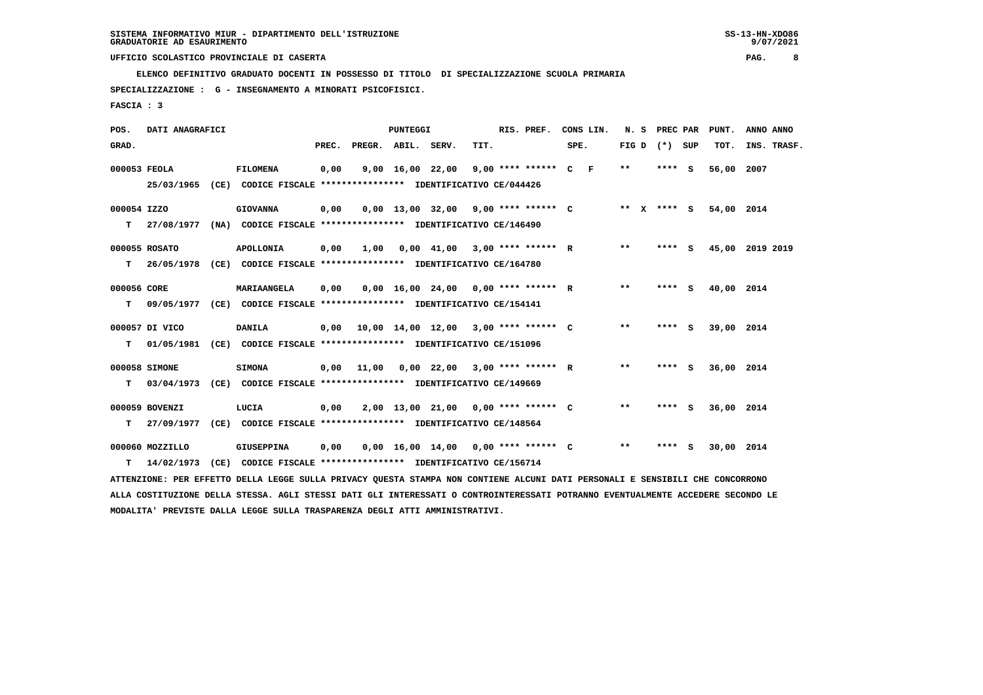**ELENCO DEFINITIVO GRADUATO DOCENTI IN POSSESSO DI TITOLO DI SPECIALIZZAZIONE SCUOLA PRIMARIA**

 **SPECIALIZZAZIONE : G - INSEGNAMENTO A MINORATI PSICOFISICI.**

 **FASCIA : 3**

| POS.         | DATI ANAGRAFICI |                                                                                                                                 |       |                    | <b>PUNTEGGI</b> |      | RIS. PREF.                            | CONS LIN. |                   | N. S PREC PAR | PUNT.      | ANNO ANNO       |
|--------------|-----------------|---------------------------------------------------------------------------------------------------------------------------------|-------|--------------------|-----------------|------|---------------------------------------|-----------|-------------------|---------------|------------|-----------------|
| GRAD.        |                 |                                                                                                                                 | PREC. | PREGR. ABIL. SERV. |                 | TIT. |                                       | SPE.      | FIG $D$ $(*)$ SUP |               | TOT.       | INS. TRASF.     |
| 000053 FEOLA |                 | <b>FILOMENA</b>                                                                                                                 | 0,00  |                    |                 |      | 9,00 16,00 22,00 9,00 **** ****** C F |           | $* *$             | **** S        | 56,00 2007 |                 |
|              |                 | 25/03/1965 (CE) CODICE FISCALE *************** IDENTIFICATIVO CE/044426                                                         |       |                    |                 |      |                                       |           |                   |               |            |                 |
| 000054 IZZO  |                 | <b>GIOVANNA</b>                                                                                                                 | 0,00  |                    |                 |      | $0,00$ 13,00 32,00 9,00 **** ****** C |           | ** X **** S       |               | 54,00 2014 |                 |
| T.           | 27/08/1977      | (NA) CODICE FISCALE **************** IDENTIFICATIVO CE/146490                                                                   |       |                    |                 |      |                                       |           |                   |               |            |                 |
|              | 000055 ROSATO   | <b>APOLLONIA</b>                                                                                                                | 0,00  | 1,00               |                 |      | $0,00$ 41,00 3,00 **** ****** R       |           | $* *$             | **** $S$      |            | 45,00 2019 2019 |
| T.           | 26/05/1978      | (CE) CODICE FISCALE *************** IDENTIFICATIVO CE/164780                                                                    |       |                    |                 |      |                                       |           |                   |               |            |                 |
| 000056 CORE  |                 | MARIAANGELA                                                                                                                     | 0,00  |                    |                 |      | $0,00$ 16,00 24,00 0,00 **** ****** R |           | $* *$             | **** S        | 40,00 2014 |                 |
| т            |                 | 09/05/1977 (CE) CODICE FISCALE **************** IDENTIFICATIVO CE/154141                                                        |       |                    |                 |      |                                       |           |                   |               |            |                 |
|              | 000057 DI VICO  | <b>DANILA</b>                                                                                                                   | 0,00  |                    |                 |      | 10,00 14,00 12,00 3,00 **** ****** C  |           | $***$             | **** S        | 39,00 2014 |                 |
| т            |                 | 01/05/1981 (CE) CODICE FISCALE **************** IDENTIFICATIVO CE/151096                                                        |       |                    |                 |      |                                       |           |                   |               |            |                 |
|              | 000058 SIMONE   | <b>SIMONA</b>                                                                                                                   | 0,00  | 11,00              |                 |      | $0,00$ 22,00 3,00 **** ****** R       |           | $* *$             | **** S        | 36,00 2014 |                 |
| т            |                 | 03/04/1973 (CE) CODICE FISCALE *************** IDENTIFICATIVO CE/149669                                                         |       |                    |                 |      |                                       |           |                   |               |            |                 |
|              | 000059 BOVENZI  | LUCIA                                                                                                                           | 0,00  |                    |                 |      | 2,00 13,00 21,00 0,00 **** ****** C   |           | $* *$             | **** S        | 36,00 2014 |                 |
| т            | 27/09/1977      | (CE) CODICE FISCALE **************** IDENTIFICATIVO CE/148564                                                                   |       |                    |                 |      |                                       |           |                   |               |            |                 |
|              | 000060 MOZZILLO | <b>GIUSEPPINA</b>                                                                                                               | 0,00  |                    |                 |      | $0,00$ 16,00 14,00 0,00 **** ****** C |           | $* *$             | **** S        | 30,00 2014 |                 |
| т            | 14/02/1973      | (CE) CODICE FISCALE **************** IDENTIFICATIVO CE/156714                                                                   |       |                    |                 |      |                                       |           |                   |               |            |                 |
|              |                 | ATTENZIONE: PER EFFETTO DELLA LEGGE SULLA PRIVACY QUESTA STAMPA NON CONTIENE ALCUNI DATI PERSONALI E SENSIBILI CHE CONCORRONO   |       |                    |                 |      |                                       |           |                   |               |            |                 |
|              |                 | ALLA COSTITUZIONE DELLA STESSA. AGLI STESSI DATI GLI INTERESSATI O CONTROINTERESSATI POTRANNO EVENTUALMENTE ACCEDERE SECONDO LE |       |                    |                 |      |                                       |           |                   |               |            |                 |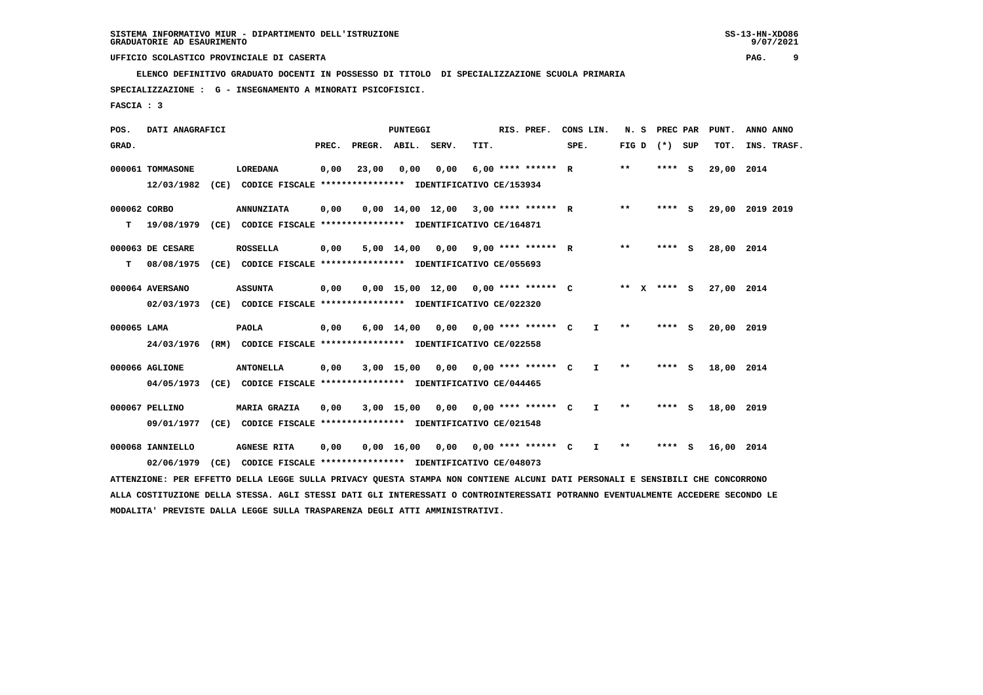**ELENCO DEFINITIVO GRADUATO DOCENTI IN POSSESSO DI TITOLO DI SPECIALIZZAZIONE SCUOLA PRIMARIA**

 **SPECIALIZZAZIONE : G - INSEGNAMENTO A MINORATI PSICOFISICI.**

 **FASCIA : 3**

| POS.         | DATI ANAGRAFICI  |      |                                                                                                                               |       |        | PUNTEGGI                       |       |      | RIS. PREF.           |      | CONS LIN.    | N.S                |        | PREC PAR | PUNT.      | ANNO ANNO |             |
|--------------|------------------|------|-------------------------------------------------------------------------------------------------------------------------------|-------|--------|--------------------------------|-------|------|----------------------|------|--------------|--------------------|--------|----------|------------|-----------|-------------|
| GRAD.        |                  |      |                                                                                                                               | PREC. | PREGR. | ABIL.                          | SERV. | TIT. |                      | SPE. |              | FIG D              | $(*)$  | SUP      | TOT.       |           | INS. TRASF. |
|              | 000061 TOMMASONE |      | <b>LOREDANA</b>                                                                                                               | 0,00  | 23,00  | 0,00                           | 0,00  |      | $6,00$ **** ****** R |      |              | $***$              | ****   | - s      | 29,00 2014 |           |             |
|              | 12/03/1982       | (CE) | CODICE FISCALE **************** IDENTIFICATIVO CE/153934                                                                      |       |        |                                |       |      |                      |      |              |                    |        |          |            |           |             |
| 000062 CORBO |                  |      | <b>ANNUNZIATA</b>                                                                                                             | 0,00  |        | $0,00 \quad 14,00 \quad 12,00$ |       |      | $3,00$ **** ****** R |      |              | $***$              | ****   | - s      | 29,00      | 2019 2019 |             |
| т            | 19/08/1979       | (CE) | CODICE FISCALE **************** IDENTIFICATIVO CE/164871                                                                      |       |        |                                |       |      |                      |      |              |                    |        |          |            |           |             |
|              | 000063 DE CESARE |      | <b>ROSSELLA</b>                                                                                                               | 0,00  |        | 5,00 14,00                     | 0,00  |      | $9.00$ **** ****** R |      |              | $* *$              | ****   | - 5      | 28,00      | 2014      |             |
| т            | 08/08/1975       | (CE) | CODICE FISCALE **************** IDENTIFICATIVO CE/055693                                                                      |       |        |                                |       |      |                      |      |              |                    |        |          |            |           |             |
|              | 000064 AVERSANO  |      | <b>ASSUNTA</b>                                                                                                                | 0,00  |        | $0,00$ 15,00 12,00             |       |      | $0.00$ **** ****** C |      |              | **<br>$\mathbf{x}$ | **** S |          | 27,00      | 2014      |             |
|              | 02/03/1973       | (CE) | CODICE FISCALE **************** IDENTIFICATIVO CE/022320                                                                      |       |        |                                |       |      |                      |      |              |                    |        |          |            |           |             |
| 000065 LAMA  |                  |      | <b>PAOLA</b>                                                                                                                  | 0,00  |        | $6,00 \quad 14,00$             | 0.00  |      | $0.00$ **** ****** C |      | I.           | **                 | ****   | - 5      | 20,00      | 2019      |             |
|              | 24/03/1976       | (RM) | CODICE FISCALE **************** IDENTIFICATIVO CE/022558                                                                      |       |        |                                |       |      |                      |      |              |                    |        |          |            |           |             |
|              | 000066 AGLIONE   |      | <b>ANTONELLA</b>                                                                                                              | 0,00  |        | $3,00$ 15,00                   | 0,00  |      | $0.00$ **** ****** C |      | $\mathbf{I}$ | $* *$              | ****   | - 5      | 18,00      | 2014      |             |
|              | 04/05/1973       | (CE) | CODICE FISCALE **************** IDENTIFICATIVO CE/044465                                                                      |       |        |                                |       |      |                      |      |              |                    |        |          |            |           |             |
|              | 000067 PELLINO   |      | <b>MARIA GRAZIA</b>                                                                                                           | 0,00  |        | $3,00$ 15,00                   | 0,00  |      | $0.00$ **** ****** C |      | $\mathbf{I}$ | $* *$              | ****   | - S      | 18,00      | 2019      |             |
|              | 09/01/1977       | (CE) | CODICE FISCALE **************** IDENTIFICATIVO CE/021548                                                                      |       |        |                                |       |      |                      |      |              |                    |        |          |            |           |             |
|              | 000068 IANNIELLO |      | <b>AGNESE RITA</b>                                                                                                            | 0,00  |        | $0,00 \quad 16,00$             | 0,00  |      | $0,00$ **** ****** C |      | I.           | $***$              | ****   | - 5      | 16,00 2014 |           |             |
|              | 02/06/1979       | (CE) | CODICE FISCALE **************** IDENTIFICATIVO CE/048073                                                                      |       |        |                                |       |      |                      |      |              |                    |        |          |            |           |             |
|              |                  |      | ATTENZIONE: PER EFFETTO DELLA LEGGE SULLA PRIVACY QUESTA STAMPA NON CONTIENE ALCUNI DATI PERSONALI E SENSIBILI CHE CONCORRONO |       |        |                                |       |      |                      |      |              |                    |        |          |            |           |             |

 **ALLA COSTITUZIONE DELLA STESSA. AGLI STESSI DATI GLI INTERESSATI O CONTROINTERESSATI POTRANNO EVENTUALMENTE ACCEDERE SECONDO LE MODALITA' PREVISTE DALLA LEGGE SULLA TRASPARENZA DEGLI ATTI AMMINISTRATIVI.**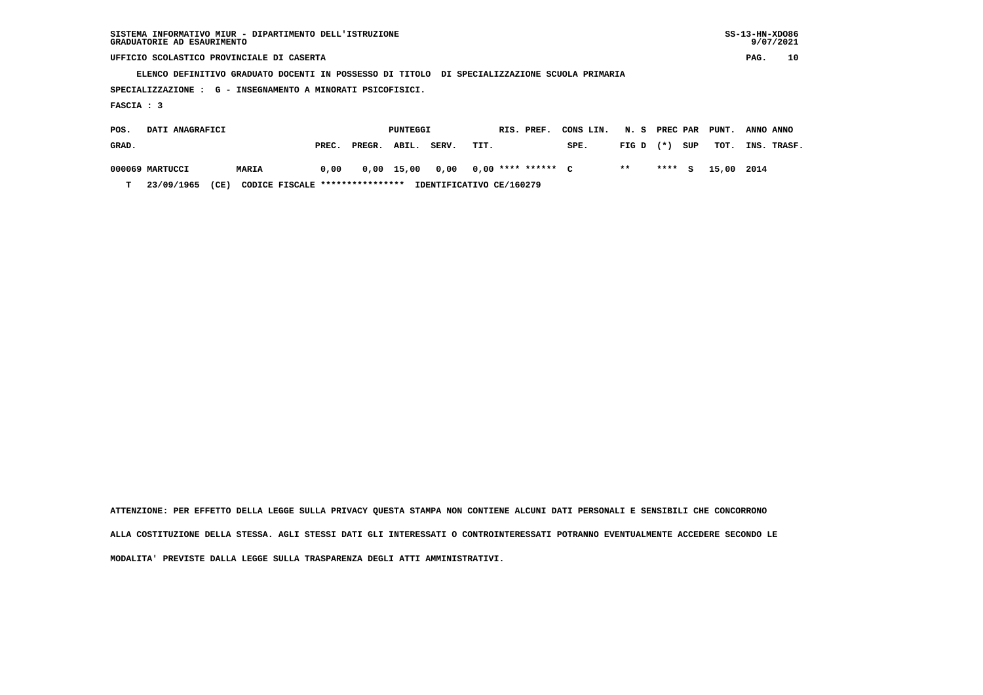| SISTEMA INFORMATIVO MIUR - DIPARTIMENTO DELL'ISTRUZIONE | $SS-13-HN-XDO86$ |
|---------------------------------------------------------|------------------|
| GRADUATORIE AD ESAURIMENTO                              | 9/07/2021        |

 $SS-13-HN-XDO86$  $9/07/2021$ 

 **UFFICIO SCOLASTICO PROVINCIALE DI CASERTA PAG. 10**

 **ELENCO DEFINITIVO GRADUATO DOCENTI IN POSSESSO DI TITOLO DI SPECIALIZZAZIONE SCUOLA PRIMARIA**

 **SPECIALIZZAZIONE : G - INSEGNAMENTO A MINORATI PSICOFISICI.**

 **FASCIA : 3**

| POS.  | DATI ANAGRAFICI |              |                                 |              | PUNTEGGI |       | RIS. PREF.               | CONS LIN. | N. S PREC PAR PUNT. |         |     |            | ANNO ANNO   |
|-------|-----------------|--------------|---------------------------------|--------------|----------|-------|--------------------------|-----------|---------------------|---------|-----|------------|-------------|
| GRAD. |                 |              | PREC.                           | PREGR. ABIL. |          | SERV. | TIT.                     | SPE.      | $FIG D (*)$         |         | SUP | тот.       | INS. TRASF. |
|       | 000069 MARTUCCI | <b>MARIA</b> | 0,00                            | 0,00 15,00   |          | 0.00  | 0,00 **** ****** C       |           | $* *$               | $***$ S |     | 15,00 2014 |             |
| т     | 23/09/1965      | (CE)         | CODICE FISCALE **************** |              |          |       | IDENTIFICATIVO CE/160279 |           |                     |         |     |            |             |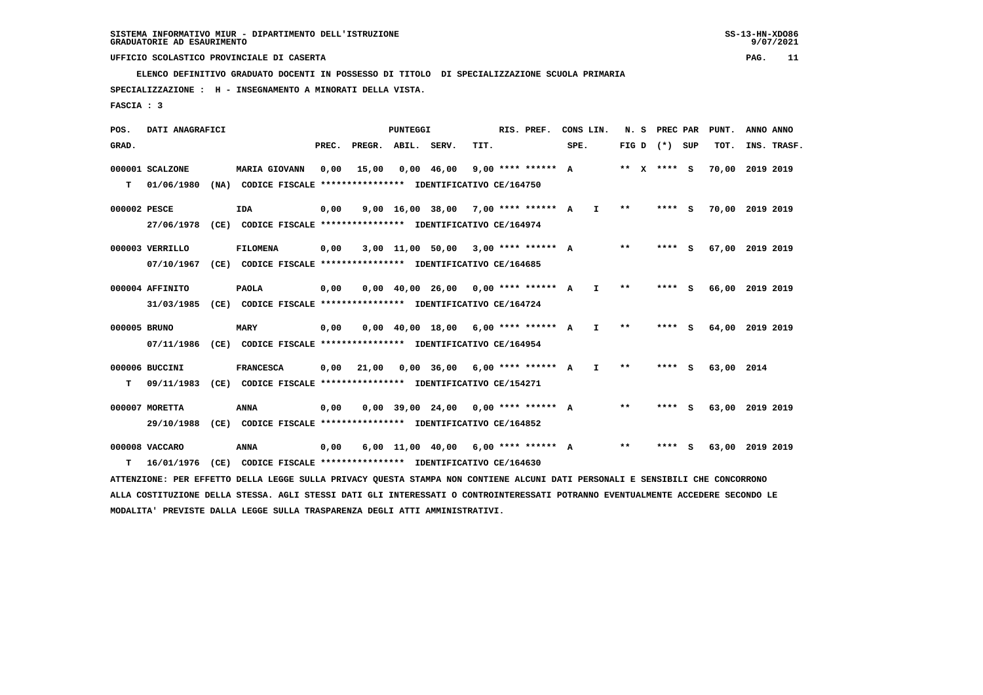**ELENCO DEFINITIVO GRADUATO DOCENTI IN POSSESSO DI TITOLO DI SPECIALIZZAZIONE SCUOLA PRIMARIA**

 **SPECIALIZZAZIONE : H - INSEGNAMENTO A MINORATI DELLA VISTA.**

 **FASCIA : 3**

 **POS. DATI ANAGRAFICI PUNTEGGI RIS. PREF. CONS LIN. N. S PREC PAR PUNT. ANNO ANNO**GRAD. **PREGRADE SERVEGE SERVE SERVE SPEREGE SPEREGALES SPEREGALES SPEREGALES SPEREGALES SPEREGALES SUP TOT. INS. TRASF. 000001 SCALZONE MARIA GIOVANN 0,00 15,00 0,00 46,00 9,00 \*\*\*\* \*\*\*\*\*\* A \*\* X \*\*\*\* S 70,00 2019 2019 T 01/06/1980 (NA) CODICE FISCALE \*\*\*\*\*\*\*\*\*\*\*\*\*\*\*\* IDENTIFICATIVO CE/164750 000002 PESCE IDA 0,00 9,00 16,00 38,00 7,00 \*\*\*\* \*\*\*\*\*\* A I \*\* \*\*\*\* S 70,00 2019 2019 27/06/1978 (CE) CODICE FISCALE \*\*\*\*\*\*\*\*\*\*\*\*\*\*\*\* IDENTIFICATIVO CE/164974 000003 VERRILLO FILOMENA 0,00 3,00 11,00 50,00 3,00 \*\*\*\* \*\*\*\*\*\* A \*\* \*\*\*\* S 67,00 2019 2019 07/10/1967 (CE) CODICE FISCALE \*\*\*\*\*\*\*\*\*\*\*\*\*\*\*\* IDENTIFICATIVO CE/164685 000004 AFFINITO PAOLA 0,00 0,00 40,00 26,00 0,00 \*\*\*\* \*\*\*\*\*\* A I \*\* \*\*\*\* S 66,00 2019 2019 31/03/1985 (CE) CODICE FISCALE \*\*\*\*\*\*\*\*\*\*\*\*\*\*\*\* IDENTIFICATIVO CE/164724 000005 BRUNO MARY 0,00 0,00 40,00 18,00 6,00 \*\*\*\* \*\*\*\*\*\* A I \*\* \*\*\*\* S 64,00 2019 2019 07/11/1986 (CE) CODICE FISCALE \*\*\*\*\*\*\*\*\*\*\*\*\*\*\*\* IDENTIFICATIVO CE/164954 000006 BUCCINI FRANCESCA 0,00 21,00 0,00 36,00 6,00 \*\*\*\* \*\*\*\*\*\* A I \*\* \*\*\*\* S 63,00 2014 T 09/11/1983 (CE) CODICE FISCALE \*\*\*\*\*\*\*\*\*\*\*\*\*\*\*\* IDENTIFICATIVO CE/154271 000007 MORETTA ANNA 0,00 0,00 39,00 24,00 0,00 \*\*\*\* \*\*\*\*\*\* A \*\* \*\*\*\* S 63,00 2019 2019 29/10/1988 (CE) CODICE FISCALE \*\*\*\*\*\*\*\*\*\*\*\*\*\*\*\* IDENTIFICATIVO CE/164852 000008 VACCARO ANNA 0,00 6,00 11,00 40,00 6,00 \*\*\*\* \*\*\*\*\*\* A \*\* \*\*\*\* S 63,00 2019 2019 T 16/01/1976 (CE) CODICE FISCALE \*\*\*\*\*\*\*\*\*\*\*\*\*\*\*\* IDENTIFICATIVO CE/164630 ATTENZIONE: PER EFFETTO DELLA LEGGE SULLA PRIVACY QUESTA STAMPA NON CONTIENE ALCUNI DATI PERSONALI E SENSIBILI CHE CONCORRONO ALLA COSTITUZIONE DELLA STESSA. AGLI STESSI DATI GLI INTERESSATI O CONTROINTERESSATI POTRANNO EVENTUALMENTE ACCEDERE SECONDO LE**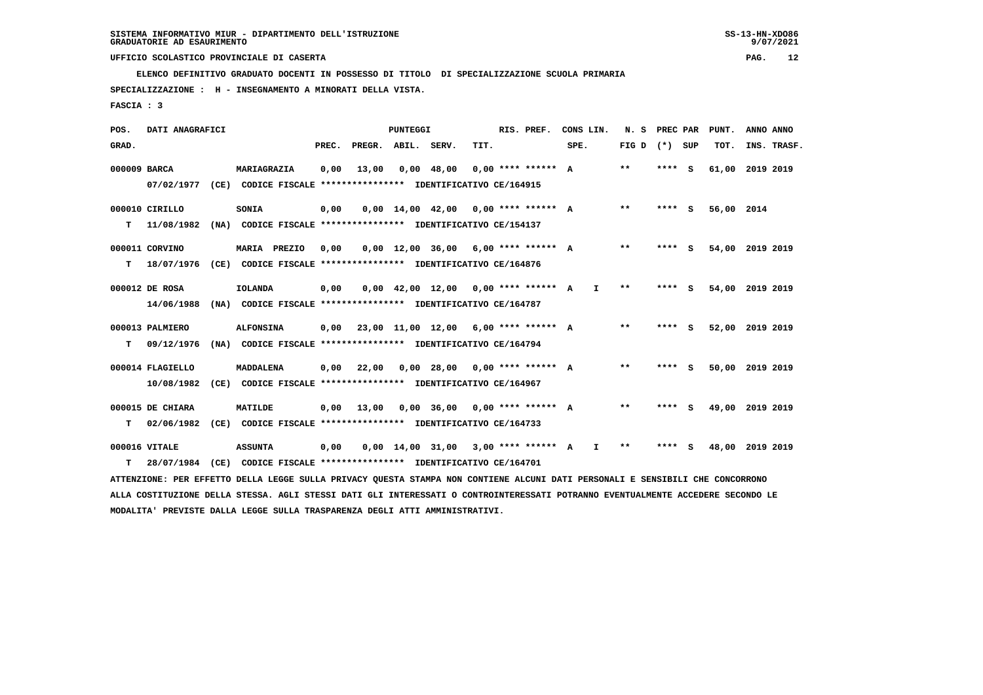**ELENCO DEFINITIVO GRADUATO DOCENTI IN POSSESSO DI TITOLO DI SPECIALIZZAZIONE SCUOLA PRIMARIA**

 **SPECIALIZZAZIONE : H - INSEGNAMENTO A MINORATI DELLA VISTA.**

 **FASCIA : 3**

| POS.         | DATI ANAGRAFICI  |                                                                                                                                 |       |                    | <b>PUNTEGGI</b> |                    |                                        | RIS. PREF. | CONS LIN.    | N.S             | PREC PAR |   | PUNT.           | ANNO ANNO |             |
|--------------|------------------|---------------------------------------------------------------------------------------------------------------------------------|-------|--------------------|-----------------|--------------------|----------------------------------------|------------|--------------|-----------------|----------|---|-----------------|-----------|-------------|
| GRAD.        |                  |                                                                                                                                 | PREC. | PREGR. ABIL. SERV. |                 |                    | TIT.                                   |            | SPE.         | FIG D $(*)$ SUP |          |   | TOT.            |           | INS. TRASF. |
| 000009 BARCA |                  | MARIAGRAZIA                                                                                                                     | 0,00  | 13,00              |                 | $0,00$ 48,00       | $0.00$ **** ****** A                   |            |              | $* *$           | ****     | ్ | 61,00           | 2019 2019 |             |
|              | 07/02/1977       | (CE) CODICE FISCALE **************** IDENTIFICATIVO CE/164915                                                                   |       |                    |                 |                    |                                        |            |              |                 |          |   |                 |           |             |
|              | 000010 CIRILLO   | SONIA                                                                                                                           | 0,00  |                    |                 | 0,00 14,00 42,00   | $0.00$ **** ****** A                   |            |              | $***$           | **** S   |   | 56,00 2014      |           |             |
| т            | 11/08/1982       | (NA) CODICE FISCALE **************** IDENTIFICATIVO CE/154137                                                                   |       |                    |                 |                    |                                        |            |              |                 |          |   |                 |           |             |
|              | 000011 CORVINO   | MARIA PREZIO                                                                                                                    | 0,00  |                    |                 | 0,00 12,00 36,00   | $6.00$ **** ****** A                   |            |              | $* *$           | **** S   |   | 54,00 2019 2019 |           |             |
| т            | 18/07/1976       | (CE) CODICE FISCALE **************** IDENTIFICATIVO CE/164876                                                                   |       |                    |                 |                    |                                        |            |              |                 |          |   |                 |           |             |
|              | 000012 DE ROSA   | <b>IOLANDA</b>                                                                                                                  | 0,00  |                    |                 | $0,00$ 42,00 12,00 | $0.00$ **** ****** A                   |            | $\mathbf{I}$ | $* *$           | **** S   |   | 54,00           | 2019 2019 |             |
|              | 14/06/1988       | (NA) CODICE FISCALE **************** IDENTIFICATIVO CE/164787                                                                   |       |                    |                 |                    |                                        |            |              |                 |          |   |                 |           |             |
|              | 000013 PALMIERO  | <b>ALFONSINA</b>                                                                                                                | 0,00  |                    |                 |                    | $23,00$ 11,00 12,00 6,00 **** ****** A |            |              | $* *$           | **** S   |   | 52,00 2019 2019 |           |             |
| т            | 09/12/1976       | (NA) CODICE FISCALE **************** IDENTIFICATIVO CE/164794                                                                   |       |                    |                 |                    |                                        |            |              |                 |          |   |                 |           |             |
|              | 000014 FLAGIELLO | MADDALENA                                                                                                                       | 0,00  | 22,00              |                 | $0.00$ 28.00       | $0.00$ **** ****** A                   |            |              | $* *$           | **** S   |   | 50,00 2019 2019 |           |             |
|              | 10/08/1982       | (CE) CODICE FISCALE **************** IDENTIFICATIVO CE/164967                                                                   |       |                    |                 |                    |                                        |            |              |                 |          |   |                 |           |             |
|              | 000015 DE CHIARA | MATILDE                                                                                                                         | 0,00  | 13,00              |                 | $0,00$ 36,00       | $0.00$ **** ****** A                   |            |              | $***$           | **** S   |   | 49,00           | 2019 2019 |             |
| т            | 02/06/1982       | (CE) CODICE FISCALE *************** IDENTIFICATIVO CE/164733                                                                    |       |                    |                 |                    |                                        |            |              |                 |          |   |                 |           |             |
|              | 000016 VITALE    | <b>ASSUNTA</b>                                                                                                                  | 0,00  |                    |                 | 0,00 14,00 31,00   | $3.00$ **** ****** A                   |            | I.           | **              | **** S   |   | 48,00           | 2019 2019 |             |
| т            | 28/07/1984       | (CE) CODICE FISCALE **************** IDENTIFICATIVO CE/164701                                                                   |       |                    |                 |                    |                                        |            |              |                 |          |   |                 |           |             |
|              |                  | ATTENZIONE: PER EFFETTO DELLA LEGGE SULLA PRIVACY QUESTA STAMPA NON CONTIENE ALCUNI DATI PERSONALI E SENSIBILI CHE CONCORRONO   |       |                    |                 |                    |                                        |            |              |                 |          |   |                 |           |             |
|              |                  | ALLA COSTITUZIONE DELLA STESSA. AGLI STESSI DATI GLI INTERESSATI O CONTROINTERESSATI POTRANNO EVENTUALMENTE ACCEDERE SECONDO LE |       |                    |                 |                    |                                        |            |              |                 |          |   |                 |           |             |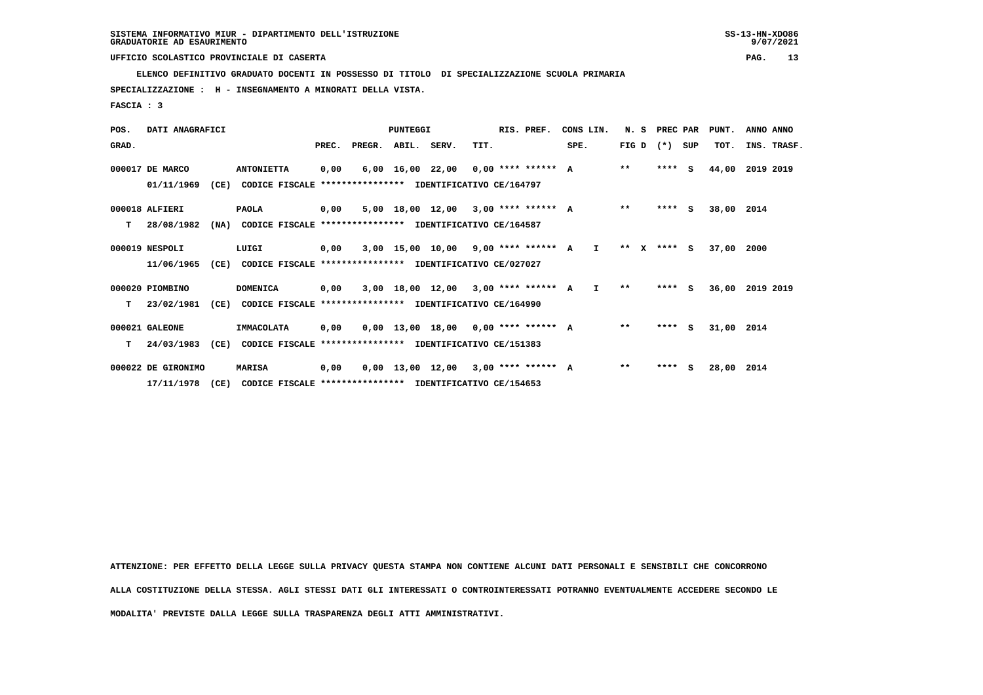**ELENCO DEFINITIVO GRADUATO DOCENTI IN POSSESSO DI TITOLO DI SPECIALIZZAZIONE SCUOLA PRIMARIA**

 **SPECIALIZZAZIONE : H - INSEGNAMENTO A MINORATI DELLA VISTA.**

 **FASCIA : 3**

| POS.  | DATI ANAGRAFICI    |      |                                                          |       |                    | PUNTEGGI |                                          |      | RIS. PREF. | CONS LIN. |              |              | N. S | PREC PAR          | PUNT.      | ANNO ANNO   |  |
|-------|--------------------|------|----------------------------------------------------------|-------|--------------------|----------|------------------------------------------|------|------------|-----------|--------------|--------------|------|-------------------|------------|-------------|--|
| GRAD. |                    |      |                                                          | PREC. | PREGR. ABIL. SERV. |          |                                          | TIT. |            | SPE.      |              |              |      | FIG $D$ $(*)$ SUP | TOT.       | INS. TRASF. |  |
|       | 000017 DE MARCO    |      | <b>ANTONIETTA</b>                                        | 0,00  |                    |          | $6,00$ 16,00 22,00 0,00 **** ****** A    |      |            |           |              | $***$        |      | $***$ S           | 44,00      | 2019 2019   |  |
|       | 01/11/1969         | (CE) | CODICE FISCALE                                           |       |                    |          | *************** IDENTIFICATIVO CE/164797 |      |            |           |              |              |      |                   |            |             |  |
|       | 000018 ALFIERI     |      | <b>PAOLA</b>                                             | 0,00  |                    |          | $5.00$ 18.00 12.00 3.00 **** ****** A    |      |            |           |              | $* *$        |      | $***$ S           | 38,00      | 2014        |  |
| т     | 28/08/1982         | (NA) | CODICE FISCALE **************** IDENTIFICATIVO CE/164587 |       |                    |          |                                          |      |            |           |              |              |      |                   |            |             |  |
|       | 000019 NESPOLI     |      | LUIGI                                                    | 0,00  |                    |          | $3,00$ 15,00 10,00 9,00 **** ****** A    |      |            |           | $\mathbf{I}$ | $***$ X      |      | **** S            | 37,00      | 2000        |  |
|       | 11/06/1965         | (CE) | CODICE FISCALE **************** IDENTIFICATIVO CE/027027 |       |                    |          |                                          |      |            |           |              |              |      |                   |            |             |  |
|       | 000020 PIOMBINO    |      | <b>DOMENICA</b>                                          | 0,00  |                    |          | 3,00 18,00 12,00 3,00 **** ****** A I    |      |            |           |              | $\star\star$ |      | $***$ S           | 36,00      | 2019 2019   |  |
| т     | 23/02/1981         | (CE) | CODICE FISCALE **************** IDENTIFICATIVO CE/164990 |       |                    |          |                                          |      |            |           |              |              |      |                   |            |             |  |
|       | 000021 GALEONE     |      | <b>IMMACOLATA</b>                                        | 0,00  |                    |          | $0,00$ 13,00 18,00 0,00 **** ****** A    |      |            |           |              | $* *$        |      | $***$ S           | 31,00 2014 |             |  |
| т     | 24/03/1983         | (CE) | CODICE FISCALE **************** IDENTIFICATIVO CE/151383 |       |                    |          |                                          |      |            |           |              |              |      |                   |            |             |  |
|       | 000022 DE GIRONIMO |      | <b>MARISA</b>                                            | 0,00  |                    |          | $0,00$ 13,00 12,00 3,00 **** ****** A    |      |            |           |              | $* *$        |      | $***$ S           | 28,00      | 2014        |  |
|       | 17/11/1978         | (CE) | CODICE FISCALE **************** IDENTIFICATIVO CE/154653 |       |                    |          |                                          |      |            |           |              |              |      |                   |            |             |  |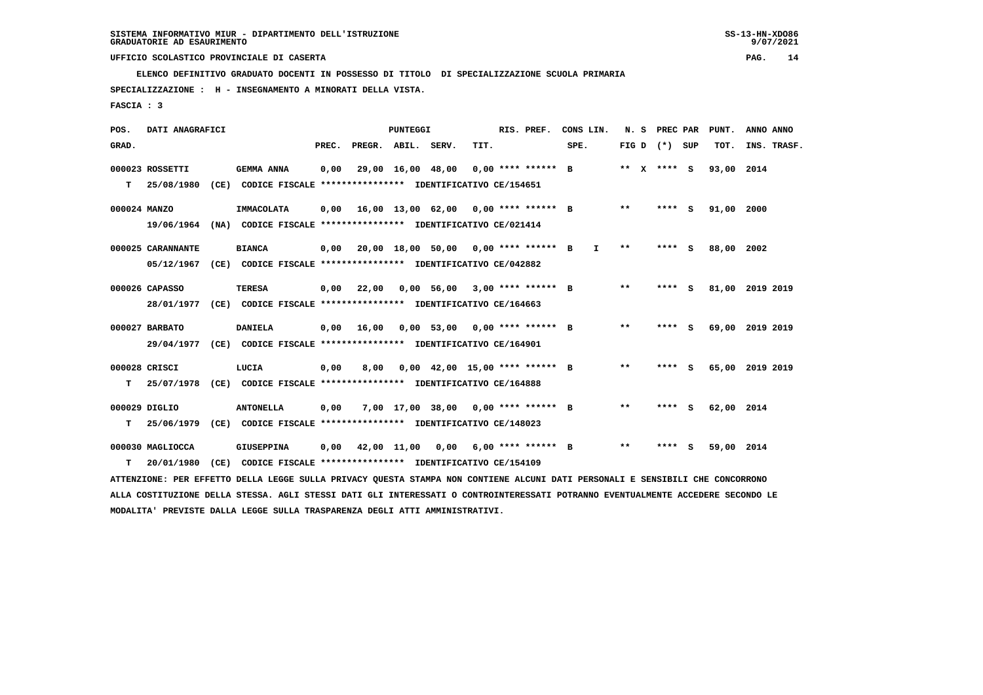**ELENCO DEFINITIVO GRADUATO DOCENTI IN POSSESSO DI TITOLO DI SPECIALIZZAZIONE SCUOLA PRIMARIA**

 **SPECIALIZZAZIONE : H - INSEGNAMENTO A MINORATI DELLA VISTA.**

 **FASCIA : 3**

| POS.         | DATI ANAGRAFICI   |      |                                                                                                                               |       |                                     | <b>PUNTEGGI</b>   |                                      |      | RIS. PREF.           | CONS LIN. |              | N.S                        |             | PREC PAR | PUNT.      | ANNO ANNO       |
|--------------|-------------------|------|-------------------------------------------------------------------------------------------------------------------------------|-------|-------------------------------------|-------------------|--------------------------------------|------|----------------------|-----------|--------------|----------------------------|-------------|----------|------------|-----------------|
| GRAD.        |                   |      |                                                                                                                               | PREC. | PREGR.                              | ABIL.             | SERV.                                | TIT. |                      | SPE.      |              | FIG D                      | $(*)$       | SUP      | TOT.       | INS. TRASF.     |
|              | 000023 ROSSETTI   |      | <b>GEMMA ANNA</b>                                                                                                             | 0,00  |                                     | 29,00 16,00 48,00 |                                      |      | $0.00$ **** ****** B |           |              |                            | ** x **** S |          | 93,00 2014 |                 |
| T.           | 25/08/1980        | (CE) | CODICE FISCALE **************** IDENTIFICATIVO CE/154651                                                                      |       |                                     |                   |                                      |      |                      |           |              |                            |             |          |            |                 |
| 000024 MANZO |                   |      | <b>IMMACOLATA</b>                                                                                                             | 0.00  |                                     |                   | 16,00 13,00 62,00 0,00 **** ****** B |      |                      |           |              | **                         |             | **** S   | 91,00      | 2000            |
|              | 19/06/1964        |      | (NA) CODICE FISCALE **************** IDENTIFICATIVO CE/021414                                                                 |       |                                     |                   |                                      |      |                      |           |              |                            |             |          |            |                 |
|              | 000025 CARANNANTE |      | <b>BIANCA</b>                                                                                                                 | 0,00  |                                     |                   | 20,00 18,00 50,00 0,00 **** ****** B |      |                      |           | $\mathbf{I}$ | $\pmb{\times}\pmb{\times}$ |             | $***$ S  | 88,00      | 2002            |
|              | 05/12/1967        |      | (CE) CODICE FISCALE **************** IDENTIFICATIVO CE/042882                                                                 |       |                                     |                   |                                      |      |                      |           |              |                            |             |          |            |                 |
|              | 000026 CAPASSO    |      | <b>TERESA</b>                                                                                                                 | 0,00  | 22,00                               |                   | $0.00$ 56.00 3.00 **** ****** B      |      |                      |           |              | $\star\star$               |             | **** S   |            | 81,00 2019 2019 |
|              | 28/01/1977        |      | (CE) CODICE FISCALE **************** IDENTIFICATIVO CE/164663                                                                 |       |                                     |                   |                                      |      |                      |           |              |                            |             |          |            |                 |
|              | 000027 BARBATO    |      | <b>DANIELA</b>                                                                                                                | 0,00  | 16,00                               |                   | $0,00$ 53,00 0,00 **** ****** B      |      |                      |           |              | $* *$                      |             | **** S   |            | 69,00 2019 2019 |
|              | 29/04/1977        |      | (CE) CODICE FISCALE **************** IDENTIFICATIVO CE/164901                                                                 |       |                                     |                   |                                      |      |                      |           |              |                            |             |          |            |                 |
|              | 000028 CRISCI     |      | LUCIA                                                                                                                         | 0,00  | 8,00                                |                   | $0.00$ 42.00 15.00 **** ****** B     |      |                      |           |              | $**$                       |             | **** S   |            | 65,00 2019 2019 |
| T.           | 25/07/1978        |      | (CE) CODICE FISCALE **************** IDENTIFICATIVO CE/164888                                                                 |       |                                     |                   |                                      |      |                      |           |              |                            |             |          |            |                 |
|              | 000029 DIGLIO     |      | <b>ANTONELLA</b>                                                                                                              | 0,00  |                                     |                   | 7,00 17,00 38,00 0,00 **** ****** B  |      |                      |           |              | $***$                      |             | **** S   | 62,00 2014 |                 |
| т            | 25/06/1979        |      | (CE) CODICE FISCALE **************** IDENTIFICATIVO CE/148023                                                                 |       |                                     |                   |                                      |      |                      |           |              |                            |             |          |            |                 |
|              | 000030 MAGLIOCCA  |      | <b>GIUSEPPINA</b>                                                                                                             | 0.00  | 42,00 11,00 0,00 6,00 **** ****** B |                   |                                      |      |                      |           |              | $**$                       |             | **** S   | 59,00 2014 |                 |
| т            | 20/01/1980        | (CE) | CODICE FISCALE **************** IDENTIFICATIVO CE/154109                                                                      |       |                                     |                   |                                      |      |                      |           |              |                            |             |          |            |                 |
|              |                   |      | ATTENZIONE: PER EFFETTO DELLA LEGGE SULLA PRIVACY QUESTA STAMPA NON CONTIENE ALCUNI DATI PERSONALI E SENSIBILI CHE CONCORRONO |       |                                     |                   |                                      |      |                      |           |              |                            |             |          |            |                 |

 **ALLA COSTITUZIONE DELLA STESSA. AGLI STESSI DATI GLI INTERESSATI O CONTROINTERESSATI POTRANNO EVENTUALMENTE ACCEDERE SECONDO LE MODALITA' PREVISTE DALLA LEGGE SULLA TRASPARENZA DEGLI ATTI AMMINISTRATIVI.**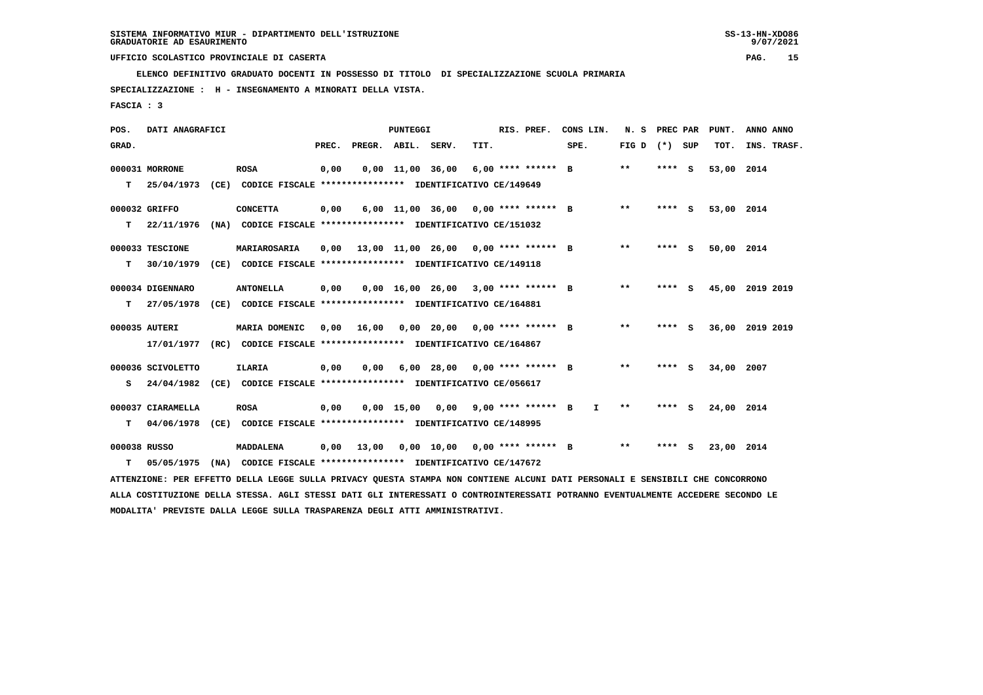**ELENCO DEFINITIVO GRADUATO DOCENTI IN POSSESSO DI TITOLO DI SPECIALIZZAZIONE SCUOLA PRIMARIA**

 **SPECIALIZZAZIONE : H - INSEGNAMENTO A MINORATI DELLA VISTA.**

 **FASCIA : 3**

| POS.         | DATI ANAGRAFICI   |                                                                                                                                 |       |                    | <b>PUNTEGGI</b>        |                                       |      | RIS. PREF.         | CONS LIN.    | N.S               | PREC PAR |     | PUNT.           | ANNO ANNO |             |
|--------------|-------------------|---------------------------------------------------------------------------------------------------------------------------------|-------|--------------------|------------------------|---------------------------------------|------|--------------------|--------------|-------------------|----------|-----|-----------------|-----------|-------------|
| GRAD.        |                   |                                                                                                                                 | PREC. | PREGR. ABIL. SERV. |                        |                                       | TIT. |                    | SPE.         | FIG $D$ $(*)$ SUP |          |     | TOT.            |           | INS. TRASF. |
|              | 000031 MORRONE    | <b>ROSA</b>                                                                                                                     | 0,00  |                    | $0,00$ $11,00$ $36,00$ |                                       |      | 6,00 **** ****** B |              | $* *$             | ****     | - S | 53,00           | 2014      |             |
| т            | 25/04/1973        | (CE) CODICE FISCALE **************** IDENTIFICATIVO CE/149649                                                                   |       |                    |                        |                                       |      |                    |              |                   |          |     |                 |           |             |
|              | 000032 GRIFFO     | <b>CONCETTA</b>                                                                                                                 | 0,00  |                    |                        | 6,00 11,00 36,00 0,00 **** ****** B   |      |                    |              | $* *$             | **** S   |     | 53,00 2014      |           |             |
| т            | 22/11/1976        | (NA) CODICE FISCALE **************** IDENTIFICATIVO CE/151032                                                                   |       |                    |                        |                                       |      |                    |              |                   |          |     |                 |           |             |
|              | 000033 TESCIONE   | MARIAROSARIA                                                                                                                    | 0,00  |                    |                        | 13,00 11,00 26,00 0,00 **** ****** B  |      |                    |              | $* *$             | **** S   |     | 50,00 2014      |           |             |
| т            | 30/10/1979        | (CE) CODICE FISCALE **************** IDENTIFICATIVO CE/149118                                                                   |       |                    |                        |                                       |      |                    |              |                   |          |     |                 |           |             |
|              | 000034 DIGENNARO  | <b>ANTONELLA</b>                                                                                                                | 0,00  |                    |                        | $0,00$ 16,00 26,00 3,00 **** ****** B |      |                    |              | $***$             | $***$ S  |     | 45,00 2019 2019 |           |             |
| т            | 27/05/1978        | (CE) CODICE FISCALE **************** IDENTIFICATIVO CE/164881                                                                   |       |                    |                        |                                       |      |                    |              |                   |          |     |                 |           |             |
|              | 000035 AUTERI     | MARIA DOMENIC                                                                                                                   | 0.00  | 16,00              |                        | 0,00 20,00 0,00 **** ****** B         |      |                    |              | $***$             | **** S   |     | 36,00 2019 2019 |           |             |
|              | 17/01/1977        | (RC) CODICE FISCALE **************** IDENTIFICATIVO CE/164867                                                                   |       |                    |                        |                                       |      |                    |              |                   |          |     |                 |           |             |
|              | 000036 SCIVOLETTO | <b>ILARIA</b>                                                                                                                   | 0,00  | 0,00               |                        | $6,00$ 28,00 0,00 **** ****** B       |      |                    |              | $* *$             | **** S   |     | 34,00 2007      |           |             |
| s            | 24/04/1982        | (CE) CODICE FISCALE **************** IDENTIFICATIVO CE/056617                                                                   |       |                    |                        |                                       |      |                    |              |                   |          |     |                 |           |             |
|              | 000037 CIARAMELLA | <b>ROSA</b>                                                                                                                     | 0,00  |                    |                        | $0,00$ 15,00 0,00 9,00 **** ****** B  |      |                    | $\mathbf{I}$ | $* *$             | **** S   |     | 24,00 2014      |           |             |
| т            |                   | 04/06/1978 (CE) CODICE FISCALE **************** IDENTIFICATIVO CE/148995                                                        |       |                    |                        |                                       |      |                    |              |                   |          |     |                 |           |             |
| 000038 RUSSO |                   | <b>MADDALENA</b>                                                                                                                | 0,00  | 13,00              |                        | $0,00$ 10,00 0,00 **** ****** B       |      |                    |              | $***$             | $***$ S  |     | 23,00 2014      |           |             |
| T.           | 05/05/1975        | (NA) CODICE FISCALE **************** IDENTIFICATIVO CE/147672                                                                   |       |                    |                        |                                       |      |                    |              |                   |          |     |                 |           |             |
|              |                   | ATTENZIONE: PER EFFETTO DELLA LEGGE SULLA PRIVACY QUESTA STAMPA NON CONTIENE ALCUNI DATI PERSONALI E SENSIBILI CHE CONCORRONO   |       |                    |                        |                                       |      |                    |              |                   |          |     |                 |           |             |
|              |                   | ALLA COSTITUZIONE DELLA STESSA. AGLI STESSI DATI GLI INTERESSATI O CONTROINTERESSATI POTRANNO EVENTUALMENTE ACCEDERE SECONDO LE |       |                    |                        |                                       |      |                    |              |                   |          |     |                 |           |             |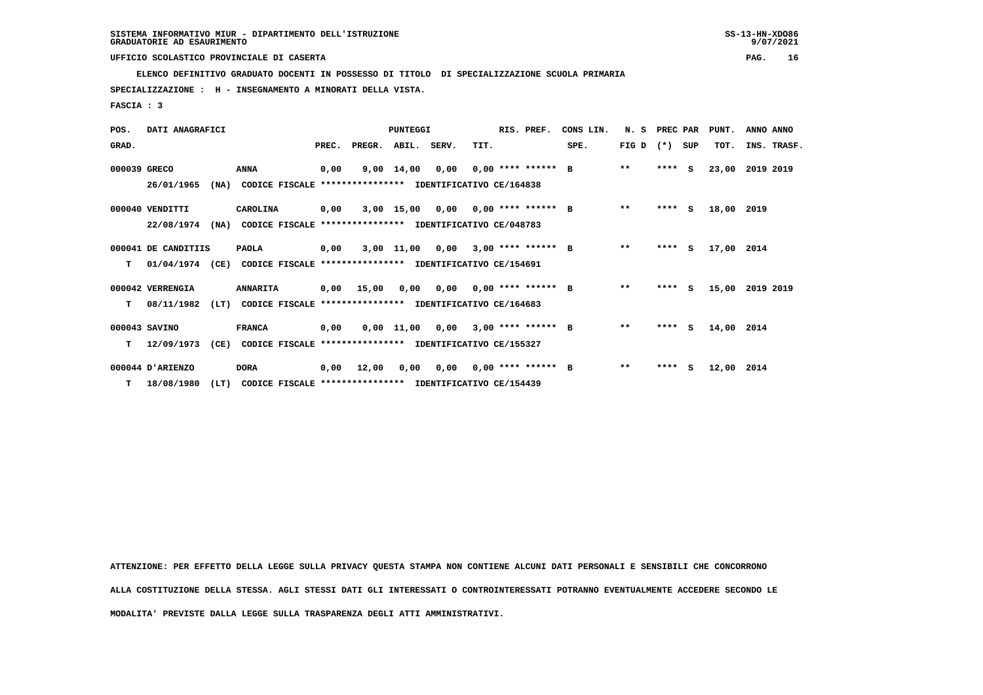**ELENCO DEFINITIVO GRADUATO DOCENTI IN POSSESSO DI TITOLO DI SPECIALIZZAZIONE SCUOLA PRIMARIA**

 **SPECIALIZZAZIONE : H - INSEGNAMENTO A MINORATI DELLA VISTA.**

 **FASCIA : 3**

| POS.         | DATI ANAGRAFICI     |                                                                  |       |                                           | PUNTEGGI           |      |                             | RIS. PREF.           | CONS LIN. | N.S          | PREC PAR |     | PUNT. | ANNO ANNO   |
|--------------|---------------------|------------------------------------------------------------------|-------|-------------------------------------------|--------------------|------|-----------------------------|----------------------|-----------|--------------|----------|-----|-------|-------------|
| GRAD.        |                     |                                                                  | PREC. | PREGR. ABIL. SERV.                        |                    |      | TIT.                        |                      | SPE.      | FIG D        | $(*)$    | SUP | TOT.  | INS. TRASF. |
| 000039 GRECO |                     | <b>ANNA</b>                                                      | 0,00  |                                           | $9,00 \quad 14,00$ |      | $0.00$ $0.00$ **** ****** B |                      |           | $***$        | $***$ S  |     | 23,00 | 2019 2019   |
|              | 26/01/1965          | (NA)<br>CODICE FISCALE                                           |       | **************** IDENTIFICATIVO CE/164838 |                    |      |                             |                      |           |              |          |     |       |             |
|              | 000040 VENDITTI     | CAROLINA                                                         | 0,00  |                                           | 3,00 15,00         |      | $0,00$ $0,00$ **** ****** B |                      |           | $\star\star$ | $***$ S  |     | 18,00 | 2019        |
|              | 22/08/1974          | (NA)<br>CODICE FISCALE **************** IDENTIFICATIVO CE/048783 |       |                                           |                    |      |                             |                      |           |              |          |     |       |             |
|              | 000041 DE CANDITIIS | <b>PAOLA</b>                                                     | 0,00  |                                           | 3,00 11,00         | 0,00 |                             | $3.00$ **** ****** B |           | $***$        | ****     | S.  | 17,00 | 2014        |
| т            | 01/04/1974 (CE)     | CODICE FISCALE **************** IDENTIFICATIVO CE/154691         |       |                                           |                    |      |                             |                      |           |              |          |     |       |             |
|              | 000042 VERRENGIA    | <b>ANNARITA</b>                                                  | 0,00  | 15,00                                     | 0,00               |      | $0.00$ $0.00$ **** ****** B |                      |           | $**$         | ****     | S.  | 15,00 | 2019 2019   |
| т            | 08/11/1982          | (LT)<br>CODICE FISCALE **************** IDENTIFICATIVO CE/164683 |       |                                           |                    |      |                             |                      |           |              |          |     |       |             |
|              | 000043 SAVINO       | <b>FRANCA</b>                                                    | 0,00  |                                           | 0,00 11,00         | 0,00 |                             | $3,00$ **** ****** B |           | $\star\star$ | ****     | - S | 14,00 | 2014        |
| т            | 12/09/1973          | (CE)<br>CODICE FISCALE **************** IDENTIFICATIVO CE/155327 |       |                                           |                    |      |                             |                      |           |              |          |     |       |             |
|              | 000044 D'ARIENZO    | <b>DORA</b>                                                      | 0,00  | 12,00                                     | 0,00               | 0,00 |                             | $0,00$ **** ****** B |           | $***$        | $***5$   |     | 12,00 | 2014        |
| T.           | 18/08/1980          | (LT)<br>CODICE FISCALE **************** IDENTIFICATIVO CE/154439 |       |                                           |                    |      |                             |                      |           |              |          |     |       |             |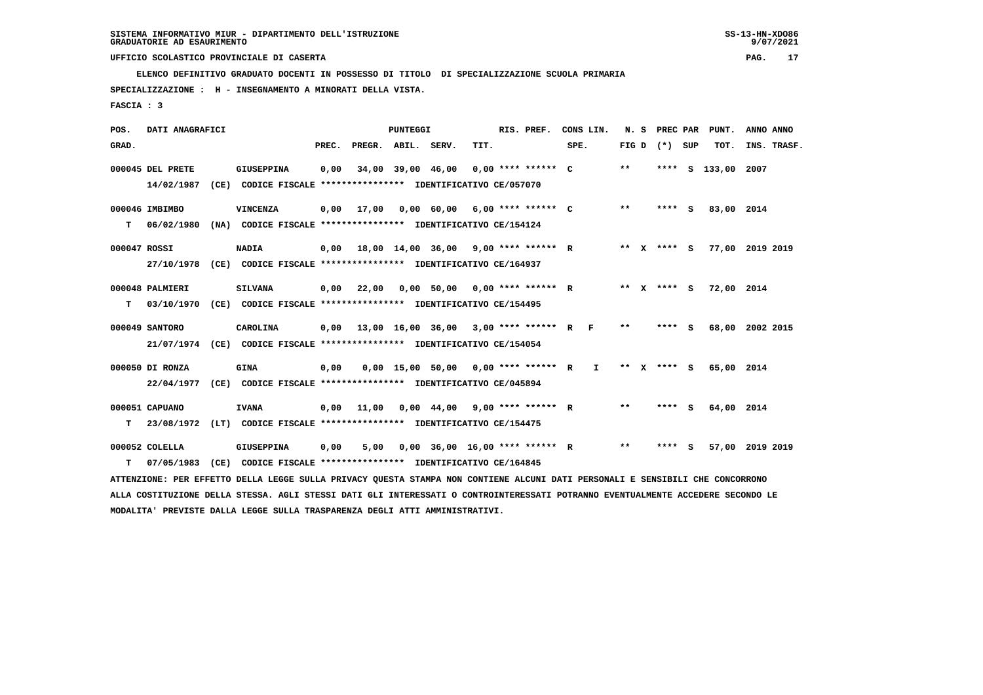**ELENCO DEFINITIVO GRADUATO DOCENTI IN POSSESSO DI TITOLO DI SPECIALIZZAZIONE SCUOLA PRIMARIA**

 **SPECIALIZZAZIONE : H - INSEGNAMENTO A MINORATI DELLA VISTA.**

 **FASCIA : 3**

| POS.         | DATI ANAGRAFICI  |                                                                                                                                 |      |                                            | PUNTEGGI |                                       |      | RIS. PREF. | CONS LIN.    |       |                 | N. S PREC PAR PUNT. | ANNO ANNO |             |
|--------------|------------------|---------------------------------------------------------------------------------------------------------------------------------|------|--------------------------------------------|----------|---------------------------------------|------|------------|--------------|-------|-----------------|---------------------|-----------|-------------|
| GRAD.        |                  |                                                                                                                                 |      | PREC. PREGR. ABIL. SERV.                   |          |                                       | TIT. |            | SPE.         |       | FIG D $(*)$ SUP | TOT.                |           | INS. TRASF. |
|              | 000045 DEL PRETE | <b>GIUSEPPINA</b>                                                                                                               | 0,00 |                                            |          | 34,00 39,00 46,00 0,00 **** ****** C  |      |            |              | $* *$ |                 | **** S 133,00 2007  |           |             |
|              | 14/02/1987       | (CE) CODICE FISCALE **************** IDENTIFICATIVO CE/057070                                                                   |      |                                            |          |                                       |      |            |              |       |                 |                     |           |             |
|              |                  |                                                                                                                                 |      |                                            |          |                                       |      |            |              |       |                 |                     |           |             |
|              | 000046 IMBIMBO   | <b>VINCENZA</b>                                                                                                                 | 0,00 | 17,00                                      |          | $0,00$ 60,00 6,00 **** ****** C       |      |            |              | $***$ | **** S          | 83,00 2014          |           |             |
| т            | 06/02/1980       | (NA) CODICE FISCALE **************** IDENTIFICATIVO CE/154124                                                                   |      |                                            |          |                                       |      |            |              |       |                 |                     |           |             |
|              |                  |                                                                                                                                 |      |                                            |          |                                       |      |            |              |       |                 |                     |           |             |
| 000047 ROSSI |                  | <b>NADIA</b>                                                                                                                    | 0,00 | 18,00 14,00 36,00 9,00 **** ****** R       |          |                                       |      |            |              |       | ** x **** S     | 77,00 2019 2019     |           |             |
|              | 27/10/1978       | (CE) CODICE FISCALE *************** IDENTIFICATIVO CE/164937                                                                    |      |                                            |          |                                       |      |            |              |       |                 |                     |           |             |
|              | 000048 PALMIERI  | <b>SILVANA</b>                                                                                                                  | 0,00 | 22,00                                      |          | 0,00 50,00 0,00 **** ****** R         |      |            |              |       | ** x **** S     | 72,00               | 2014      |             |
| т            |                  | 03/10/1970 (CE) CODICE FISCALE *************** IDENTIFICATIVO CE/154495                                                         |      |                                            |          |                                       |      |            |              |       |                 |                     |           |             |
|              |                  |                                                                                                                                 |      |                                            |          |                                       |      |            |              |       |                 |                     |           |             |
|              | 000049 SANTORO   | CAROLINA                                                                                                                        | 0.00 | 13,00 16,00 36,00 3,00 **** ****** R F     |          |                                       |      |            |              | $***$ | $***$ S         | 68,00 2002 2015     |           |             |
|              |                  | 21/07/1974 (CE) CODICE FISCALE *************** IDENTIFICATIVO CE/154054                                                         |      |                                            |          |                                       |      |            |              |       |                 |                     |           |             |
|              |                  |                                                                                                                                 |      |                                            |          |                                       |      |            |              |       |                 |                     |           |             |
|              | 000050 DI RONZA  | <b>GINA</b>                                                                                                                     | 0,00 |                                            |          | $0,00$ 15,00 50,00 0,00 **** ****** R |      |            | $\mathbf{I}$ |       | ** x **** S     | 65,00 2014          |           |             |
|              | 22/04/1977       | (CE) CODICE FISCALE **************** IDENTIFICATIVO CE/045894                                                                   |      |                                            |          |                                       |      |            |              |       |                 |                     |           |             |
|              | 000051 CAPUANO   | <b>IVANA</b>                                                                                                                    |      |                                            |          |                                       |      |            |              | $***$ | **** S          | 64,00 2014          |           |             |
|              |                  |                                                                                                                                 |      | $0,00$ 11,00 0,00 44,00 9,00 **** ****** R |          |                                       |      |            |              |       |                 |                     |           |             |
| т            |                  | 23/08/1972 (LT) CODICE FISCALE *************** IDENTIFICATIVO CE/154475                                                         |      |                                            |          |                                       |      |            |              |       |                 |                     |           |             |
|              | 000052 COLELLA   | <b>GIUSEPPINA</b>                                                                                                               | 0,00 | 5,00                                       |          | $0,00$ 36,00 16,00 **** ****** R      |      |            |              | $***$ | **** S          | 57,00 2019 2019     |           |             |
| т            | 07/05/1983       | (CE) CODICE FISCALE **************** IDENTIFICATIVO CE/164845                                                                   |      |                                            |          |                                       |      |            |              |       |                 |                     |           |             |
|              |                  | ATTENZIONE: PER EFFETTO DELLA LEGGE SULLA PRIVACY QUESTA STAMPA NON CONTIENE ALCUNI DATI PERSONALI E SENSIBILI CHE CONCORRONO   |      |                                            |          |                                       |      |            |              |       |                 |                     |           |             |
|              |                  |                                                                                                                                 |      |                                            |          |                                       |      |            |              |       |                 |                     |           |             |
|              |                  | ALLA COSTITUZIONE DELLA STESSA. AGLI STESSI DATI GLI INTERESSATI O CONTROINTERESSATI POTRANNO EVENTUALMENTE ACCEDERE SECONDO LE |      |                                            |          |                                       |      |            |              |       |                 |                     |           |             |
|              |                  | MODALITA' PREVISTE DALLA LEGGE SULLA TRASPARENZA DEGLI ATTI AMMINISTRATIVI.                                                     |      |                                            |          |                                       |      |            |              |       |                 |                     |           |             |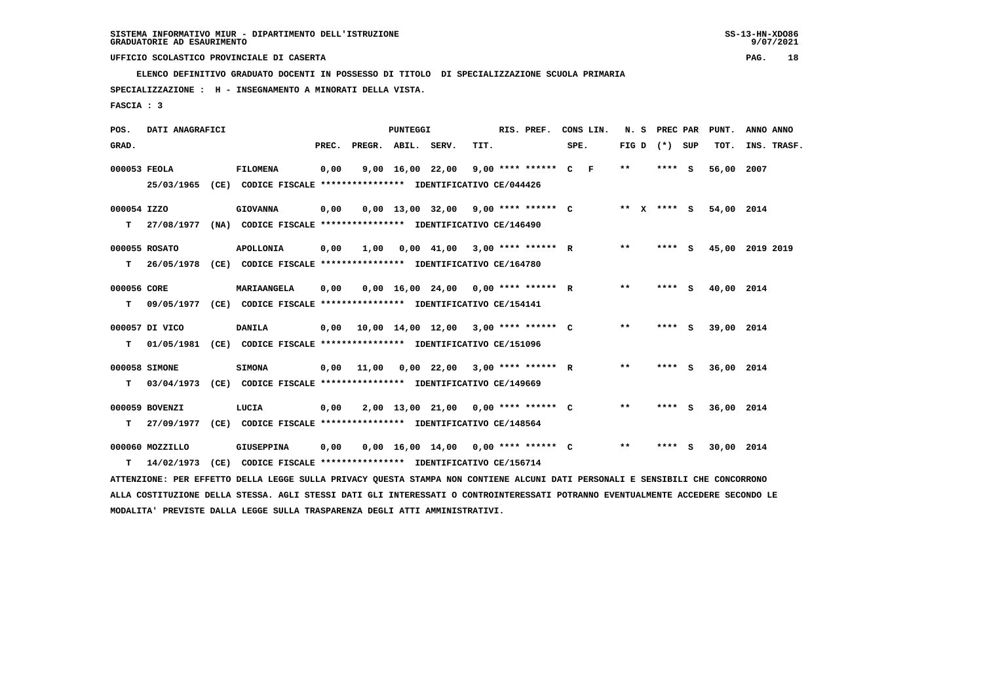**ELENCO DEFINITIVO GRADUATO DOCENTI IN POSSESSO DI TITOLO DI SPECIALIZZAZIONE SCUOLA PRIMARIA**

 **SPECIALIZZAZIONE : H - INSEGNAMENTO A MINORATI DELLA VISTA.**

 **FASCIA : 3**

| POS.         | DATI ANAGRAFICI |                                                                                                                                 |       |                    | <b>PUNTEGGI</b> |                  |                                       | RIS. PREF. | CONS LIN. |                   | N. S PREC PAR | PUNT.      | ANNO ANNO       |
|--------------|-----------------|---------------------------------------------------------------------------------------------------------------------------------|-------|--------------------|-----------------|------------------|---------------------------------------|------------|-----------|-------------------|---------------|------------|-----------------|
| GRAD.        |                 |                                                                                                                                 | PREC. | PREGR. ABIL. SERV. |                 |                  | TIT.                                  |            | SPE.      | FIG $D$ $(*)$ SUP |               | TOT.       | INS. TRASF.     |
| 000053 FEOLA |                 | <b>FILOMENA</b>                                                                                                                 | 0,00  |                    |                 | 9,00 16,00 22,00 | 9,00 **** ****** C F                  |            |           | **                | **** S        | 56,00      | 2007            |
|              |                 | 25/03/1965 (CE) CODICE FISCALE *************** IDENTIFICATIVO CE/044426                                                         |       |                    |                 |                  |                                       |            |           |                   |               |            |                 |
| 000054 IZZO  |                 | <b>GIOVANNA</b>                                                                                                                 | 0,00  |                    |                 |                  | $0,00$ 13,00 32,00 9,00 **** ****** C |            |           | ** x **** S       |               | 54,00 2014 |                 |
| т            |                 | 27/08/1977 (NA) CODICE FISCALE *************** IDENTIFICATIVO CE/146490                                                         |       |                    |                 |                  |                                       |            |           |                   |               |            |                 |
|              | 000055 ROSATO   | <b>APOLLONIA</b>                                                                                                                | 0,00  | 1,00               |                 |                  | $0,00$ 41,00 3,00 **** ****** R       |            |           | $* *$             | **** S        |            | 45,00 2019 2019 |
| т            |                 | 26/05/1978 (CE) CODICE FISCALE **************** IDENTIFICATIVO CE/164780                                                        |       |                    |                 |                  |                                       |            |           |                   |               |            |                 |
| 000056 CORE  |                 | MARIAANGELA                                                                                                                     | 0,00  |                    |                 |                  | $0,00$ 16,00 24,00 0,00 **** ****** R |            |           | **                | **** S        | 40,00 2014 |                 |
| T.           |                 | 09/05/1977 (CE) CODICE FISCALE *************** IDENTIFICATIVO CE/154141                                                         |       |                    |                 |                  |                                       |            |           |                   |               |            |                 |
|              | 000057 DI VICO  | <b>DANILA</b>                                                                                                                   | 0,00  |                    |                 |                  | 10,00 14,00 12,00 3,00 **** ****** C  |            |           | $* *$             | **** S        | 39,00 2014 |                 |
| т            | 01/05/1981      | (CE) CODICE FISCALE **************** IDENTIFICATIVO CE/151096                                                                   |       |                    |                 |                  |                                       |            |           |                   |               |            |                 |
|              | 000058 SIMONE   | <b>SIMONA</b>                                                                                                                   | 0,00  | 11,00              |                 |                  | $0,00$ 22,00 3,00 **** ****** R       |            |           | $***$             | **** S        | 36,00 2014 |                 |
| т            |                 | 03/04/1973 (CE) CODICE FISCALE **************** IDENTIFICATIVO CE/149669                                                        |       |                    |                 |                  |                                       |            |           |                   |               |            |                 |
|              | 000059 BOVENZI  | LUCIA                                                                                                                           | 0,00  |                    |                 |                  | 2,00 13,00 21,00 0,00 **** ****** C   |            |           | $* *$             | **** S        | 36,00 2014 |                 |
| т            |                 | 27/09/1977 (CE) CODICE FISCALE *************** IDENTIFICATIVO CE/148564                                                         |       |                    |                 |                  |                                       |            |           |                   |               |            |                 |
|              | 000060 MOZZILLO | <b>GIUSEPPINA</b>                                                                                                               | 0,00  |                    |                 |                  | $0,00$ 16,00 14,00 0,00 **** ****** C |            |           | **                | **** S        | 30,00 2014 |                 |
| т            | 14/02/1973      | (CE) CODICE FISCALE **************** IDENTIFICATIVO CE/156714                                                                   |       |                    |                 |                  |                                       |            |           |                   |               |            |                 |
|              |                 | ATTENZIONE: PER EFFETTO DELLA LEGGE SULLA PRIVACY QUESTA STAMPA NON CONTIENE ALCUNI DATI PERSONALI E SENSIBILI CHE CONCORRONO   |       |                    |                 |                  |                                       |            |           |                   |               |            |                 |
|              |                 | ALLA COSTITUZIONE DELLA STESSA. AGLI STESSI DATI GLI INTERESSATI O CONTROINTERESSATI POTRANNO EVENTUALMENTE ACCEDERE SECONDO LE |       |                    |                 |                  |                                       |            |           |                   |               |            |                 |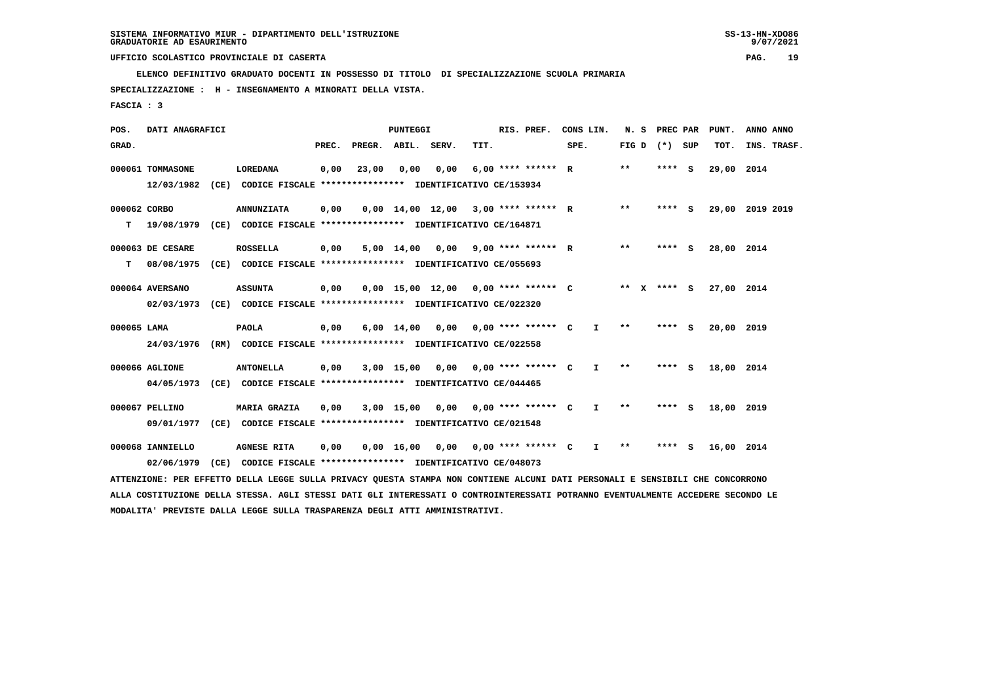**ELENCO DEFINITIVO GRADUATO DOCENTI IN POSSESSO DI TITOLO DI SPECIALIZZAZIONE SCUOLA PRIMARIA**

 **SPECIALIZZAZIONE : H - INSEGNAMENTO A MINORATI DELLA VISTA.**

 **FASCIA : 3**

| POS.         | DATI ANAGRAFICI  |      |                                                                                                                               |       |        | <b>PUNTEGGI</b>                |                  |      | RIS. PREF.           |      | CONS LIN.    | N. S                       | PREC PAR    |     | PUNT.      |           | ANNO ANNO   |
|--------------|------------------|------|-------------------------------------------------------------------------------------------------------------------------------|-------|--------|--------------------------------|------------------|------|----------------------|------|--------------|----------------------------|-------------|-----|------------|-----------|-------------|
| GRAD.        |                  |      |                                                                                                                               | PREC. | PREGR. | ABIL.                          | SERV.            | TIT. |                      | SPE. |              | FIG D                      | $(*)$       | SUP | TOT.       |           | INS. TRASF. |
|              | 000061 TOMMASONE |      | <b>LOREDANA</b>                                                                                                               | 0,00  | 23,00  | 0,00                           | 0,00             |      | $6.00$ **** ****** R |      |              | $* *$                      | **** S      |     | 29,00 2014 |           |             |
|              | 12/03/1982       | (CE) | CODICE FISCALE **************** IDENTIFICATIVO CE/153934                                                                      |       |        |                                |                  |      |                      |      |              |                            |             |     |            |           |             |
| 000062 CORBO |                  |      | <b>ANNUNZIATA</b>                                                                                                             | 0,00  |        | $0,00 \quad 14,00 \quad 12,00$ |                  |      | $3,00$ **** ****** R |      |              | **                         | **** S      |     | 29,00      | 2019 2019 |             |
| т            | 19/08/1979       |      | (CE) CODICE FISCALE **************** IDENTIFICATIVO CE/164871                                                                 |       |        |                                |                  |      |                      |      |              |                            |             |     |            |           |             |
|              | 000063 DE CESARE |      | <b>ROSSELLA</b>                                                                                                               | 0,00  |        | 5,00 14,00                     | 0,00             |      | $9.00$ **** ****** R |      |              | $***$                      | **** S      |     | 28,00      | 2014      |             |
| т            | 08/08/1975       |      | (CE) CODICE FISCALE **************** IDENTIFICATIVO CE/055693                                                                 |       |        |                                |                  |      |                      |      |              |                            |             |     |            |           |             |
|              | 000064 AVERSANO  |      | <b>ASSUNTA</b>                                                                                                                | 0,00  |        |                                | 0,00 15,00 12,00 |      | $0,00$ **** ****** C |      |              |                            | ** X **** S |     | 27,00      | 2014      |             |
|              | 02/03/1973       |      | (CE) CODICE FISCALE **************** IDENTIFICATIVO CE/022320                                                                 |       |        |                                |                  |      |                      |      |              |                            |             |     |            |           |             |
| 000065 LAMA  |                  |      | <b>PAOLA</b>                                                                                                                  | 0,00  |        | $6,00 \quad 14,00$             | 0,00             |      | $0.00$ **** ****** C |      | $\mathbf{I}$ | $* *$                      | **** S      |     | 20,00      | 2019      |             |
|              | 24/03/1976       |      | (RM) CODICE FISCALE **************** IDENTIFICATIVO CE/022558                                                                 |       |        |                                |                  |      |                      |      |              |                            |             |     |            |           |             |
|              | 000066 AGLIONE   |      | <b>ANTONELLA</b>                                                                                                              | 0,00  |        | 3,00 15,00                     | 0,00             |      | $0.00$ **** ****** C |      | $\mathbf{I}$ | $\pmb{\times}\pmb{\times}$ | **** S      |     | 18,00 2014 |           |             |
|              | 04/05/1973       |      | (CE) CODICE FISCALE **************** IDENTIFICATIVO CE/044465                                                                 |       |        |                                |                  |      |                      |      |              |                            |             |     |            |           |             |
|              | 000067 PELLINO   |      | <b>MARIA GRAZIA</b>                                                                                                           | 0,00  |        | 3,00 15,00                     | 0,00             |      | $0,00$ **** ****** C |      | $\mathbf{I}$ | **                         | **** S      |     | 18,00 2019 |           |             |
|              | 09/01/1977       |      | (CE) CODICE FISCALE **************** IDENTIFICATIVO CE/021548                                                                 |       |        |                                |                  |      |                      |      |              |                            |             |     |            |           |             |
|              | 000068 IANNIELLO |      | <b>AGNESE RITA</b>                                                                                                            | 0,00  |        | $0,00 \quad 16,00$             | 0.00             |      | $0.00$ **** ****** C |      | $\mathbf{I}$ | $* *$                      | **** S      |     | 16,00 2014 |           |             |
|              | 02/06/1979       | (CE) | CODICE FISCALE **************** IDENTIFICATIVO CE/048073                                                                      |       |        |                                |                  |      |                      |      |              |                            |             |     |            |           |             |
|              |                  |      | ATTENZIONE: PER EFFETTO DELLA LEGGE SULLA PRIVACY QUESTA STAMPA NON CONTIENE ALCUNI DATI PERSONALI E SENSIBILI CHE CONCORRONO |       |        |                                |                  |      |                      |      |              |                            |             |     |            |           |             |

 **ALLA COSTITUZIONE DELLA STESSA. AGLI STESSI DATI GLI INTERESSATI O CONTROINTERESSATI POTRANNO EVENTUALMENTE ACCEDERE SECONDO LE MODALITA' PREVISTE DALLA LEGGE SULLA TRASPARENZA DEGLI ATTI AMMINISTRATIVI.**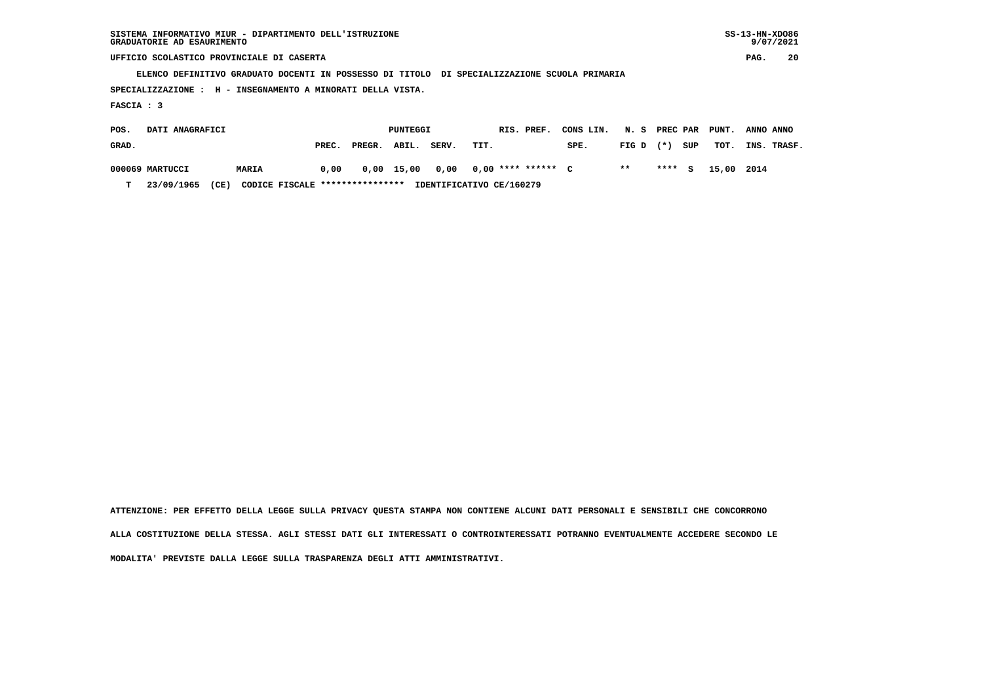| SISTEMA INFORMATIVO MIUR - DIPARTIMENTO DELL'ISTRUZIONE | $SS-13-HN-XDO86$ |
|---------------------------------------------------------|------------------|
| GRADUATORIE AD ESAURIMENTO                              | 9/07/2021        |

 $SS-13-HN-XDO86$  $9/07/2021$ 

 **UFFICIO SCOLASTICO PROVINCIALE DI CASERTA PAG. 20**

 **ELENCO DEFINITIVO GRADUATO DOCENTI IN POSSESSO DI TITOLO DI SPECIALIZZAZIONE SCUOLA PRIMARIA**

 **SPECIALIZZAZIONE : H - INSEGNAMENTO A MINORATI DELLA VISTA.**

 **FASCIA : 3**

| POS.  | DATI ANAGRAFICI |              |                                 |              | PUNTEGGI |       | RIS. PREF.               | CONS LIN. | N. S PREC PAR PUNT. |         |     |            | ANNO ANNO   |
|-------|-----------------|--------------|---------------------------------|--------------|----------|-------|--------------------------|-----------|---------------------|---------|-----|------------|-------------|
| GRAD. |                 |              | PREC.                           | PREGR. ABIL. |          | SERV. | TIT.                     | SPE.      | $FIG D (*)$         |         | SUP | тот.       | INS. TRASF. |
|       | 000069 MARTUCCI | <b>MARIA</b> | 0,00                            | 0,00 15,00   |          | 0.00  | 0,00 **** ****** C       |           | $* *$               | $***$ S |     | 15,00 2014 |             |
| т     | 23/09/1965      | (CE)         | CODICE FISCALE **************** |              |          |       | IDENTIFICATIVO CE/160279 |           |                     |         |     |            |             |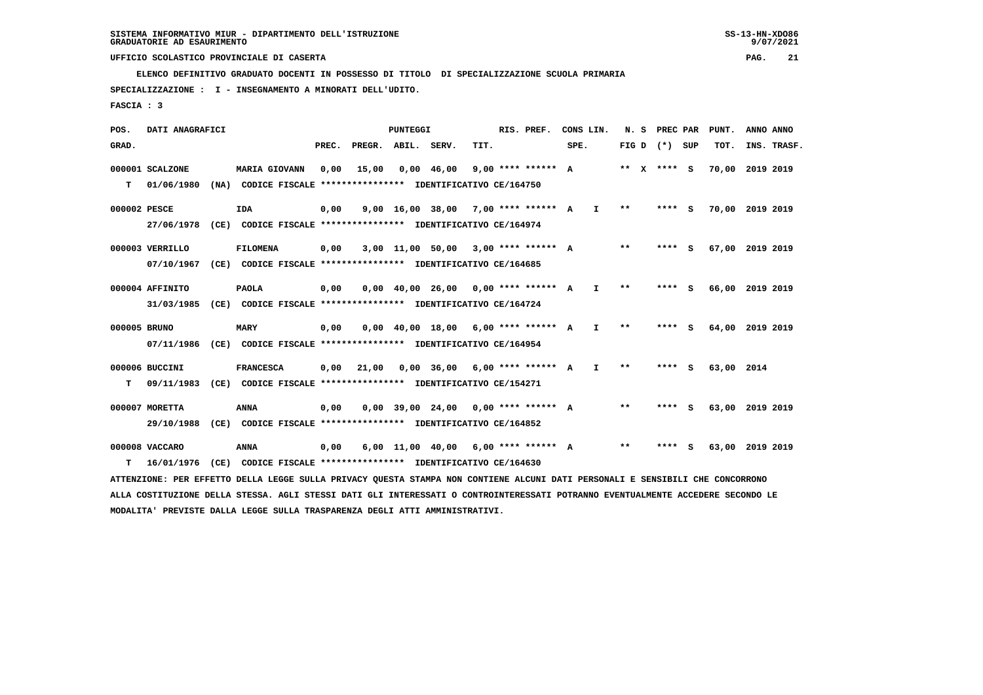**ELENCO DEFINITIVO GRADUATO DOCENTI IN POSSESSO DI TITOLO DI SPECIALIZZAZIONE SCUOLA PRIMARIA**

 **SPECIALIZZAZIONE : I - INSEGNAMENTO A MINORATI DELL'UDITO.**

 **FASCIA : 3**

 **POS. DATI ANAGRAFICI PUNTEGGI RIS. PREF. CONS LIN. N. S PREC PAR PUNT. ANNO ANNO**GRAD. **PREGRADE SERVEGE SERVE SERVE SPEREGE SPEREGALES SPEREGALES SPEREGALES SPEREGALES SPEREGALES SUP TOT. INS. TRASF. 000001 SCALZONE MARIA GIOVANN 0,00 15,00 0,00 46,00 9,00 \*\*\*\* \*\*\*\*\*\* A \*\* X \*\*\*\* S 70,00 2019 2019 T 01/06/1980 (NA) CODICE FISCALE \*\*\*\*\*\*\*\*\*\*\*\*\*\*\*\* IDENTIFICATIVO CE/164750 000002 PESCE IDA 0,00 9,00 16,00 38,00 7,00 \*\*\*\* \*\*\*\*\*\* A I \*\* \*\*\*\* S 70,00 2019 2019 27/06/1978 (CE) CODICE FISCALE \*\*\*\*\*\*\*\*\*\*\*\*\*\*\*\* IDENTIFICATIVO CE/164974 000003 VERRILLO FILOMENA 0,00 3,00 11,00 50,00 3,00 \*\*\*\* \*\*\*\*\*\* A \*\* \*\*\*\* S 67,00 2019 2019 07/10/1967 (CE) CODICE FISCALE \*\*\*\*\*\*\*\*\*\*\*\*\*\*\*\* IDENTIFICATIVO CE/164685 000004 AFFINITO PAOLA 0,00 0,00 40,00 26,00 0,00 \*\*\*\* \*\*\*\*\*\* A I \*\* \*\*\*\* S 66,00 2019 2019 31/03/1985 (CE) CODICE FISCALE \*\*\*\*\*\*\*\*\*\*\*\*\*\*\*\* IDENTIFICATIVO CE/164724 000005 BRUNO MARY 0,00 0,00 40,00 18,00 6,00 \*\*\*\* \*\*\*\*\*\* A I \*\* \*\*\*\* S 64,00 2019 2019 07/11/1986 (CE) CODICE FISCALE \*\*\*\*\*\*\*\*\*\*\*\*\*\*\*\* IDENTIFICATIVO CE/164954 000006 BUCCINI FRANCESCA 0,00 21,00 0,00 36,00 6,00 \*\*\*\* \*\*\*\*\*\* A I \*\* \*\*\*\* S 63,00 2014 T 09/11/1983 (CE) CODICE FISCALE \*\*\*\*\*\*\*\*\*\*\*\*\*\*\*\* IDENTIFICATIVO CE/154271 000007 MORETTA ANNA 0,00 0,00 39,00 24,00 0,00 \*\*\*\* \*\*\*\*\*\* A \*\* \*\*\*\* S 63,00 2019 2019 29/10/1988 (CE) CODICE FISCALE \*\*\*\*\*\*\*\*\*\*\*\*\*\*\*\* IDENTIFICATIVO CE/164852 000008 VACCARO ANNA 0,00 6,00 11,00 40,00 6,00 \*\*\*\* \*\*\*\*\*\* A \*\* \*\*\*\* S 63,00 2019 2019 T 16/01/1976 (CE) CODICE FISCALE \*\*\*\*\*\*\*\*\*\*\*\*\*\*\*\* IDENTIFICATIVO CE/164630 ATTENZIONE: PER EFFETTO DELLA LEGGE SULLA PRIVACY QUESTA STAMPA NON CONTIENE ALCUNI DATI PERSONALI E SENSIBILI CHE CONCORRONO ALLA COSTITUZIONE DELLA STESSA. AGLI STESSI DATI GLI INTERESSATI O CONTROINTERESSATI POTRANNO EVENTUALMENTE ACCEDERE SECONDO LE**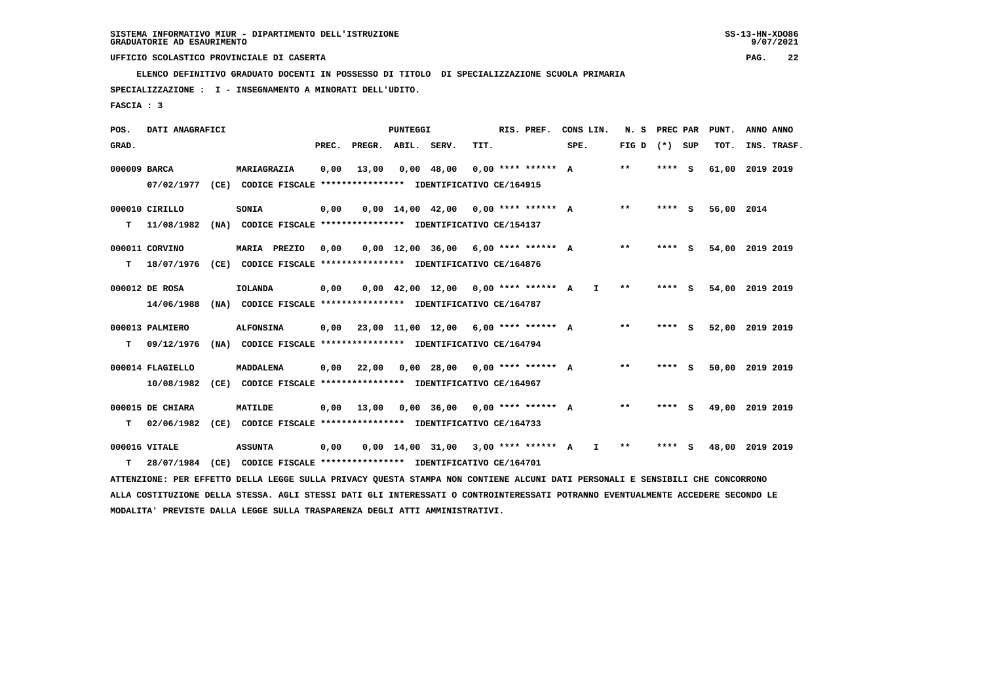**ELENCO DEFINITIVO GRADUATO DOCENTI IN POSSESSO DI TITOLO DI SPECIALIZZAZIONE SCUOLA PRIMARIA**

 **SPECIALIZZAZIONE : I - INSEGNAMENTO A MINORATI DELL'UDITO.**

 **FASCIA : 3**

| POS.         | DATI ANAGRAFICI  |                                                                                                                                 |       |                                      | PUNTEGGI |                                                                       |      | RIS. PREF.         | CONS LIN. |    | N.S             | <b>PREC PAR</b> |     | PUNT.           | ANNO ANNO |             |
|--------------|------------------|---------------------------------------------------------------------------------------------------------------------------------|-------|--------------------------------------|----------|-----------------------------------------------------------------------|------|--------------------|-----------|----|-----------------|-----------------|-----|-----------------|-----------|-------------|
| GRAD.        |                  |                                                                                                                                 | PREC. | PREGR. ABIL. SERV.                   |          |                                                                       | TIT. |                    | SPE.      |    | FIG D $(*)$ SUP |                 |     | TOT.            |           | INS. TRASF. |
| 000009 BARCA |                  | MARIAGRAZIA                                                                                                                     | 0.00  | 13,00                                |          | $0.00$ 48.00                                                          |      | 0,00 **** ****** A |           |    | $**$            | **** S          |     | 61,00 2019 2019 |           |             |
|              | 07/02/1977       | (CE) CODICE FISCALE **************** IDENTIFICATIVO CE/164915                                                                   |       |                                      |          |                                                                       |      |                    |           |    |                 |                 |     |                 |           |             |
|              | 000010 CIRILLO   | <b>SONIA</b>                                                                                                                    | 0,00  |                                      |          | $0.00$ 14.00 42.00 0.00 **** ****** A                                 |      |                    |           |    | $* *$           | $***$ S         |     | 56,00 2014      |           |             |
| т            | 11/08/1982       | (NA) CODICE FISCALE **************** IDENTIFICATIVO CE/154137                                                                   |       |                                      |          |                                                                       |      |                    |           |    |                 |                 |     |                 |           |             |
|              | 000011 CORVINO   | MARIA PREZIO                                                                                                                    | 0,00  |                                      |          | $0.00$ 12.00 36.00 6.00 **** ****** A                                 |      |                    |           |    | $***$           | **** S          |     | 54,00 2019 2019 |           |             |
| т            | 18/07/1976       | (CE) CODICE FISCALE **************** IDENTIFICATIVO CE/164876                                                                   |       |                                      |          |                                                                       |      |                    |           |    |                 |                 |     |                 |           |             |
|              | 000012 DE ROSA   | <b>IOLANDA</b>                                                                                                                  | 0,00  |                                      |          | $0.00 \quad 42.00 \quad 12.00 \quad 0.00 \quad *** \quad *** \quad A$ |      |                    |           | I. | $***$           | ****            | - S | 54,00 2019 2019 |           |             |
|              | 14/06/1988       | (NA) CODICE FISCALE **************** IDENTIFICATIVO CE/164787                                                                   |       |                                      |          |                                                                       |      |                    |           |    |                 |                 |     |                 |           |             |
|              | 000013 PALMIERO  | <b>ALFONSINA</b>                                                                                                                | 0,00  | 23,00 11,00 12,00 6,00 **** ****** A |          |                                                                       |      |                    |           |    | $* *$           | $***$ S         |     | 52,00 2019 2019 |           |             |
| т            | 09/12/1976       | (NA) CODICE FISCALE *************** IDENTIFICATIVO CE/164794                                                                    |       |                                      |          |                                                                       |      |                    |           |    |                 |                 |     |                 |           |             |
|              | 000014 FLAGIELLO | <b>MADDALENA</b>                                                                                                                | 0,00  | 22,00                                |          | $0,00$ 28,00 0,00 **** ****** A                                       |      |                    |           |    | $***$           | **** S          |     | 50,00 2019 2019 |           |             |
|              | 10/08/1982       | (CE) CODICE FISCALE **************** IDENTIFICATIVO CE/164967                                                                   |       |                                      |          |                                                                       |      |                    |           |    |                 |                 |     |                 |           |             |
|              | 000015 DE CHIARA | MATILDE                                                                                                                         |       | 0.00 13.00                           |          | $0,00$ 36,00 0,00 **** ****** A                                       |      |                    |           |    | **              | **** S          |     | 49,00 2019 2019 |           |             |
| т            | 02/06/1982       | (CE) CODICE FISCALE **************** IDENTIFICATIVO CE/164733                                                                   |       |                                      |          |                                                                       |      |                    |           |    |                 |                 |     |                 |           |             |
|              | 000016 VITALE    | <b>ASSUNTA</b>                                                                                                                  | 0,00  |                                      |          | $0.00$ 14.00 31.00 3.00 **** ****** A                                 |      |                    |           | I. | $\star\star$    | **** S          |     | 48,00 2019 2019 |           |             |
|              | 28/07/1984       | (CE) CODICE FISCALE **************** IDENTIFICATIVO CE/164701                                                                   |       |                                      |          |                                                                       |      |                    |           |    |                 |                 |     |                 |           |             |
| т            |                  |                                                                                                                                 |       |                                      |          |                                                                       |      |                    |           |    |                 |                 |     |                 |           |             |
|              |                  | ATTENZIONE: PER EFFETTO DELLA LEGGE SULLA PRIVACY QUESTA STAMPA NON CONTIENE ALCUNI DATI PERSONALI E SENSIBILI CHE CONCORRONO   |       |                                      |          |                                                                       |      |                    |           |    |                 |                 |     |                 |           |             |
|              |                  | ALLA COSTITUZIONE DELLA STESSA. AGLI STESSI DATI GLI INTERESSATI O CONTROINTERESSATI POTRANNO EVENTUALMENTE ACCEDERE SECONDO LE |       |                                      |          |                                                                       |      |                    |           |    |                 |                 |     |                 |           |             |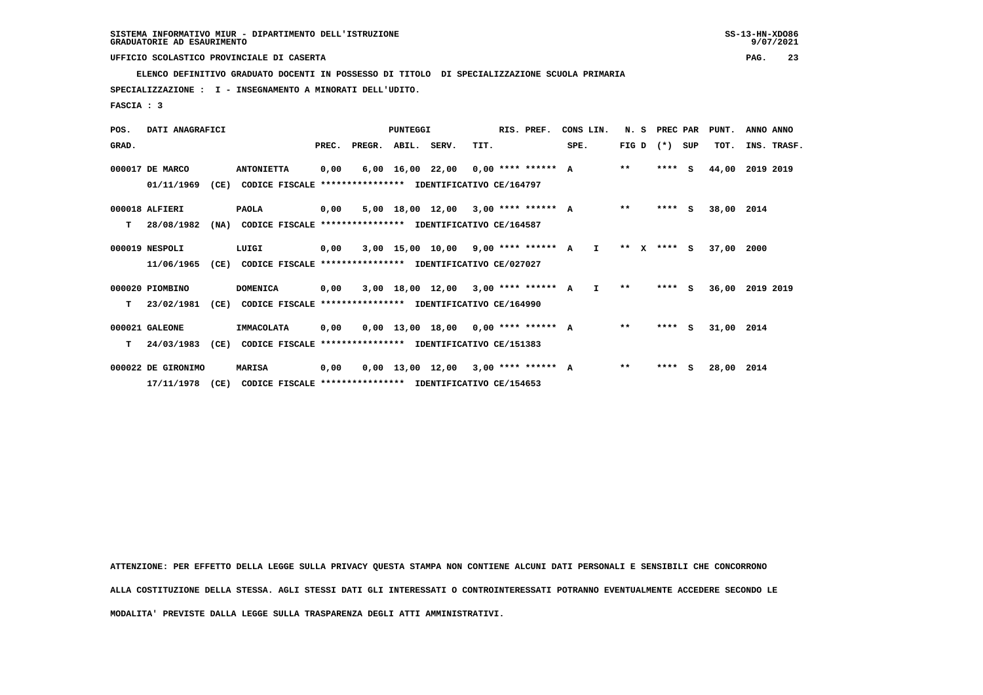**ELENCO DEFINITIVO GRADUATO DOCENTI IN POSSESSO DI TITOLO DI SPECIALIZZAZIONE SCUOLA PRIMARIA**

 **SPECIALIZZAZIONE : I - INSEGNAMENTO A MINORATI DELL'UDITO.**

 **FASCIA : 3**

| POS.  | DATI ANAGRAFICI    |      |                                                          |       |                    | PUNTEGGI |                                          |      | RIS. PREF. | CONS LIN. |              |              | N. S | PREC PAR          | PUNT.      | ANNO ANNO   |  |
|-------|--------------------|------|----------------------------------------------------------|-------|--------------------|----------|------------------------------------------|------|------------|-----------|--------------|--------------|------|-------------------|------------|-------------|--|
| GRAD. |                    |      |                                                          | PREC. | PREGR. ABIL. SERV. |          |                                          | TIT. |            | SPE.      |              |              |      | FIG $D$ $(*)$ SUP | TOT.       | INS. TRASF. |  |
|       | 000017 DE MARCO    |      | <b>ANTONIETTA</b>                                        | 0,00  |                    |          | $6,00$ 16,00 22,00 0,00 **** ****** A    |      |            |           |              | $***$        |      | $***$ S           | 44,00      | 2019 2019   |  |
|       | 01/11/1969         | (CE) | CODICE FISCALE                                           |       |                    |          | *************** IDENTIFICATIVO CE/164797 |      |            |           |              |              |      |                   |            |             |  |
|       | 000018 ALFIERI     |      | <b>PAOLA</b>                                             | 0,00  |                    |          | $5.00$ 18.00 12.00 3.00 **** ****** A    |      |            |           |              | $* *$        |      | $***$ S           | 38,00      | 2014        |  |
| т     | 28/08/1982         | (NA) | CODICE FISCALE **************** IDENTIFICATIVO CE/164587 |       |                    |          |                                          |      |            |           |              |              |      |                   |            |             |  |
|       | 000019 NESPOLI     |      | LUIGI                                                    | 0,00  |                    |          | $3,00$ 15,00 10,00 9,00 **** ****** A    |      |            |           | $\mathbf{I}$ | $***$ X      |      | **** S            | 37,00      | 2000        |  |
|       | 11/06/1965         | (CE) | CODICE FISCALE **************** IDENTIFICATIVO CE/027027 |       |                    |          |                                          |      |            |           |              |              |      |                   |            |             |  |
|       | 000020 PIOMBINO    |      | <b>DOMENICA</b>                                          | 0,00  |                    |          | 3,00 18,00 12,00 3,00 **** ****** A I    |      |            |           |              | $\star\star$ |      | $***$ S           | 36,00      | 2019 2019   |  |
| т     | 23/02/1981         | (CE) | CODICE FISCALE **************** IDENTIFICATIVO CE/164990 |       |                    |          |                                          |      |            |           |              |              |      |                   |            |             |  |
|       | 000021 GALEONE     |      | <b>IMMACOLATA</b>                                        | 0,00  |                    |          | $0,00$ 13,00 18,00 0,00 **** ****** A    |      |            |           |              | $* *$        |      | $***$ S           | 31,00 2014 |             |  |
| т     | 24/03/1983         | (CE) | CODICE FISCALE **************** IDENTIFICATIVO CE/151383 |       |                    |          |                                          |      |            |           |              |              |      |                   |            |             |  |
|       | 000022 DE GIRONIMO |      | <b>MARISA</b>                                            | 0,00  |                    |          | $0,00$ 13,00 12,00 3,00 **** ****** A    |      |            |           |              | $* *$        |      | $***$ S           | 28,00      | 2014        |  |
|       | 17/11/1978         | (CE) | CODICE FISCALE **************** IDENTIFICATIVO CE/154653 |       |                    |          |                                          |      |            |           |              |              |      |                   |            |             |  |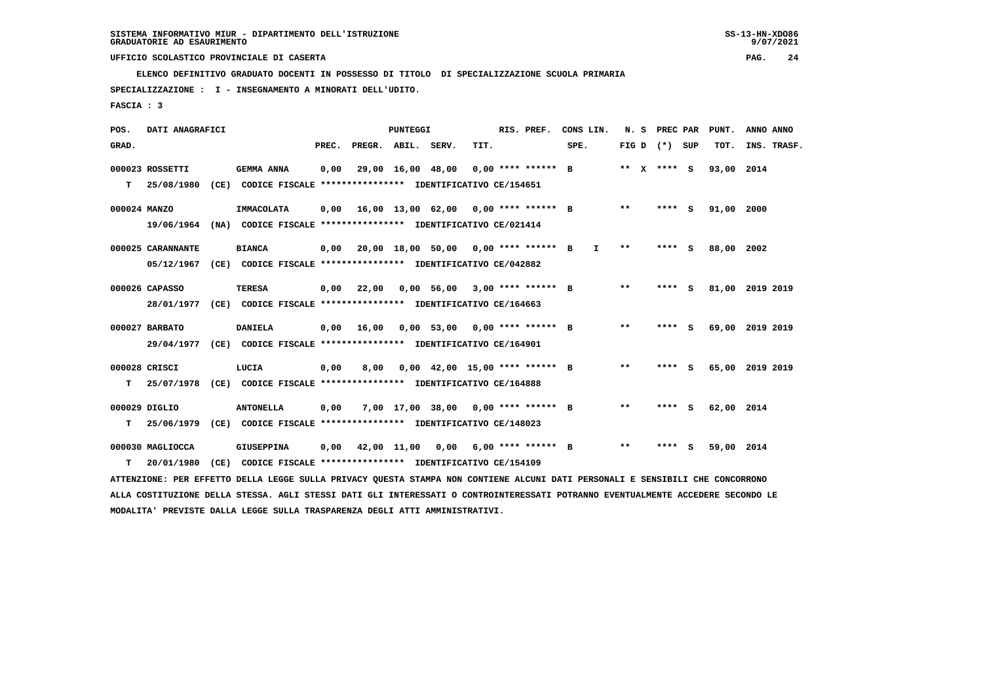**ELENCO DEFINITIVO GRADUATO DOCENTI IN POSSESSO DI TITOLO DI SPECIALIZZAZIONE SCUOLA PRIMARIA**

 **SPECIALIZZAZIONE : I - INSEGNAMENTO A MINORATI DELL'UDITO.**

 **FASCIA : 3**

| POS.         | DATI ANAGRAFICI   |      |                                                                                                                               |       |                    | PUNTEGGI          |                                      |      | RIS. PREF.           | CONS LIN.    | N. S         | PREC PAR |          | PUNT. | ANNO ANNO   |
|--------------|-------------------|------|-------------------------------------------------------------------------------------------------------------------------------|-------|--------------------|-------------------|--------------------------------------|------|----------------------|--------------|--------------|----------|----------|-------|-------------|
| GRAD.        |                   |      |                                                                                                                               | PREC. | PREGR. ABIL. SERV. |                   |                                      | TIT. |                      | SPE.         | FIG D        | (*) SUP  |          | TOT.  | INS. TRASF. |
|              | 000023 ROSSETTI   |      | <b>GEMMA ANNA</b>                                                                                                             | 0,00  |                    | 29,00 16,00 48,00 |                                      |      | $0.00$ **** ****** B |              | ** x **** S  |          |          | 93,00 | 2014        |
| т            | 25/08/1980        | (CE) | CODICE FISCALE **************** IDENTIFICATIVO CE/154651                                                                      |       |                    |                   |                                      |      |                      |              |              |          |          |       |             |
| 000024 MANZO |                   |      | IMMACOLATA                                                                                                                    | 0.00  |                    |                   | 16,00 13,00 62,00 0,00 **** ****** B |      |                      |              | $***$        | ****     | S        | 91,00 | 2000        |
|              | 19/06/1964        |      | (NA) CODICE FISCALE **************** IDENTIFICATIVO CE/021414                                                                 |       |                    |                   |                                      |      |                      |              |              |          |          |       |             |
|              | 000025 CARANNANTE |      | <b>BIANCA</b>                                                                                                                 | 0,00  |                    |                   | 20,00 18,00 50,00 0,00 **** ****** B |      |                      | $\mathbf{I}$ | $* *$        | ****     | <b>S</b> | 88,00 | 2002        |
|              | 05/12/1967        |      | (CE) CODICE FISCALE **************** IDENTIFICATIVO CE/042882                                                                 |       |                    |                   |                                      |      |                      |              |              |          |          |       |             |
|              | 000026 CAPASSO    |      | <b>TERESA</b>                                                                                                                 | 0,00  | 22,00              |                   | $0,00$ 56,00 3,00 **** ****** B      |      |                      |              | $***$        | ****     | S        | 81,00 | 2019 2019   |
|              | 28/01/1977        |      | (CE) CODICE FISCALE **************** IDENTIFICATIVO CE/164663                                                                 |       |                    |                   |                                      |      |                      |              |              |          |          |       |             |
|              | 000027 BARBATO    |      | <b>DANIELA</b>                                                                                                                | 0,00  | 16,00              |                   | $0,00$ 53,00 0,00 **** ****** B      |      |                      |              | $***$        | ****     | s        | 69,00 | 2019 2019   |
|              | 29/04/1977        |      | (CE) CODICE FISCALE **************** IDENTIFICATIVO CE/164901                                                                 |       |                    |                   |                                      |      |                      |              |              |          |          |       |             |
|              | 000028 CRISCI     |      | LUCIA                                                                                                                         | 0.00  | 8,00               |                   | $0.00$ 42.00 15.00 **** ****** B     |      |                      |              | $\star\star$ | ****     | s        | 65,00 | 2019 2019   |
| т            | 25/07/1978        |      | (CE) CODICE FISCALE **************** IDENTIFICATIVO CE/164888                                                                 |       |                    |                   |                                      |      |                      |              |              |          |          |       |             |
|              | 000029 DIGLIO     |      | <b>ANTONELLA</b>                                                                                                              | 0,00  |                    |                   | 7,00 17,00 38,00 0,00 **** ****** B  |      |                      |              | $* *$        | ****     | S.       | 62,00 | 2014        |
| т            | 25/06/1979        |      | (CE) CODICE FISCALE **************** IDENTIFICATIVO CE/148023                                                                 |       |                    |                   |                                      |      |                      |              |              |          |          |       |             |
|              | 000030 MAGLIOCCA  |      | <b>GIUSEPPINA</b>                                                                                                             | 0.00  |                    |                   | 42,00 11,00 0,00 6,00 **** ****** B  |      |                      |              | $* *$        | ****     | s        | 59,00 | 2014        |
| т            | 20/01/1980        | (CE) | CODICE FISCALE **************** IDENTIFICATIVO CE/154109                                                                      |       |                    |                   |                                      |      |                      |              |              |          |          |       |             |
|              |                   |      | ATTENZIONE: PER EFFETTO DELLA LEGGE SULLA PRIVACY QUESTA STAMPA NON CONTIENE ALCUNI DATI PERSONALI E SENSIBILI CHE CONCORRONO |       |                    |                   |                                      |      |                      |              |              |          |          |       |             |

 **ALLA COSTITUZIONE DELLA STESSA. AGLI STESSI DATI GLI INTERESSATI O CONTROINTERESSATI POTRANNO EVENTUALMENTE ACCEDERE SECONDO LE MODALITA' PREVISTE DALLA LEGGE SULLA TRASPARENZA DEGLI ATTI AMMINISTRATIVI.**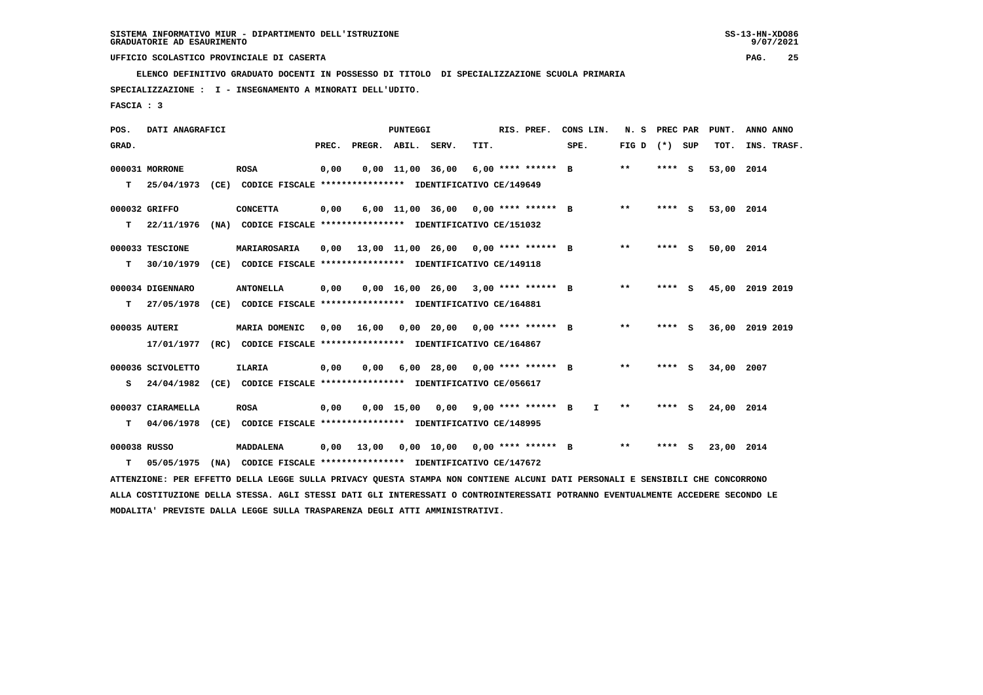**ELENCO DEFINITIVO GRADUATO DOCENTI IN POSSESSO DI TITOLO DI SPECIALIZZAZIONE SCUOLA PRIMARIA**

 **SPECIALIZZAZIONE : I - INSEGNAMENTO A MINORATI DELL'UDITO.**

 **FASCIA : 3**

| POS.         | DATI ANAGRAFICI   |                                                                                                                                 |       |                    | <b>PUNTEGGI</b>        |                                       |      | RIS. PREF.         | CONS LIN.    | N.S               | PREC PAR |     | PUNT.           | ANNO ANNO |             |
|--------------|-------------------|---------------------------------------------------------------------------------------------------------------------------------|-------|--------------------|------------------------|---------------------------------------|------|--------------------|--------------|-------------------|----------|-----|-----------------|-----------|-------------|
| GRAD.        |                   |                                                                                                                                 | PREC. | PREGR. ABIL. SERV. |                        |                                       | TIT. |                    | SPE.         | FIG $D$ $(*)$ SUP |          |     | TOT.            |           | INS. TRASF. |
|              | 000031 MORRONE    | <b>ROSA</b>                                                                                                                     | 0,00  |                    | $0,00$ $11,00$ $36,00$ |                                       |      | 6,00 **** ****** B |              | $***$             | ****     | - S | 53,00           | 2014      |             |
| т            | 25/04/1973        | (CE) CODICE FISCALE **************** IDENTIFICATIVO CE/149649                                                                   |       |                    |                        |                                       |      |                    |              |                   |          |     |                 |           |             |
|              | 000032 GRIFFO     | <b>CONCETTA</b>                                                                                                                 | 0,00  |                    |                        | 6,00 11,00 36,00 0,00 **** ****** B   |      |                    |              | $***$             | **** S   |     | 53,00 2014      |           |             |
| т            | 22/11/1976        | (NA) CODICE FISCALE **************** IDENTIFICATIVO CE/151032                                                                   |       |                    |                        |                                       |      |                    |              |                   |          |     |                 |           |             |
|              | 000033 TESCIONE   | MARIAROSARIA                                                                                                                    | 0,00  |                    |                        | 13,00 11,00 26,00 0,00 **** ****** B  |      |                    |              | $***$             | **** S   |     | 50,00 2014      |           |             |
| т            | 30/10/1979        | (CE) CODICE FISCALE **************** IDENTIFICATIVO CE/149118                                                                   |       |                    |                        |                                       |      |                    |              |                   |          |     |                 |           |             |
|              | 000034 DIGENNARO  | <b>ANTONELLA</b>                                                                                                                | 0,00  |                    |                        | $0,00$ 16,00 26,00 3,00 **** ****** B |      |                    |              | $***$             | $***$ S  |     | 45,00 2019 2019 |           |             |
| т            | 27/05/1978        | (CE) CODICE FISCALE **************** IDENTIFICATIVO CE/164881                                                                   |       |                    |                        |                                       |      |                    |              |                   |          |     |                 |           |             |
|              | 000035 AUTERI     | MARIA DOMENIC                                                                                                                   | 0.00  | 16,00              |                        | 0,00 20,00 0,00 **** ****** B         |      |                    |              | $***$             | **** S   |     | 36,00 2019 2019 |           |             |
|              | 17/01/1977        | (RC) CODICE FISCALE **************** IDENTIFICATIVO CE/164867                                                                   |       |                    |                        |                                       |      |                    |              |                   |          |     |                 |           |             |
|              | 000036 SCIVOLETTO | <b>ILARIA</b>                                                                                                                   | 0,00  | 0,00               |                        | $6,00$ 28,00 0,00 **** ****** B       |      |                    |              | $***$             | **** S   |     | 34,00 2007      |           |             |
| s            | 24/04/1982        | (CE) CODICE FISCALE **************** IDENTIFICATIVO CE/056617                                                                   |       |                    |                        |                                       |      |                    |              |                   |          |     |                 |           |             |
|              | 000037 CIARAMELLA | <b>ROSA</b>                                                                                                                     | 0,00  |                    |                        | $0,00$ 15,00 0,00 9,00 **** ****** B  |      |                    | $\mathbf{I}$ | $* *$             | **** S   |     | 24,00 2014      |           |             |
| т            |                   | 04/06/1978 (CE) CODICE FISCALE **************** IDENTIFICATIVO CE/148995                                                        |       |                    |                        |                                       |      |                    |              |                   |          |     |                 |           |             |
| 000038 RUSSO |                   | <b>MADDALENA</b>                                                                                                                | 0,00  | 13,00              |                        | $0,00$ 10,00 0,00 **** ****** B       |      |                    |              | $***$             | $***$ S  |     | 23,00 2014      |           |             |
| T.           | 05/05/1975        | (NA) CODICE FISCALE **************** IDENTIFICATIVO CE/147672                                                                   |       |                    |                        |                                       |      |                    |              |                   |          |     |                 |           |             |
|              |                   | ATTENZIONE: PER EFFETTO DELLA LEGGE SULLA PRIVACY QUESTA STAMPA NON CONTIENE ALCUNI DATI PERSONALI E SENSIBILI CHE CONCORRONO   |       |                    |                        |                                       |      |                    |              |                   |          |     |                 |           |             |
|              |                   | ALLA COSTITUZIONE DELLA STESSA. AGLI STESSI DATI GLI INTERESSATI O CONTROINTERESSATI POTRANNO EVENTUALMENTE ACCEDERE SECONDO LE |       |                    |                        |                                       |      |                    |              |                   |          |     |                 |           |             |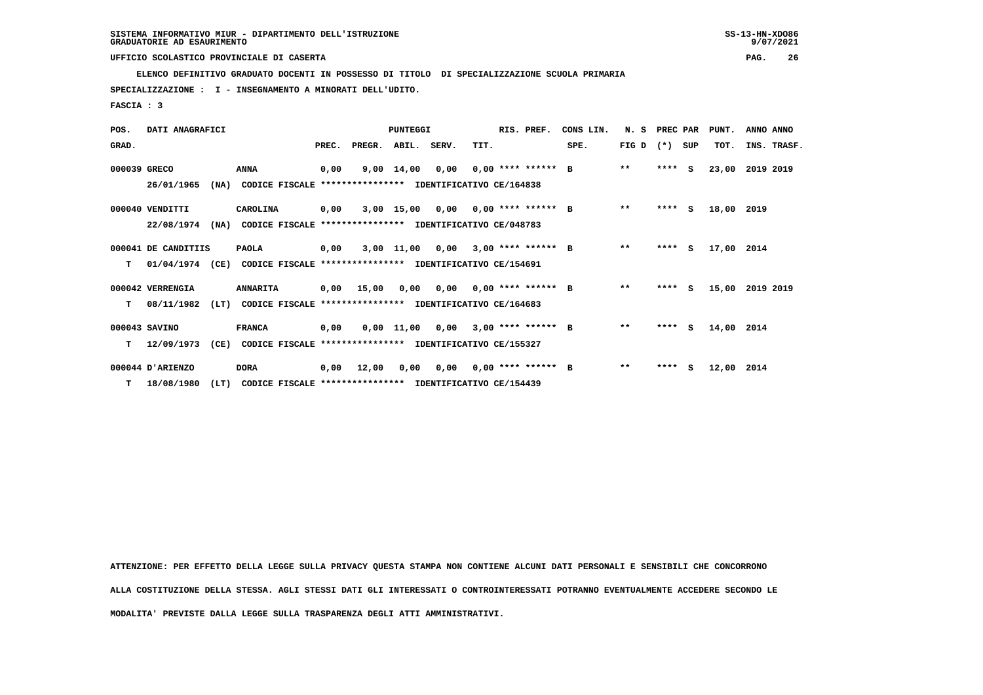**ELENCO DEFINITIVO GRADUATO DOCENTI IN POSSESSO DI TITOLO DI SPECIALIZZAZIONE SCUOLA PRIMARIA**

 **SPECIALIZZAZIONE : I - INSEGNAMENTO A MINORATI DELL'UDITO.**

 **FASCIA : 3**

| POS.         | DATI ANAGRAFICI     |                                                                          |       |                                           | PUNTEGGI           |                                    |      | RIS. PREF.                  | CONS LIN. | N. S            | PREC PAR |          | PUNT.      | ANNO ANNO   |
|--------------|---------------------|--------------------------------------------------------------------------|-------|-------------------------------------------|--------------------|------------------------------------|------|-----------------------------|-----------|-----------------|----------|----------|------------|-------------|
| GRAD.        |                     |                                                                          | PREC. |                                           | PREGR. ABIL. SERV. |                                    | TIT. |                             | SPE.      | FIG D $(*)$ SUP |          |          | TOT.       | INS. TRASF. |
| 000039 GRECO |                     | <b>ANNA</b>                                                              | 0,00  |                                           | $9,00 \quad 14,00$ | 0,00                               |      | $0.00$ **** ****** B        |           | $\star\star$    | $***$ S  |          | 23,00      | 2019 2019   |
|              | 26/01/1965          | (NA)<br>CODICE FISCALE                                                   |       | **************** IDENTIFICATIVO CE/164838 |                    |                                    |      |                             |           |                 |          |          |            |             |
|              | 000040 VENDITTI     | CAROLINA                                                                 | 0.00  |                                           |                    | 3,00 15,00 0,00 0,00 **** ****** B |      |                             |           | $\star\star$    | $***$ S  |          | 18,00      | 2019        |
|              | 22/08/1974          | (NA)<br>CODICE FISCALE **************** IDENTIFICATIVO CE/048783         |       |                                           |                    |                                    |      |                             |           |                 |          |          |            |             |
|              | 000041 DE CANDITIIS | <b>PAOLA</b>                                                             | 0,00  |                                           | $3,00$ $11,00$     | 0,00                               |      | $3.00$ **** ****** B        |           | $\star\star$    | ****     | <b>S</b> | 17,00 2014 |             |
| т            |                     | 01/04/1974 (CE) CODICE FISCALE **************** IDENTIFICATIVO CE/154691 |       |                                           |                    |                                    |      |                             |           |                 |          |          |            |             |
|              | 000042 VERRENGIA    | <b>ANNARITA</b>                                                          | 0,00  | 15,00                                     | 0,00               |                                    |      | $0,00$ $0,00$ **** ****** B |           | $* *$           | **** S   |          | 15,00      | 2019 2019   |
| т            | 08/11/1982          | (LT)<br>CODICE FISCALE **************** IDENTIFICATIVO CE/164683         |       |                                           |                    |                                    |      |                             |           |                 |          |          |            |             |
|              | 000043 SAVINO       | <b>FRANCA</b>                                                            | 0,00  |                                           |                    | 0,00 11,00 0,00                    |      | $3,00$ **** ****** B        |           | $**$            | $***$ S  |          | 14,00 2014 |             |
| т            | 12/09/1973          | (CE)<br>CODICE FISCALE **************** IDENTIFICATIVO CE/155327         |       |                                           |                    |                                    |      |                             |           |                 |          |          |            |             |
|              | 000044 D'ARIENZO    | <b>DORA</b>                                                              | 0,00  | 12,00                                     | 0,00               | 0,00                               |      | $0,00$ **** ****** B        |           | $\star\star$    | $***5$   |          | 12,00      | 2014        |
|              | $T = 18/08/1980$    | (LT)<br>CODICE FISCALE **************** IDENTIFICATIVO CE/154439         |       |                                           |                    |                                    |      |                             |           |                 |          |          |            |             |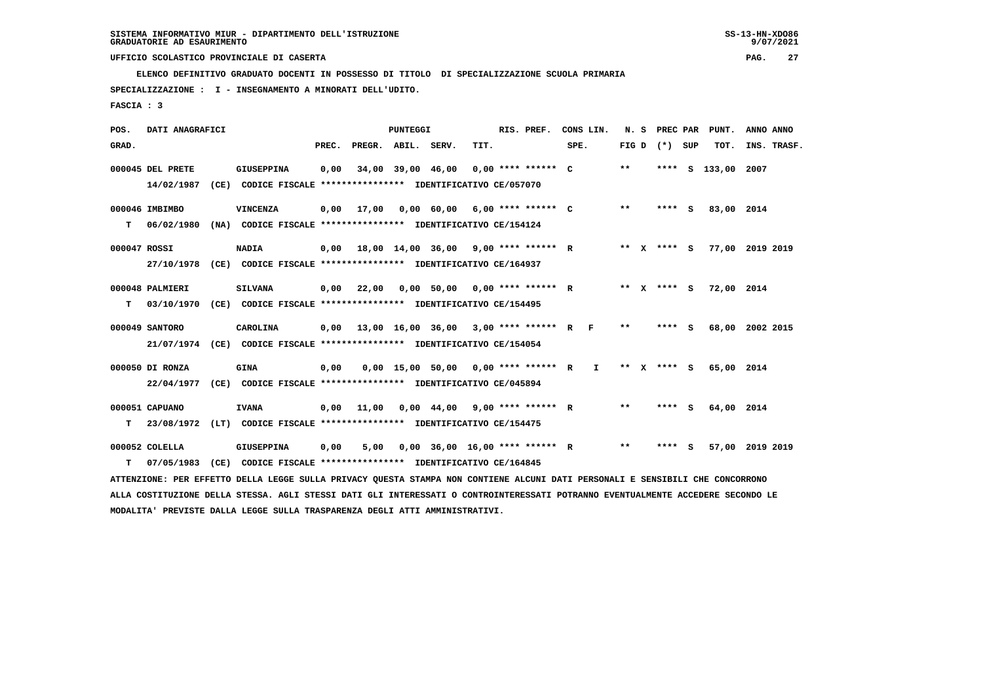**ELENCO DEFINITIVO GRADUATO DOCENTI IN POSSESSO DI TITOLO DI SPECIALIZZAZIONE SCUOLA PRIMARIA**

 **SPECIALIZZAZIONE : I - INSEGNAMENTO A MINORATI DELL'UDITO.**

 **FASCIA : 3**

| POS.         | DATI ANAGRAFICI                                                                                                               |  |                                                                                                                                 |       |                                             | PUNTEGGI |                                       |      |  | RIS. PREF. | CONS LIN. |  |       |                 | N. S PREC PAR PUNT. | ANNO ANNO |             |
|--------------|-------------------------------------------------------------------------------------------------------------------------------|--|---------------------------------------------------------------------------------------------------------------------------------|-------|---------------------------------------------|----------|---------------------------------------|------|--|------------|-----------|--|-------|-----------------|---------------------|-----------|-------------|
| GRAD.        |                                                                                                                               |  |                                                                                                                                 | PREC. | PREGR. ABIL. SERV.                          |          |                                       | TIT. |  |            | SPE.      |  |       | FIG D $(*)$ SUP | TOT.                |           | INS. TRASF. |
|              | 000045 DEL PRETE                                                                                                              |  | <b>GIUSEPPINA</b>                                                                                                               | 0,00  |                                             |          | 34,00 39,00 46,00 0,00 **** ****** C  |      |  |            |           |  | $***$ |                 | **** S 133,00 2007  |           |             |
|              | 14/02/1987                                                                                                                    |  | (CE) CODICE FISCALE **************** IDENTIFICATIVO CE/057070                                                                   |       |                                             |          |                                       |      |  |            |           |  |       |                 |                     |           |             |
|              | 000046 IMBIMBO                                                                                                                |  | <b>VINCENZA</b>                                                                                                                 | 0,00  | 17,00  0,00  60,00  6,00  ****  ******  C   |          |                                       |      |  |            |           |  | $* *$ | **** S          | 83,00 2014          |           |             |
| т            | 06/02/1980                                                                                                                    |  | (NA) CODICE FISCALE **************** IDENTIFICATIVO CE/154124                                                                   |       |                                             |          |                                       |      |  |            |           |  |       |                 |                     |           |             |
| 000047 ROSSI |                                                                                                                               |  | <b>NADIA</b>                                                                                                                    |       | $0.00$ 18.00 14.00 36.00 9.00 **** ****** R |          |                                       |      |  |            |           |  |       | ** x **** s     | 77,00 2019 2019     |           |             |
|              | 27/10/1978                                                                                                                    |  | (CE) CODICE FISCALE *************** IDENTIFICATIVO CE/164937                                                                    |       |                                             |          |                                       |      |  |            |           |  |       |                 |                     |           |             |
|              | 000048 PALMIERI                                                                                                               |  | <b>SILVANA</b>                                                                                                                  | 0,00  | 22,00                                       |          | 0,00 50,00 0,00 **** ****** R         |      |  |            |           |  |       | ** X **** S     | 72,00 2014          |           |             |
| т            | 03/10/1970                                                                                                                    |  | (CE) CODICE FISCALE **************** IDENTIFICATIVO CE/154495                                                                   |       |                                             |          |                                       |      |  |            |           |  |       |                 |                     |           |             |
|              | 000049 SANTORO                                                                                                                |  | CAROLINA                                                                                                                        | 0,00  | 13,00 16,00 36,00 3,00 **** ****** R F      |          |                                       |      |  |            |           |  | $***$ | $***$ S         | 68,00 2002 2015     |           |             |
|              |                                                                                                                               |  | 21/07/1974 (CE) CODICE FISCALE *************** IDENTIFICATIVO CE/154054                                                         |       |                                             |          |                                       |      |  |            |           |  |       |                 |                     |           |             |
|              | 000050 DI RONZA                                                                                                               |  | <b>GINA</b>                                                                                                                     | 0.00  |                                             |          | 0,00 15,00 50,00 0,00 **** ****** R I |      |  |            |           |  |       | ** X **** S     | 65,00 2014          |           |             |
|              |                                                                                                                               |  | 22/04/1977 (CE) CODICE FISCALE *************** IDENTIFICATIVO CE/045894                                                         |       |                                             |          |                                       |      |  |            |           |  |       |                 |                     |           |             |
|              | 000051 CAPUANO                                                                                                                |  | <b>IVANA</b>                                                                                                                    |       | $0,00$ 11,00 0,00 44,00 9,00 **** ****** R  |          |                                       |      |  |            |           |  | $***$ | **** S          | 64,00 2014          |           |             |
| т            |                                                                                                                               |  | 23/08/1972 (LT) CODICE FISCALE **************** IDENTIFICATIVO CE/154475                                                        |       |                                             |          |                                       |      |  |            |           |  |       |                 |                     |           |             |
|              | 000052 COLELLA                                                                                                                |  | <b>GIUSEPPINA</b>                                                                                                               | 0,00  | 5,00                                        |          | $0.00$ 36.00 16.00 **** ****** R      |      |  |            |           |  | $***$ | **** S          | 57,00 2019 2019     |           |             |
| т            | 07/05/1983                                                                                                                    |  | (CE) CODICE FISCALE **************** IDENTIFICATIVO CE/164845                                                                   |       |                                             |          |                                       |      |  |            |           |  |       |                 |                     |           |             |
|              | ATTENZIONE: PER EFFETTO DELLA LEGGE SULLA PRIVACY QUESTA STAMPA NON CONTIENE ALCUNI DATI PERSONALI E SENSIBILI CHE CONCORRONO |  |                                                                                                                                 |       |                                             |          |                                       |      |  |            |           |  |       |                 |                     |           |             |
|              |                                                                                                                               |  | ALLA COSTITUZIONE DELLA STESSA. AGLI STESSI DATI GLI INTERESSATI O CONTROINTERESSATI POTRANNO EVENTUALMENTE ACCEDERE SECONDO LE |       |                                             |          |                                       |      |  |            |           |  |       |                 |                     |           |             |
|              |                                                                                                                               |  | MODALITA' PREVISTE DALLA LEGGE SULLA TRASPARENZA DEGLI ATTI AMMINISTRATIVI.                                                     |       |                                             |          |                                       |      |  |            |           |  |       |                 |                     |           |             |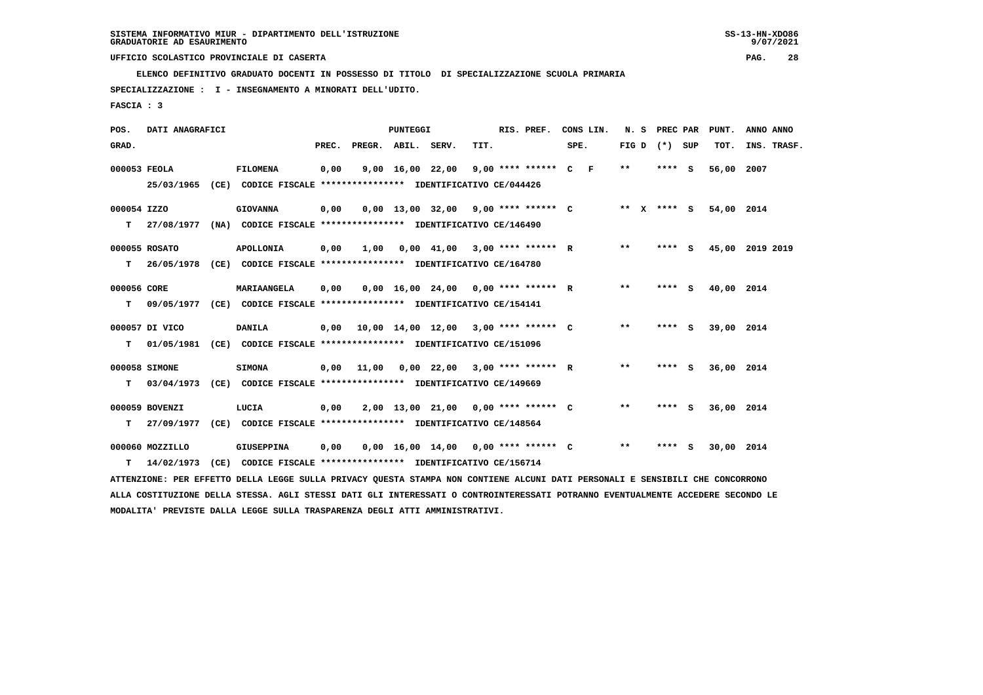**ELENCO DEFINITIVO GRADUATO DOCENTI IN POSSESSO DI TITOLO DI SPECIALIZZAZIONE SCUOLA PRIMARIA**

 **SPECIALIZZAZIONE : I - INSEGNAMENTO A MINORATI DELL'UDITO.**

 **FASCIA : 3**

| POS.         | DATI ANAGRAFICI |                                                                                                                                 |       |                    | <b>PUNTEGGI</b> |      | RIS. PREF.                                  | CONS LIN. |                 | N. S PREC PAR | PUNT.                  | ANNO ANNO       |
|--------------|-----------------|---------------------------------------------------------------------------------------------------------------------------------|-------|--------------------|-----------------|------|---------------------------------------------|-----------|-----------------|---------------|------------------------|-----------------|
| GRAD.        |                 |                                                                                                                                 | PREC. | PREGR. ABIL. SERV. |                 | TIT. |                                             | SPE.      | FIG D $(*)$ SUP |               | тот.                   | INS. TRASF.     |
| 000053 FEOLA |                 | <b>FILOMENA</b>                                                                                                                 | 0,00  |                    |                 |      | 9,00 16,00 22,00 9,00 **** ****** C F       |           | $***$           | **** S        | 56,00 2007             |                 |
|              |                 | 25/03/1965 (CE) CODICE FISCALE *************** IDENTIFICATIVO CE/044426                                                         |       |                    |                 |      |                                             |           |                 |               |                        |                 |
| 000054 IZZO  |                 | <b>GIOVANNA</b>                                                                                                                 | 0,00  |                    |                 |      | $0,00$ 13,00 32,00 9,00 **** ****** C       |           |                 |               | ** X **** S 54,00 2014 |                 |
| т            |                 | 27/08/1977 (NA) CODICE FISCALE *************** IDENTIFICATIVO CE/146490                                                         |       |                    |                 |      |                                             |           |                 |               |                        |                 |
|              | 000055 ROSATO   | <b>APOLLONIA</b>                                                                                                                | 0,00  | 1,00               |                 |      | $0,00$ 41,00 3,00 **** ****** R             |           | $* *$           | **** S        |                        | 45,00 2019 2019 |
| т            | 26/05/1978      | (CE) CODICE FISCALE *************** IDENTIFICATIVO CE/164780                                                                    |       |                    |                 |      |                                             |           |                 |               |                        |                 |
| 000056 CORE  |                 | MARIAANGELA                                                                                                                     | 0,00  |                    |                 |      | $0,00$ 16,00 24,00 0,00 **** ****** R       |           | $***$           | **** S        | 40,00 2014             |                 |
| т            |                 | 09/05/1977 (CE) CODICE FISCALE **************** IDENTIFICATIVO CE/154141                                                        |       |                    |                 |      |                                             |           |                 |               |                        |                 |
|              | 000057 DI VICO  | <b>DANILA</b>                                                                                                                   |       |                    |                 |      | $0,00$ 10,00 14,00 12,00 3,00 **** ****** C |           | $* *$           | **** S        | 39,00 2014             |                 |
| т            |                 | 01/05/1981 (CE) CODICE FISCALE **************** IDENTIFICATIVO CE/151096                                                        |       |                    |                 |      |                                             |           |                 |               |                        |                 |
|              | 000058 SIMONE   | <b>SIMONA</b>                                                                                                                   |       | $0,00$ 11,00       |                 |      | $0,00$ 22,00 3,00 **** ****** R             |           | $* *$           | **** S        | 36,00 2014             |                 |
| т            |                 | 03/04/1973 (CE) CODICE FISCALE **************** IDENTIFICATIVO CE/149669                                                        |       |                    |                 |      |                                             |           |                 |               |                        |                 |
|              | 000059 BOVENZI  | LUCIA                                                                                                                           | 0,00  |                    |                 |      | 2,00 13,00 21,00 0,00 **** ****** C         |           | $* *$           | **** S        | 36,00 2014             |                 |
| т            | 27/09/1977      | (CE) CODICE FISCALE **************** IDENTIFICATIVO CE/148564                                                                   |       |                    |                 |      |                                             |           |                 |               |                        |                 |
|              | 000060 MOZZILLO | <b>GIUSEPPINA</b>                                                                                                               | 0,00  |                    |                 |      | $0,00$ 16,00 14,00 0,00 **** ****** C       |           | $* *$           | **** S        | 30,00 2014             |                 |
| T.           | 14/02/1973      | (CE) CODICE FISCALE **************** IDENTIFICATIVO CE/156714                                                                   |       |                    |                 |      |                                             |           |                 |               |                        |                 |
|              |                 | ATTENZIONE: PER EFFETTO DELLA LEGGE SULLA PRIVACY QUESTA STAMPA NON CONTIENE ALCUNI DATI PERSONALI E SENSIBILI CHE CONCORRONO   |       |                    |                 |      |                                             |           |                 |               |                        |                 |
|              |                 | ALLA COSTITUZIONE DELLA STESSA. AGLI STESSI DATI GLI INTERESSATI O CONTROINTERESSATI POTRANNO EVENTUALMENTE ACCEDERE SECONDO LE |       |                    |                 |      |                                             |           |                 |               |                        |                 |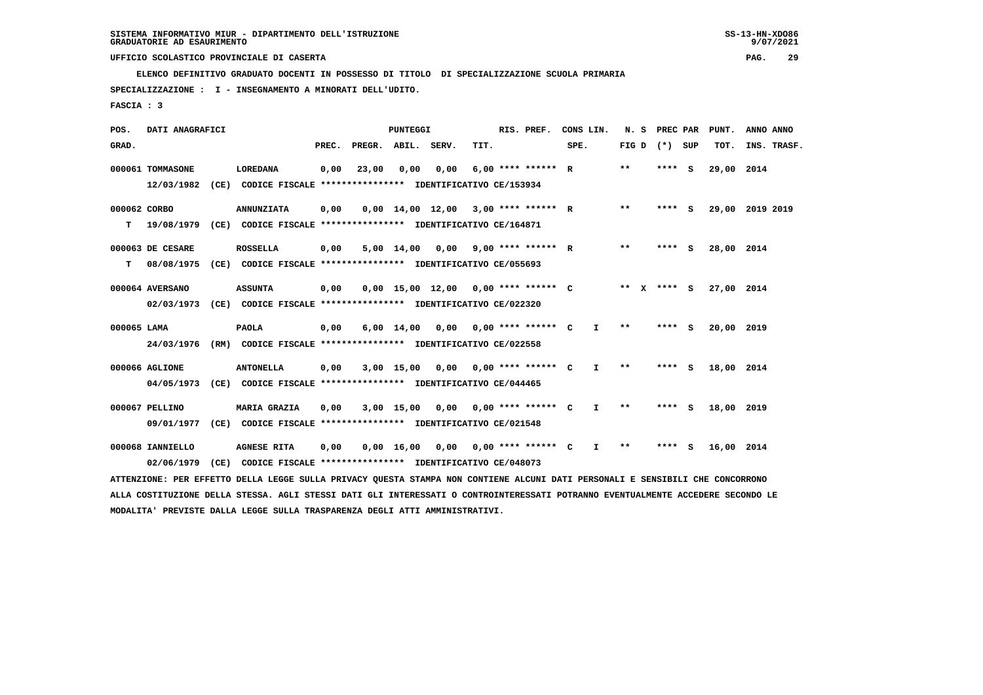**ELENCO DEFINITIVO GRADUATO DOCENTI IN POSSESSO DI TITOLO DI SPECIALIZZAZIONE SCUOLA PRIMARIA**

 **SPECIALIZZAZIONE : I - INSEGNAMENTO A MINORATI DELL'UDITO.**

 **FASCIA : 3**

| POS.         | DATI ANAGRAFICI  |                                                                                                                                 |       |                    | <b>PUNTEGGI</b>    |                                       |      | RIS. PREF.                       | CONS LIN. |              | N. S            | PREC PAR | PUNT.           | ANNO ANNO |             |
|--------------|------------------|---------------------------------------------------------------------------------------------------------------------------------|-------|--------------------|--------------------|---------------------------------------|------|----------------------------------|-----------|--------------|-----------------|----------|-----------------|-----------|-------------|
| GRAD.        |                  |                                                                                                                                 | PREC. | PREGR. ABIL. SERV. |                    |                                       | TIT. |                                  | SPE.      |              | FIG D $(*)$ SUP |          | TOT.            |           | INS. TRASF. |
|              | 000061 TOMMASONE | LOREDANA                                                                                                                        | 0,00  | 23,00              | 0,00               | 0,00                                  |      | $6.00$ **** ****** R             |           |              | $***$           | $***$ S  | 29,00           | 2014      |             |
|              | 12/03/1982       | (CE) CODICE FISCALE **************** IDENTIFICATIVO CE/153934                                                                   |       |                    |                    |                                       |      |                                  |           |              |                 |          |                 |           |             |
| 000062 CORBO |                  | <b>ANNUNZIATA</b>                                                                                                               | 0,00  |                    |                    | $0,00$ 14,00 12,00 3,00 **** ****** R |      |                                  |           |              | $* *$           | **** S   | 29,00 2019 2019 |           |             |
| т            | 19/08/1979       | (CE) CODICE FISCALE **************** IDENTIFICATIVO CE/164871                                                                   |       |                    |                    |                                       |      |                                  |           |              |                 |          |                 |           |             |
|              | 000063 DE CESARE | <b>ROSSELLA</b>                                                                                                                 | 0,00  |                    | 5,00 14,00         |                                       |      | $0,00$ 9,00 **** ****** R        |           |              | $***$           | $***$ S  | 28,00 2014      |           |             |
| т            | 08/08/1975       | (CE) CODICE FISCALE *************** IDENTIFICATIVO CE/055693                                                                    |       |                    |                    |                                       |      |                                  |           |              |                 |          |                 |           |             |
|              | 000064 AVERSANO  | <b>ASSUNTA</b>                                                                                                                  | 0,00  |                    |                    | $0.00$ 15.00 12.00 0.00 **** ****** C |      |                                  |           |              | ** x **** S     |          | 27,00 2014      |           |             |
|              | 02/03/1973       | (CE) CODICE FISCALE **************** IDENTIFICATIVO CE/022320                                                                   |       |                    |                    |                                       |      |                                  |           |              |                 |          |                 |           |             |
| 000065 LAMA  |                  | <b>PAOLA</b>                                                                                                                    | 0,00  |                    | $6,00 \quad 14,00$ | 0,00 0,00 **** ****** C               |      |                                  |           | $\mathbf{I}$ | $* *$           | **** S   | 20,00 2019      |           |             |
|              | 24/03/1976       | (RM) CODICE FISCALE **************** IDENTIFICATIVO CE/022558                                                                   |       |                    |                    |                                       |      |                                  |           |              |                 |          |                 |           |             |
|              | 000066 AGLIONE   | <b>ANTONELLA</b>                                                                                                                | 0,00  |                    | $3,00$ 15,00       |                                       |      | $0.00$ $0.00$ $***$ **** ***** C |           | $\mathbf{I}$ | $* *$           | $***$ S  | 18,00 2014      |           |             |
|              | 04/05/1973       | (CE) CODICE FISCALE **************** IDENTIFICATIVO CE/044465                                                                   |       |                    |                    |                                       |      |                                  |           |              |                 |          |                 |           |             |
|              | 000067 PELLINO   | <b>MARIA GRAZIA</b>                                                                                                             | 0,00  |                    | 3,00 15,00         | 0,00 0,00 **** ****** C               |      |                                  |           | $\mathbf{I}$ | $* *$           | **** S   | 18,00 2019      |           |             |
|              | 09/01/1977       | (CE) CODICE FISCALE **************** IDENTIFICATIVO CE/021548                                                                   |       |                    |                    |                                       |      |                                  |           |              |                 |          |                 |           |             |
|              | 000068 IANNIELLO | <b>AGNESE RITA</b>                                                                                                              | 0,00  |                    | $0,00 \quad 16,00$ | 0,00 0,00 **** ****** C               |      |                                  |           | I.           | $* *$           | **** S   | 16,00 2014      |           |             |
|              | 02/06/1979       | (CE) CODICE FISCALE **************** IDENTIFICATIVO CE/048073                                                                   |       |                    |                    |                                       |      |                                  |           |              |                 |          |                 |           |             |
|              |                  | ATTENZIONE: PER EFFETTO DELLA LEGGE SULLA PRIVACY QUESTA STAMPA NON CONTIENE ALCUNI DATI PERSONALI E SENSIBILI CHE CONCORRONO   |       |                    |                    |                                       |      |                                  |           |              |                 |          |                 |           |             |
|              |                  | ALLA COSTITUZIONE DELLA STESSA. AGLI STESSI DATI GLI INTERESSATI O CONTROINTERESSATI POTRANNO EVENTUALMENTE ACCEDERE SECONDO LE |       |                    |                    |                                       |      |                                  |           |              |                 |          |                 |           |             |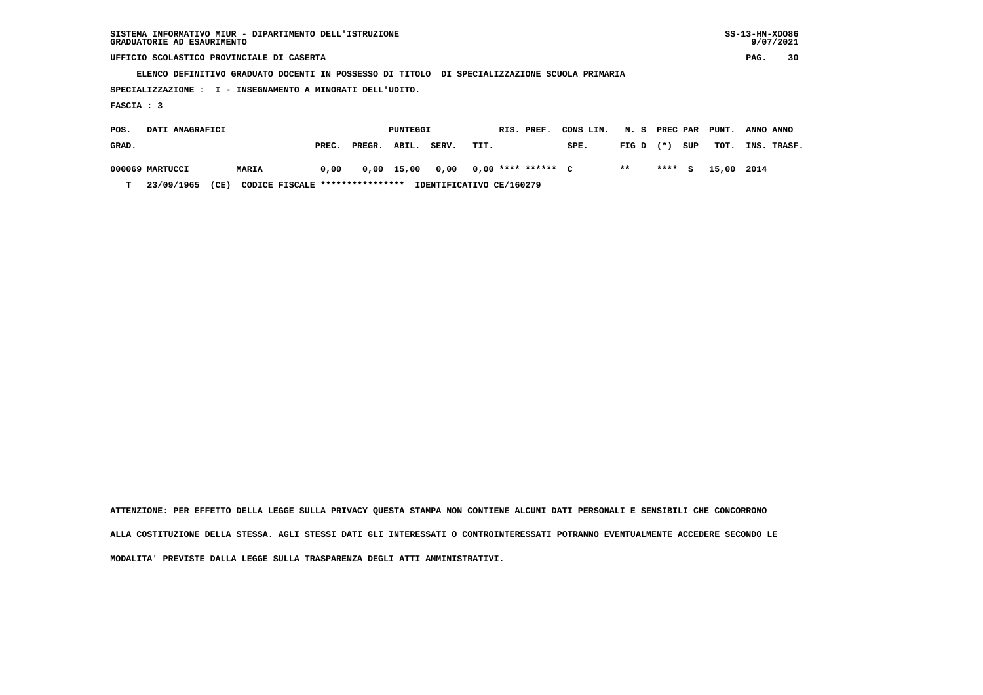| SISTEMA INFORMATIVO MIUR - DIPARTIMENTO DELL'ISTRUZIONE | $SS-13-HN-XDO86$ |
|---------------------------------------------------------|------------------|
| GRADUATORIE AD ESAURIMENTO                              | 9/07/2021        |

 $SS-13-HN-XDO86$  $9/07/2021$ 

 **UFFICIO SCOLASTICO PROVINCIALE DI CASERTA PAG. 30**

 **ELENCO DEFINITIVO GRADUATO DOCENTI IN POSSESSO DI TITOLO DI SPECIALIZZAZIONE SCUOLA PRIMARIA**

 **SPECIALIZZAZIONE : I - INSEGNAMENTO A MINORATI DELL'UDITO.**

 **FASCIA : 3**

| POS.  | DATI ANAGRAFICI |                                         |       |            | PUNTEGGI |       | RIS. PREF.               | CONS LIN. N. S PREC PAR PUNT. |             |     |                   | ANNO ANNO   |
|-------|-----------------|-----------------------------------------|-------|------------|----------|-------|--------------------------|-------------------------------|-------------|-----|-------------------|-------------|
| GRAD. |                 |                                         | PREC. | PREGR.     | ABIL.    | SERV. | TIT.                     | SPE.                          | $FIG D (*)$ | SUP | тот.              | INS. TRASF. |
|       | 000069 MARTUCCI | <b>MARIA</b>                            | 0,00  | 0,00 15,00 |          |       | 0,00 0,00 **** ****** C  |                               | $* *$       |     | **** S 15,00 2014 |             |
| т     | 23/09/1965      | CODICE FISCALE ****************<br>(CE) |       |            |          |       | IDENTIFICATIVO CE/160279 |                               |             |     |                   |             |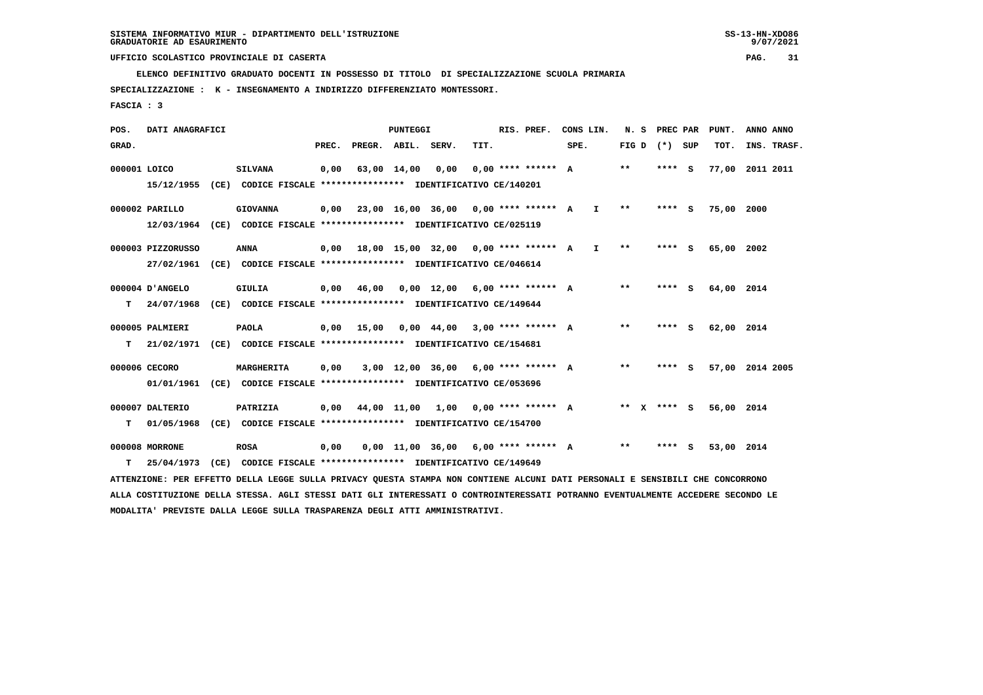**ELENCO DEFINITIVO GRADUATO DOCENTI IN POSSESSO DI TITOLO DI SPECIALIZZAZIONE SCUOLA PRIMARIA**

 **SPECIALIZZAZIONE : K - INSEGNAMENTO A INDIRIZZO DIFFERENZIATO MONTESSORI.**

 **FASCIA : 3**

| POS.  | DATI ANAGRAFICI                                                                                                                 |                                                               |       |                    | PUNTEGGI    |                                                           |      | RIS. PREF.           |      | CONS LIN.    |              | N. S PREC PAR   | PUNT.           | ANNO ANNO |             |
|-------|---------------------------------------------------------------------------------------------------------------------------------|---------------------------------------------------------------|-------|--------------------|-------------|-----------------------------------------------------------|------|----------------------|------|--------------|--------------|-----------------|-----------------|-----------|-------------|
| GRAD. |                                                                                                                                 |                                                               | PREC. | PREGR. ABIL. SERV. |             |                                                           | TIT. |                      | SPE. |              |              | FIG D $(*)$ SUP | TOT.            |           | INS. TRASF. |
|       | 000001 LOICO                                                                                                                    | <b>SILVANA</b>                                                | 0,00  |                    | 63,00 14,00 | 0,00                                                      |      | $0.00$ **** ****** A |      |              | **           | **** S          | 77,00 2011 2011 |           |             |
|       | 15/12/1955                                                                                                                      | (CE) CODICE FISCALE *************** IDENTIFICATIVO CE/140201  |       |                    |             |                                                           |      |                      |      |              |              |                 |                 |           |             |
|       | 000002 PARILLO                                                                                                                  | <b>GIOVANNA</b>                                               |       |                    |             | $0,00$ 23,00 16,00 36,00 0,00 **** ****** A               |      |                      |      | $\mathbf{I}$ | $***$        | **** S          | 75,00 2000      |           |             |
|       | 12/03/1964 (CE) CODICE FISCALE *************** IDENTIFICATIVO CE/025119                                                         |                                                               |       |                    |             |                                                           |      |                      |      |              |              |                 |                 |           |             |
|       | 000003 PIZZORUSSO                                                                                                               | ANNA                                                          | 0,00  |                    |             | 18,00 15,00 32,00 0,00 **** ****** A                      |      |                      |      | $\mathbf{I}$ | $\star\star$ | **** S          | 65,00 2002      |           |             |
|       | 27/02/1961                                                                                                                      | (CE) CODICE FISCALE **************** IDENTIFICATIVO CE/046614 |       |                    |             |                                                           |      |                      |      |              |              |                 |                 |           |             |
|       | 000004 D'ANGELO                                                                                                                 | GIULIA                                                        | 0,00  | 46,00              |             | $0,00$ 12,00 6,00 **** ****** A                           |      |                      |      |              | $* *$        | **** S          | 64,00 2014      |           |             |
| T.    | 24/07/1968                                                                                                                      | (CE) CODICE FISCALE **************** IDENTIFICATIVO CE/149644 |       |                    |             |                                                           |      |                      |      |              |              |                 |                 |           |             |
|       | 000005 PALMIERI                                                                                                                 | <b>PAOLA</b>                                                  |       | $0,00$ 15,00       |             | $0.00 \quad 44.00 \quad 3.00 \quad *** \quad *** \quad A$ |      |                      |      |              | **           | **** S          | 62,00 2014      |           |             |
| т     | 21/02/1971 (CE) CODICE FISCALE *************** IDENTIFICATIVO CE/154681                                                         |                                                               |       |                    |             |                                                           |      |                      |      |              |              |                 |                 |           |             |
|       | 000006 CECORO                                                                                                                   | MARGHERITA                                                    | 0,00  |                    |             | $3.00$ 12.00 36.00 6.00 **** ****** A                     |      |                      |      |              | $* *$        | **** S          | 57,00 2014 2005 |           |             |
|       | 01/01/1961 (CE) CODICE FISCALE *************** IDENTIFICATIVO CE/053696                                                         |                                                               |       |                    |             |                                                           |      |                      |      |              |              |                 |                 |           |             |
|       | 000007 DALTERIO                                                                                                                 | PATRIZIA                                                      |       |                    |             | $0,00$ 44,00 11,00 1,00 0,00 **** ****** A                |      |                      |      |              |              | ** x **** s     | 56,00 2014      |           |             |
| т     | 01/05/1968 (CE) CODICE FISCALE *************** IDENTIFICATIVO CE/154700                                                         |                                                               |       |                    |             |                                                           |      |                      |      |              |              |                 |                 |           |             |
|       | 000008 MORRONE                                                                                                                  | <b>ROSA</b>                                                   | 0,00  |                    |             | $0,00$ 11,00 36,00 6,00 **** ****** A                     |      |                      |      |              | $* *$        | **** S          | 53,00 2014      |           |             |
| т     | 25/04/1973 (CE) CODICE FISCALE *************** IDENTIFICATIVO CE/149649                                                         |                                                               |       |                    |             |                                                           |      |                      |      |              |              |                 |                 |           |             |
|       | ATTENZIONE: PER EFFETTO DELLA LEGGE SULLA PRIVACY QUESTA STAMPA NON CONTIENE ALCUNI DATI PERSONALI E SENSIBILI CHE CONCORRONO   |                                                               |       |                    |             |                                                           |      |                      |      |              |              |                 |                 |           |             |
|       | ALLA COSTITUZIONE DELLA STESSA. AGLI STESSI DATI GLI INTERESSATI O CONTROINTERESSATI POTRANNO EVENTUALMENTE ACCEDERE SECONDO LE |                                                               |       |                    |             |                                                           |      |                      |      |              |              |                 |                 |           |             |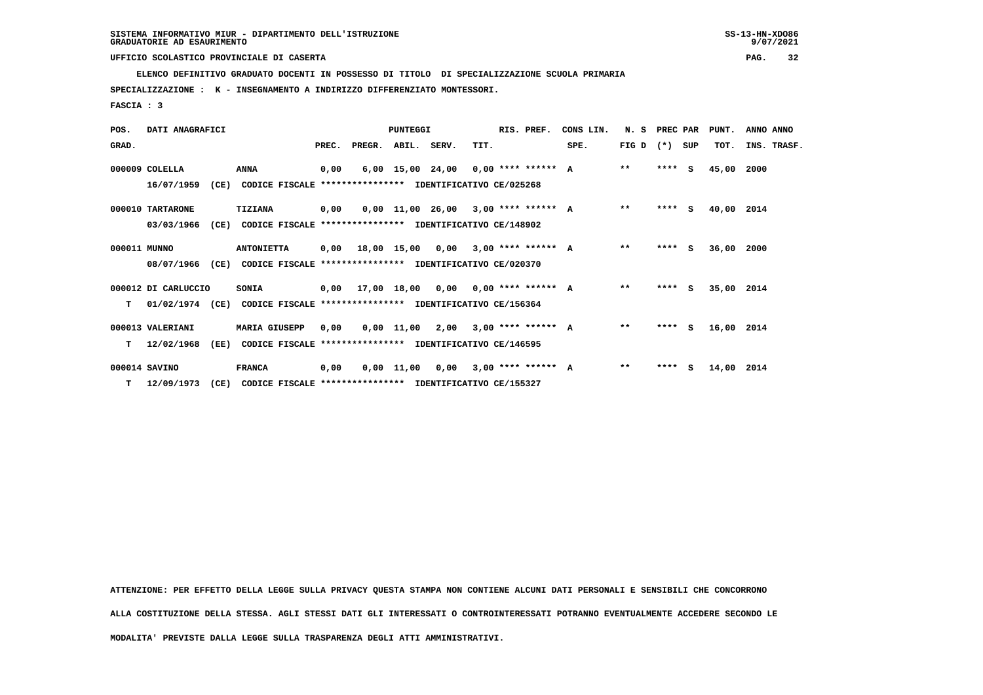$9/07/2021$ 

 **UFFICIO SCOLASTICO PROVINCIALE DI CASERTA PAG. 32**

 **ELENCO DEFINITIVO GRADUATO DOCENTI IN POSSESSO DI TITOLO DI SPECIALIZZAZIONE SCUOLA PRIMARIA**

 **SPECIALIZZAZIONE : K - INSEGNAMENTO A INDIRIZZO DIFFERENZIATO MONTESSORI.**

 **FASCIA : 3**

| POS.         | DATI ANAGRAFICI     |      |                                                                         |       |                    | PUNTEGGI    |                                            |      | RIS. PREF.                  | CONS LIN. | N. S         | PREC PAR |     | PUNT.      | ANNO ANNO   |
|--------------|---------------------|------|-------------------------------------------------------------------------|-------|--------------------|-------------|--------------------------------------------|------|-----------------------------|-----------|--------------|----------|-----|------------|-------------|
| GRAD.        |                     |      |                                                                         | PREC. | PREGR. ABIL. SERV. |             |                                            | TIT. |                             | SPE.      | FIG D        | $(* )$   | SUP | TOT.       | INS. TRASF. |
|              | 000009 COLELLA      |      | ANNA                                                                    | 0,00  |                    |             | $6,00$ 15,00 24,00 0,00 **** ****** A      |      |                             |           | $* *$        | $***$ S  |     | 45,00      | 2000        |
|              | 16/07/1959          |      | (CE) CODICE FISCALE **************** IDENTIFICATIVO CE/025268           |       |                    |             |                                            |      |                             |           |              |          |     |            |             |
|              | 000010 TARTARONE    |      | TIZIANA                                                                 | 0,00  |                    |             | $0.00$ 11.00 26.00 3.00 **** ****** A      |      |                             |           | $**$         | $***$ S  |     | 40,00 2014 |             |
|              | 03/03/1966          | (CE) | CODICE FISCALE                                                          |       |                    |             | **************** IDENTIFICATIVO CE/148902  |      |                             |           |              |          |     |            |             |
| 000011 MUNNO |                     |      | <b>ANTONIETTA</b>                                                       |       |                    |             | $0.00$ 18.00 15.00 0.00 3.00 **** ****** A |      |                             |           | $* *$        | $***$ S  |     | 36,00      | 2000        |
|              | 08/07/1966          | (CE) | CODICE FISCALE **************** IDENTIFICATIVO CE/020370                |       |                    |             |                                            |      |                             |           |              |          |     |            |             |
|              | 000012 DI CARLUCCIO |      | <b>SONIA</b>                                                            | 0,00  |                    | 17,00 18,00 |                                            |      | $0,00$ $0,00$ **** ****** A |           | $* *$        | **** S   |     | 35,00 2014 |             |
| т            |                     |      | 01/02/1974 (CE) CODICE FISCALE *************** IDENTIFICATIVO CE/156364 |       |                    |             |                                            |      |                             |           |              |          |     |            |             |
|              | 000013 VALERIANI    |      | <b>MARIA GIUSEPP</b>                                                    | 0,00  |                    |             | $0,00$ 11,00 2,00 3,00 **** ****** A       |      |                             |           | $* *$        | $***$ S  |     | 16,00 2014 |             |
| т            | 12/02/1968          | (EE) | CODICE FISCALE **************** IDENTIFICATIVO CE/146595                |       |                    |             |                                            |      |                             |           |              |          |     |            |             |
|              | 000014 SAVINO       |      | <b>FRANCA</b>                                                           | 0,00  |                    |             | 0,00 11,00 0,00                            |      | $3.00$ **** ****** A        |           | $\star\star$ | **** S   |     | 14,00      | 2014        |
| T.           | 12/09/1973          | (CE) | CODICE FISCALE **************** IDENTIFICATIVO CE/155327                |       |                    |             |                                            |      |                             |           |              |          |     |            |             |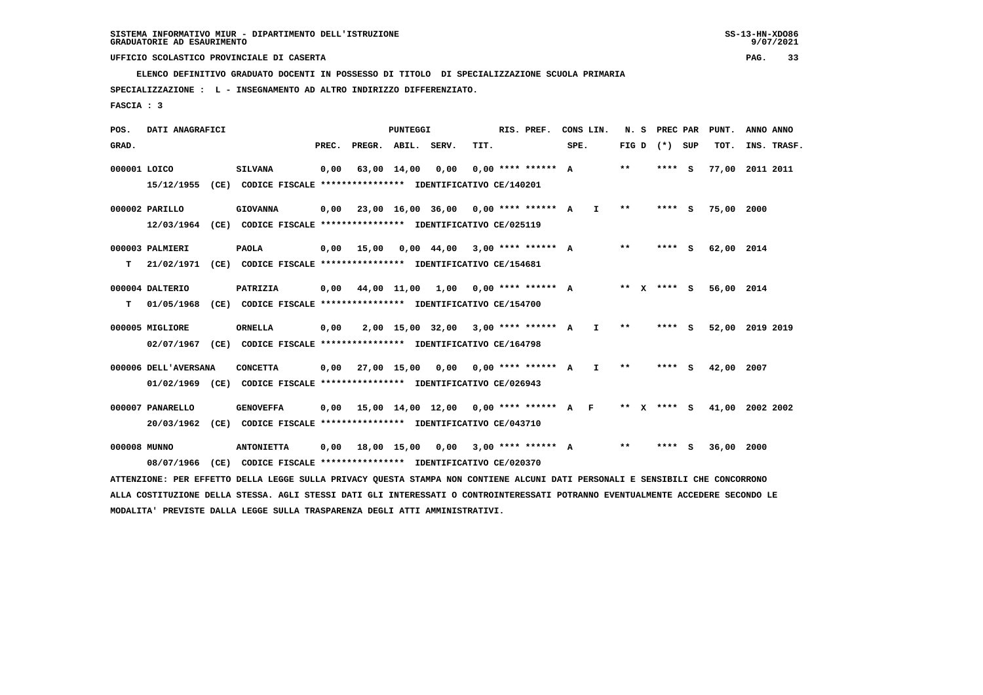**ELENCO DEFINITIVO GRADUATO DOCENTI IN POSSESSO DI TITOLO DI SPECIALIZZAZIONE SCUOLA PRIMARIA**

 **SPECIALIZZAZIONE : L - INSEGNAMENTO AD ALTRO INDIRIZZO DIFFERENZIATO.**

 **FASCIA : 3**

 **POS. DATI ANAGRAFICI PUNTEGGI RIS. PREF. CONS LIN. N. S PREC PAR PUNT. ANNO ANNO**GRAD. **PREGRADE SERVEGE SERVE SERVE SPEREGE SPEREGALES SPEREGALES SPEREGALES SPEREGALES SPEREGALES SUP TOT. INS. TRASF. 000001 LOICO SILVANA 0,00 63,00 14,00 0,00 0,00 \*\*\*\* \*\*\*\*\*\* A \*\* \*\*\*\* S 77,00 2011 2011 15/12/1955 (CE) CODICE FISCALE \*\*\*\*\*\*\*\*\*\*\*\*\*\*\*\* IDENTIFICATIVO CE/140201 000002 PARILLO GIOVANNA 0,00 23,00 16,00 36,00 0,00 \*\*\*\* \*\*\*\*\*\* A I \*\* \*\*\*\* S 75,00 2000 12/03/1964 (CE) CODICE FISCALE \*\*\*\*\*\*\*\*\*\*\*\*\*\*\*\* IDENTIFICATIVO CE/025119 000003 PALMIERI PAOLA 0,00 15,00 0,00 44,00 3,00 \*\*\*\* \*\*\*\*\*\* A \*\* \*\*\*\* S 62,00 2014 T 21/02/1971 (CE) CODICE FISCALE \*\*\*\*\*\*\*\*\*\*\*\*\*\*\*\* IDENTIFICATIVO CE/154681 000004 DALTERIO PATRIZIA 0,00 44,00 11,00 1,00 0,00 \*\*\*\* \*\*\*\*\*\* A \*\* X \*\*\*\* S 56,00 2014 T 01/05/1968 (CE) CODICE FISCALE \*\*\*\*\*\*\*\*\*\*\*\*\*\*\*\* IDENTIFICATIVO CE/154700 000005 MIGLIORE ORNELLA 0,00 2,00 15,00 32,00 3,00 \*\*\*\* \*\*\*\*\*\* A I \*\* \*\*\*\* S 52,00 2019 2019 02/07/1967 (CE) CODICE FISCALE \*\*\*\*\*\*\*\*\*\*\*\*\*\*\*\* IDENTIFICATIVO CE/164798 000006 DELL'AVERSANA CONCETTA 0,00 27,00 15,00 0,00 0,00 \*\*\*\* \*\*\*\*\*\* A I \*\* \*\*\*\* S 42,00 2007 01/02/1969 (CE) CODICE FISCALE \*\*\*\*\*\*\*\*\*\*\*\*\*\*\*\* IDENTIFICATIVO CE/026943 000007 PANARELLO GENOVEFFA 0,00 15,00 14,00 12,00 0,00 \*\*\*\* \*\*\*\*\*\* A F \*\* X \*\*\*\* S 41,00 2002 2002 20/03/1962 (CE) CODICE FISCALE \*\*\*\*\*\*\*\*\*\*\*\*\*\*\*\* IDENTIFICATIVO CE/043710 000008 MUNNO ANTONIETTA 0,00 18,00 15,00 0,00 3,00 \*\*\*\* \*\*\*\*\*\* A \*\* \*\*\*\* S 36,00 2000 08/07/1966 (CE) CODICE FISCALE \*\*\*\*\*\*\*\*\*\*\*\*\*\*\*\* IDENTIFICATIVO CE/020370 ATTENZIONE: PER EFFETTO DELLA LEGGE SULLA PRIVACY QUESTA STAMPA NON CONTIENE ALCUNI DATI PERSONALI E SENSIBILI CHE CONCORRONO ALLA COSTITUZIONE DELLA STESSA. AGLI STESSI DATI GLI INTERESSATI O CONTROINTERESSATI POTRANNO EVENTUALMENTE ACCEDERE SECONDO LE**